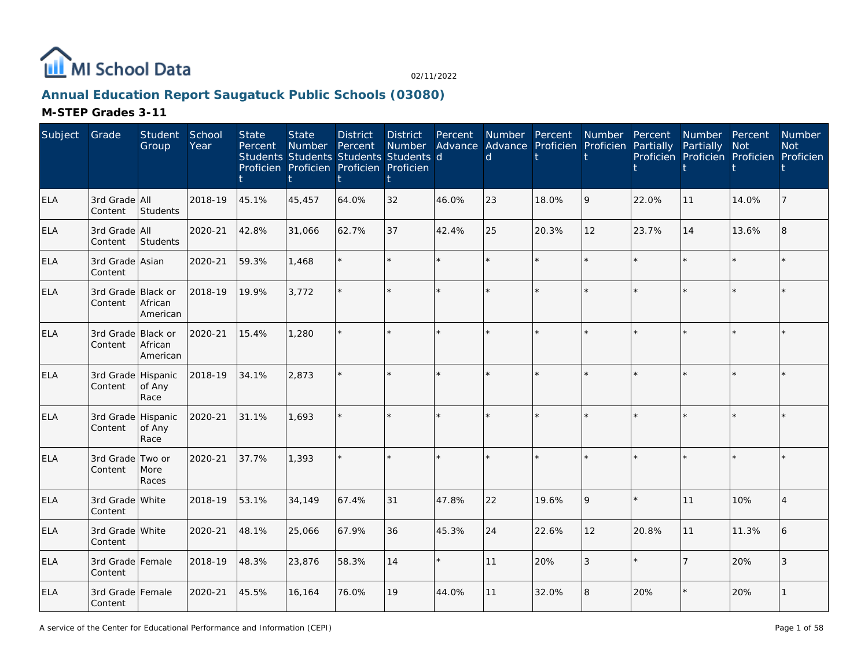

# **Annual Education Report Saugatuck Public Schools (03080)**

| Subject    | Grade                         | Student<br>Group    | School<br>Year | <b>State</b><br>Percent | <b>State</b><br><b>Number</b><br>Students Students Students Students d<br>Proficien Proficien Proficien Proficien | <b>District</b><br>Percent | <b>District</b><br><b>Number</b><br>t | Percent | Number Percent<br>d | Advance Advance Proficien | Number<br>Proficien | Percent<br>Partially | Number Percent<br>Partially<br>Proficien Proficien Proficien Proficien | Not     | <b>Number</b><br><b>Not</b> |
|------------|-------------------------------|---------------------|----------------|-------------------------|-------------------------------------------------------------------------------------------------------------------|----------------------------|---------------------------------------|---------|---------------------|---------------------------|---------------------|----------------------|------------------------------------------------------------------------|---------|-----------------------------|
| <b>ELA</b> | 3rd Grade All<br>Content      | Students            | 2018-19        | 45.1%                   | 45,457                                                                                                            | 64.0%                      | 32                                    | 46.0%   | 23                  | 18.0%                     | 9                   | 22.0%                | 11                                                                     | 14.0%   |                             |
| ELA        | 3rd Grade All<br>Content      | Students            | 2020-21        | 42.8%                   | 31,066                                                                                                            | 62.7%                      | 37                                    | 42.4%   | 25                  | 20.3%                     | 12                  | 23.7%                | 14                                                                     | 13.6%   | 8                           |
| <b>ELA</b> | 3rd Grade Asian<br>Content    |                     | 2020-21        | 59.3%                   | 1,468                                                                                                             |                            | $\star$                               | ÷.      | $\star$             | $\star$                   | $\star$             |                      | $\star$                                                                | $\star$ |                             |
| <b>ELA</b> | 3rd Grade Black or<br>Content | African<br>American | 2018-19        | 19.9%                   | 3,772                                                                                                             |                            | $\star$                               | ÷.      |                     | $\star$                   | ÷.                  |                      | $\star$                                                                | $\star$ |                             |
| <b>ELA</b> | 3rd Grade Black or<br>Content | African<br>American | 2020-21        | 15.4%                   | 1,280                                                                                                             |                            | $\star$                               | $\star$ | $\star$             | $\star$                   | $\star$             |                      | $\star$                                                                | $\star$ |                             |
| <b>ELA</b> | 3rd Grade Hispanic<br>Content | of Any<br>Race      | 2018-19        | 34.1%                   | 2,873                                                                                                             |                            | ÷.                                    |         | $\star$             | $\star$                   | ÷                   |                      | $\star$                                                                | $\star$ |                             |
| <b>ELA</b> | 3rd Grade Hispanic<br>Content | of Any<br>Race      | 2020-21        | 31.1%                   | 1,693                                                                                                             |                            | $\star$                               | ÷.      | $\star$             | $\star$                   | $\star$             | $\star$              | $\star$                                                                | $\star$ |                             |
| <b>ELA</b> | 3rd Grade Two or<br>Content   | More<br>Races       | 2020-21        | 37.7%                   | 1,393                                                                                                             |                            | $\star$                               | $\star$ |                     | $\star$                   | $\star$             |                      | $\star$                                                                | $\star$ |                             |
| <b>ELA</b> | 3rd Grade White<br>Content    |                     | 2018-19        | 53.1%                   | 34,149                                                                                                            | 67.4%                      | 31                                    | 47.8%   | 22                  | 19.6%                     | 9                   |                      | 11                                                                     | 10%     | $\overline{4}$              |
| <b>ELA</b> | 3rd Grade White<br>Content    |                     | 2020-21        | 48.1%                   | 25,066                                                                                                            | 67.9%                      | 36                                    | 45.3%   | 24                  | 22.6%                     | 12                  | 20.8%                | 11                                                                     | 11.3%   | 6                           |
| <b>ELA</b> | 3rd Grade Female<br>Content   |                     | 2018-19        | 48.3%                   | 23,876                                                                                                            | 58.3%                      | 14                                    |         | 11                  | 20%                       | 3                   |                      | $\overline{7}$                                                         | 20%     | 3                           |
| <b>ELA</b> | 3rd Grade Female<br>Content   |                     | 2020-21        | 45.5%                   | 16,164                                                                                                            | 76.0%                      | 19                                    | 44.0%   | 11                  | 32.0%                     | 8                   | 20%                  | $\star$                                                                | 20%     |                             |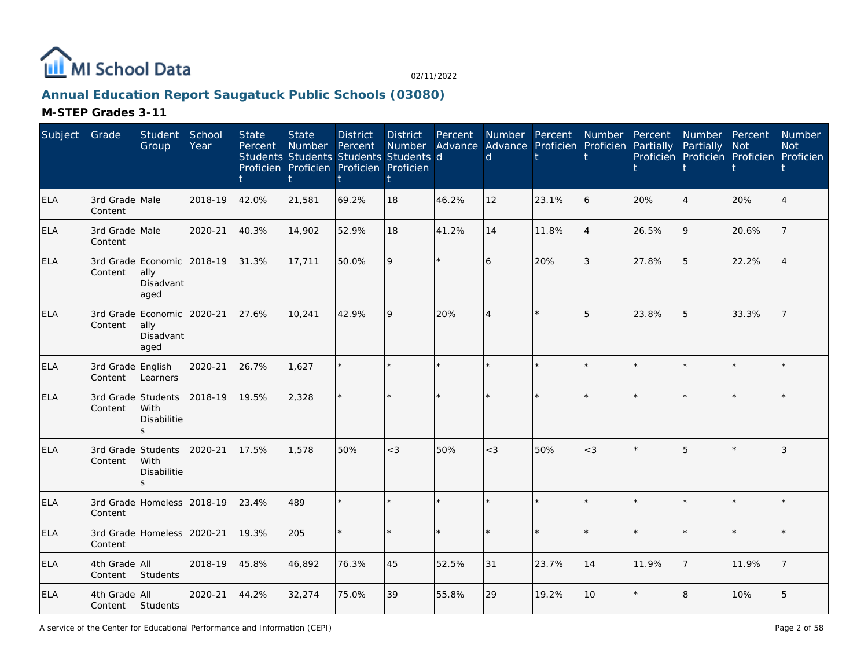

# **Annual Education Report Saugatuck Public Schools (03080)**

| Subject    | Grade                        | Student<br>Group                                        | School<br>Year | <b>State</b><br>Percent | <b>State</b><br>Number | <b>District</b><br>Percent<br>Students Students Students Students d<br>Proficien Proficien Proficien Proficien | <b>District</b><br>Number | Percent | $\mathsf{d}$ | Number Percent<br>Advance Advance Proficien Proficien Partially | Number         | Percent | Number Percent<br>Partially<br>Proficien Proficien Proficien Proficien | Not     | <b>Number</b><br><b>Not</b> |
|------------|------------------------------|---------------------------------------------------------|----------------|-------------------------|------------------------|----------------------------------------------------------------------------------------------------------------|---------------------------|---------|--------------|-----------------------------------------------------------------|----------------|---------|------------------------------------------------------------------------|---------|-----------------------------|
| <b>ELA</b> | 3rd Grade Male<br>Content    |                                                         | 2018-19        | 42.0%                   | 21,581                 | 69.2%                                                                                                          | 18                        | 46.2%   | 12           | 23.1%                                                           | 6              | 20%     | $\overline{4}$                                                         | 20%     |                             |
| <b>ELA</b> | 3rd Grade Male<br>Content    |                                                         | 2020-21        | 40.3%                   | 14,902                 | 52.9%                                                                                                          | 18                        | 41.2%   | 14           | 11.8%                                                           | $\overline{4}$ | 26.5%   | 9                                                                      | 20.6%   |                             |
| ELA        | Content                      | 3rd Grade Economic<br>ally<br>Disadvant<br>aged         | 2018-19        | 31.3%                   | 17,711                 | 50.0%                                                                                                          | 9                         | $\star$ | 6            | 20%                                                             | $\overline{3}$ | 27.8%   | 5                                                                      | 22.2%   |                             |
| <b>ELA</b> | Content                      | 3rd Grade Economic 2020-21<br>ally<br>Disadvant<br>aged |                | 27.6%                   | 10,241                 | 42.9%                                                                                                          | 9                         | 20%     | $\Delta$     | $\star$                                                         | 5              | 23.8%   | 5                                                                      | 33.3%   |                             |
| ELA        | 3rd Grade English<br>Content | Learners                                                | 2020-21        | 26.7%                   | 1,627                  |                                                                                                                | ÷.                        |         |              | $\star$                                                         | $\star$        |         | $\star$                                                                | $\star$ |                             |
| <b>ELA</b> | 3rd Grade<br>Content         | Students<br>With<br>Disabilitie                         | 2018-19        | 19.5%                   | 2,328                  |                                                                                                                |                           |         |              | $\star$                                                         |                |         | $\star$                                                                |         |                             |
| ELA        | 3rd Grade<br>Content         | Students<br>With<br>Disabilitie                         | 2020-21        | 17.5%                   | 1,578                  | 50%                                                                                                            | $<$ 3                     | 50%     | $<$ 3        | 50%                                                             | $<$ 3          |         | 5                                                                      |         |                             |
| <b>ELA</b> | Content                      | 3rd Grade Homeless 2018-19                              |                | 23.4%                   | 489                    |                                                                                                                |                           |         |              | $\star$                                                         |                |         | $\star$                                                                |         |                             |
| ELA        | Content                      | 3rd Grade Homeless 2020-21                              |                | 19.3%                   | 205                    |                                                                                                                |                           | $\star$ |              | $\star$                                                         | $\star$        |         | $\star$                                                                | $\star$ |                             |
| ELA        | 4th Grade All<br>Content     | Students                                                | 2018-19        | 45.8%                   | 46,892                 | 76.3%                                                                                                          | 45                        | 52.5%   | 31           | 23.7%                                                           | 14             | 11.9%   | $\overline{7}$                                                         | 11.9%   |                             |
| <b>ELA</b> | 4th Grade All<br>Content     | Students                                                | 2020-21        | 44.2%                   | 32,274                 | 75.0%                                                                                                          | 39                        | 55.8%   | 29           | 19.2%                                                           | 10             |         | 8                                                                      | 10%     | 5                           |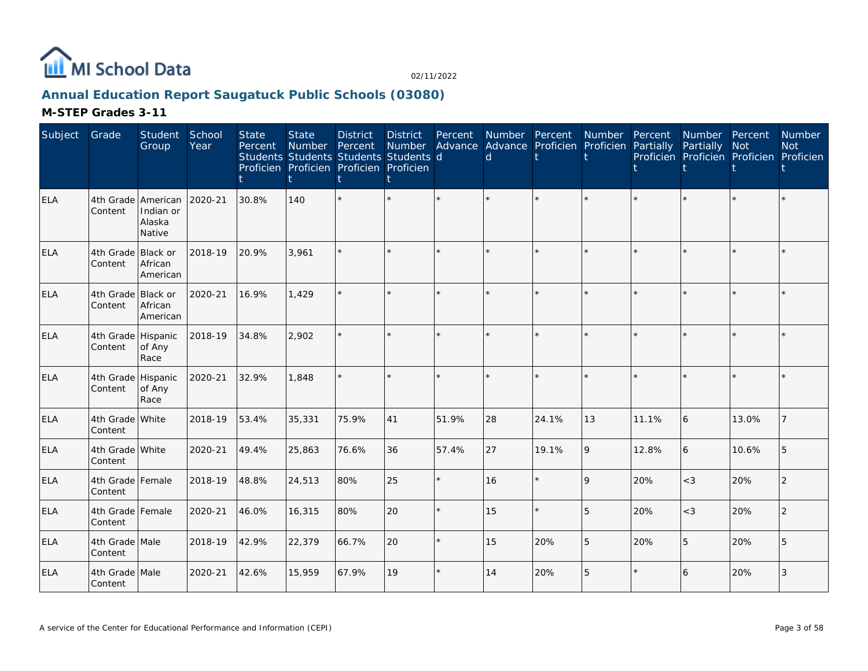

# **Annual Education Report Saugatuck Public Schools (03080)**

| Subject    | Grade                         | Student<br>Group                                    | School<br>Year | <b>State</b><br>Percent | <b>State</b><br><b>Number</b> | <b>District</b><br>Percent<br>Students Students Students Students d<br>Proficien Proficien Proficien Proficien | <b>District</b><br>Number | Percent<br>Advance | Number Percent<br>$\mathsf{d}$ | Advance Proficien | Number<br>Proficien | Percent<br>Partially | Number Percent<br>Partially | Not<br>Proficien Proficien Proficien Proficien | Number<br><b>Not</b> |
|------------|-------------------------------|-----------------------------------------------------|----------------|-------------------------|-------------------------------|----------------------------------------------------------------------------------------------------------------|---------------------------|--------------------|--------------------------------|-------------------|---------------------|----------------------|-----------------------------|------------------------------------------------|----------------------|
| ELA        | Content                       | 4th Grade American<br>Indian or<br>Alaska<br>Native | 2020-21        | 30.8%                   | 140                           |                                                                                                                | $\star$                   |                    |                                |                   |                     |                      |                             |                                                |                      |
| <b>ELA</b> | 4th Grade Black or<br>Content | African<br>American                                 | 2018-19        | 20.9%                   | 3.961                         |                                                                                                                | $\star$                   |                    |                                |                   |                     |                      |                             |                                                |                      |
| <b>ELA</b> | 4th Grade Black or<br>Content | African<br>American                                 | 2020-21        | 16.9%                   | 1,429                         |                                                                                                                | $\star$                   | $\star$            |                                |                   | $\star$             |                      |                             | $\star$                                        |                      |
| ELA        | 4th Grade Hispanic<br>Content | of Any<br>Race                                      | 2018-19        | 34.8%                   | 2,902                         |                                                                                                                | $\star$                   |                    |                                |                   |                     |                      |                             | $\star$                                        |                      |
| ELA        | 4th Grade Hispanic<br>Content | of Any<br>Race                                      | 2020-21        | 32.9%                   | 1,848                         |                                                                                                                | $\star$                   |                    |                                |                   | $\star$             |                      |                             | $\star$                                        |                      |
| <b>ELA</b> | 4th Grade White<br>Content    |                                                     | 2018-19        | 53.4%                   | 35,331                        | 75.9%                                                                                                          | 41                        | 51.9%              | 28                             | 24.1%             | 13                  | 11.1%                | 6                           | 13.0%                                          |                      |
| <b>ELA</b> | 4th Grade White<br>Content    |                                                     | 2020-21        | 49.4%                   | 25,863                        | 76.6%                                                                                                          | 36                        | 57.4%              | 27                             | 19.1%             | 9                   | 12.8%                | 6                           | 10.6%                                          | 5                    |
| ELA        | 4th Grade Female<br>Content   |                                                     | 2018-19        | 48.8%                   | 24,513                        | 80%                                                                                                            | 25                        |                    | 16                             |                   | 9                   | 20%                  | $<$ 3                       | 20%                                            | $\overline{2}$       |
| ELA        | 4th Grade Female<br>Content   |                                                     | 2020-21        | 46.0%                   | 16,315                        | 80%                                                                                                            | 20                        |                    | 15                             |                   | 5                   | 20%                  | $<$ 3                       | 20%                                            | 2                    |
| ELA        | 4th Grade Male<br>Content     |                                                     | 2018-19        | 42.9%                   | 22,379                        | 66.7%                                                                                                          | 20                        |                    | 15                             | 20%               | 5                   | 20%                  | 5                           | 20%                                            | 5                    |
| ELA        | 4th Grade Male<br>Content     |                                                     | 2020-21        | 42.6%                   | 15,959                        | 67.9%                                                                                                          | 19                        |                    | 14                             | 20%               | 5                   |                      | 6                           | 20%                                            | 3                    |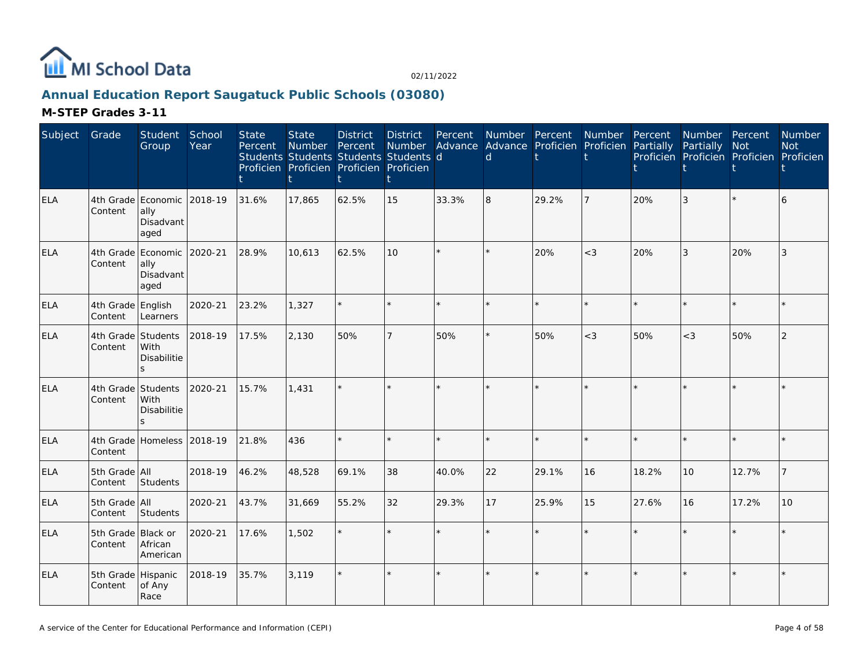

# **Annual Education Report Saugatuck Public Schools (03080)**

| Subject    | Grade                         | Student<br>Group                                        | School<br>Year | <b>State</b><br>Percent | <b>State</b><br>Number<br>Students Students Students Students d<br>Proficien Proficien Proficien Proficien | <b>District</b><br>Percent | <b>District</b><br>Number<br>t | Percent<br>Advance | Number Percent<br>$\mathsf{d}$ | Advance Proficien Proficien | Number  | Percent<br>Partially | Number Percent<br>Partially | Not<br>Proficien Proficien Proficien Proficien | Number<br><b>Not</b> |
|------------|-------------------------------|---------------------------------------------------------|----------------|-------------------------|------------------------------------------------------------------------------------------------------------|----------------------------|--------------------------------|--------------------|--------------------------------|-----------------------------|---------|----------------------|-----------------------------|------------------------------------------------|----------------------|
| <b>ELA</b> | Content                       | 4th Grade Economic 2018-19<br>ally<br>Disadvant<br>aged |                | 31.6%                   | 17,865                                                                                                     | 62.5%                      | 15                             | 33.3%              | $\overline{8}$                 | 29.2%                       | 7       | 20%                  | 3                           | $\star$                                        | 6                    |
| <b>ELA</b> | Content                       | 4th Grade Economic 2020-21<br>ally<br>Disadvant<br>aged |                | 28.9%                   | 10,613                                                                                                     | 62.5%                      | 10                             | ÷.                 |                                | 20%                         | $<$ 3   | 20%                  | $\mathbf{3}$                | 20%                                            | $\overline{3}$       |
| <b>ELA</b> | 4th Grade English<br>Content  | Learners                                                | 2020-21        | 23.2%                   | 1,327                                                                                                      |                            | $\star$                        |                    |                                | $\star$                     | $\star$ |                      |                             | $\star$                                        |                      |
| <b>ELA</b> | 4th Grade Students<br>Content | With<br>Disabilitie<br>S                                | 2018-19        | 17.5%                   | 2,130                                                                                                      | 50%                        | $\overline{7}$                 | 50%                |                                | 50%                         | $<$ 3   | 50%                  | $<$ 3                       | 50%                                            | $\overline{2}$       |
| <b>ELA</b> | 4th Grade Students<br>Content | With<br>Disabilitie<br>$\mathsf{S}$                     | 2020-21        | 15.7%                   | 1,431                                                                                                      |                            | ÷                              |                    |                                | $\star$                     | $\star$ |                      |                             | $\star$                                        |                      |
| <b>ELA</b> | Content                       | 4th Grade Homeless 2018-19                              |                | 21.8%                   | 436                                                                                                        |                            | ÷.                             |                    |                                | $\star$                     | $\star$ |                      |                             | $\star$                                        |                      |
| <b>ELA</b> | 5th Grade All<br>Content      | Students                                                | 2018-19        | 46.2%                   | 48,528                                                                                                     | 69.1%                      | 38                             | 40.0%              | 22                             | 29.1%                       | 16      | 18.2%                | 10                          | 12.7%                                          |                      |
| <b>ELA</b> | 5th Grade All<br>Content      | Students                                                | 2020-21        | 43.7%                   | 31,669                                                                                                     | 55.2%                      | 32                             | 29.3%              | 17                             | 25.9%                       | 15      | 27.6%                | 16                          | 17.2%                                          | 10                   |
| <b>ELA</b> | 5th Grade Black or<br>Content | African<br>American                                     | 2020-21        | 17.6%                   | 1,502                                                                                                      |                            | $\star$                        |                    |                                | $\star$                     |         |                      |                             |                                                |                      |
| <b>ELA</b> | 5th Grade Hispanic<br>Content | of Any<br>Race                                          | 2018-19        | 35.7%                   | 3,119                                                                                                      |                            | $\star$                        |                    |                                | $\star$                     |         |                      |                             | $\star$                                        |                      |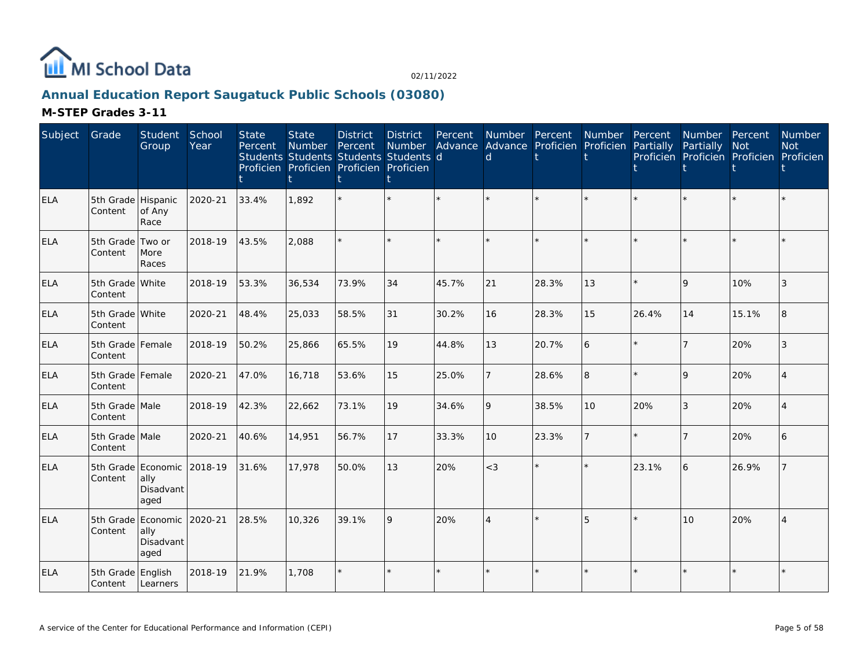

# **Annual Education Report Saugatuck Public Schools (03080)**

| Subject    | Grade                         | Student<br>Group                                | School<br>Year | <b>State</b><br>Percent | <b>State</b><br><b>Number</b> | <b>District</b><br>Percent<br>Students Students Students Students d<br>Proficien Proficien Proficien Proficien | <b>District</b><br>Number | Percent<br>Advance | Number Percent<br>$\mathsf{d}$ | Advance Proficien | <b>Number</b><br>Proficien | Percent<br>Partially | <b>Number</b><br>Partially | Percent<br><b>Not</b><br>Proficien Proficien Proficien | <b>Number</b><br><b>Not</b><br>Proficien |
|------------|-------------------------------|-------------------------------------------------|----------------|-------------------------|-------------------------------|----------------------------------------------------------------------------------------------------------------|---------------------------|--------------------|--------------------------------|-------------------|----------------------------|----------------------|----------------------------|--------------------------------------------------------|------------------------------------------|
| ELA        | 5th Grade Hispanic<br>Content | of Any<br>Race                                  | 2020-21        | 33.4%                   | 1,892                         |                                                                                                                | $\star$                   |                    |                                |                   |                            |                      |                            |                                                        |                                          |
| <b>ELA</b> | 5th Grade Two or<br>Content   | More<br>Races                                   | 2018-19        | 43.5%                   | 2.088                         |                                                                                                                | $\star$                   |                    |                                |                   |                            |                      |                            | $\star$                                                |                                          |
| <b>ELA</b> | 5th Grade White<br>Content    |                                                 | 2018-19        | 53.3%                   | 36,534                        | 73.9%                                                                                                          | 34                        | 45.7%              | 21                             | 28.3%             | 13                         |                      | 9                          | 10%                                                    | 3                                        |
| <b>ELA</b> | 5th Grade White<br>Content    |                                                 | 2020-21        | 48.4%                   | 25,033                        | 58.5%                                                                                                          | 31                        | 30.2%              | 16                             | 28.3%             | 15                         | 26.4%                | 14                         | 15.1%                                                  | 8                                        |
| <b>ELA</b> | 5th Grade Female<br>Content   |                                                 | 2018-19        | 50.2%                   | 25,866                        | 65.5%                                                                                                          | 19                        | 44.8%              | 13                             | 20.7%             | 6                          |                      |                            | 20%                                                    | 3                                        |
| <b>ELA</b> | 5th Grade Female<br>Content   |                                                 | 2020-21        | 47.0%                   | 16,718                        | 53.6%                                                                                                          | 15                        | 25.0%              |                                | 28.6%             | 8                          |                      | 9                          | 20%                                                    | $\overline{4}$                           |
| ELA        | 5th Grade Male<br>Content     |                                                 | 2018-19        | 42.3%                   | 22,662                        | 73.1%                                                                                                          | 19                        | 34.6%              | $\mathsf{Q}$                   | 38.5%             | 10                         | 20%                  | 3                          | 20%                                                    |                                          |
| ELA        | 5th Grade Male<br>Content     |                                                 | 2020-21        | 40.6%                   | 14,951                        | 56.7%                                                                                                          | 17                        | 33.3%              | 10                             | 23.3%             | $\overline{7}$             |                      |                            | 20%                                                    | 6                                        |
| ELA        | Content                       | 5th Grade Economic<br>ally<br>Disadvant<br>aged | 2018-19        | 31.6%                   | 17,978                        | 50.0%                                                                                                          | 13                        | 20%                | $\lt3$                         |                   | $\star$                    | 23.1%                | 6                          | 26.9%                                                  |                                          |
| <b>ELA</b> | 5th Grade<br>Content          | Economic<br>ally<br>Disadvant<br>aged           | 2020-21        | 28.5%                   | 10,326                        | 39.1%                                                                                                          | 9                         | 20%                | $\Lambda$                      |                   | 5                          |                      | 10                         | 20%                                                    |                                          |
| <b>ELA</b> | 5th Grade English<br>Content  | Learners                                        | 2018-19        | 21.9%                   | 1,708                         |                                                                                                                | $\star$                   |                    |                                |                   |                            |                      |                            | $\star$                                                |                                          |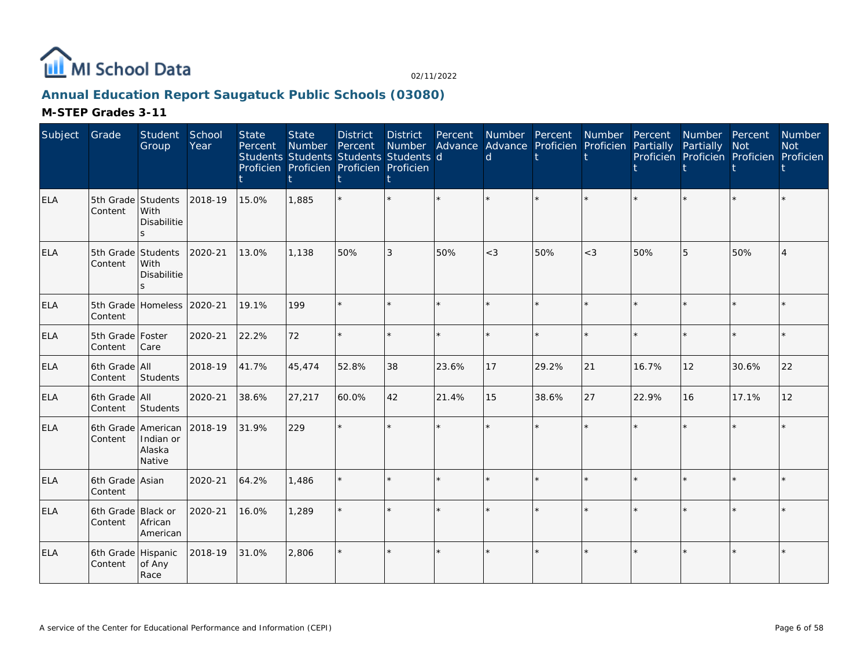

# **Annual Education Report Saugatuck Public Schools (03080)**

| Subject    | Grade                         | Student<br>Group                           | School<br>Year | <b>State</b><br>Percent | <b>State</b><br>Number<br>Students Students Students Students d<br>Proficien Proficien Proficien Proficien | <b>District</b><br>Percent | <b>District</b> | Percent | Number Advance Advance Proficien Proficien<br>d | Number Percent | Number  | Percent<br>Partially | Number Percent<br>Partially<br>Proficien Proficien Proficien Proficien | <b>Not</b> | Number<br><b>Not</b> |
|------------|-------------------------------|--------------------------------------------|----------------|-------------------------|------------------------------------------------------------------------------------------------------------|----------------------------|-----------------|---------|-------------------------------------------------|----------------|---------|----------------------|------------------------------------------------------------------------|------------|----------------------|
| <b>ELA</b> | 5th Grade<br>Content          | Students<br>With<br><b>Disabilitie</b>     | 2018-19        | 15.0%                   | 1,885                                                                                                      |                            | $\star$         |         |                                                 |                |         |                      |                                                                        |            |                      |
| <b>ELA</b> | 5th Grade Students<br>Content | With<br><b>Disabilitie</b><br>$\mathbf{S}$ | 2020-21        | 13.0%                   | 1,138                                                                                                      | 50%                        | 3               | 50%     | $<$ 3                                           | 50%            | $<$ 3   | 50%                  | 5                                                                      | 50%        |                      |
| ELA        | Content                       | 5th Grade Homeless 2020-21                 |                | 19.1%                   | 199                                                                                                        |                            | ÷.              | $\star$ |                                                 | $\Phi$         | $\star$ |                      |                                                                        | $\star$    |                      |
| <b>ELA</b> | 5th Grade Foster<br>Content   | Care                                       | 2020-21        | 22.2%                   | 72                                                                                                         |                            | $\star$         | ÷.      |                                                 | $\star$        | $\star$ |                      |                                                                        | $\star$    |                      |
| ELA        | 6th Grade All<br>Content      | Students                                   | 2018-19        | 41.7%                   | 45,474                                                                                                     | 52.8%                      | 38              | 23.6%   | 17                                              | 29.2%          | 21      | 16.7%                | 12                                                                     | 30.6%      | 22                   |
| <b>ELA</b> | 6th Grade All<br>Content      | Students                                   | 2020-21        | 38.6%                   | 27,217                                                                                                     | 60.0%                      | 42              | 21.4%   | 15                                              | 38.6%          | 27      | 22.9%                | 16                                                                     | 17.1%      | 12                   |
| <b>ELA</b> | 6th Grade American<br>Content | Indian or<br>Alaska<br>Native              | 2018-19        | 31.9%                   | 229                                                                                                        |                            | $\star$         |         |                                                 |                |         |                      |                                                                        | ÷.         |                      |
| <b>ELA</b> | 6th Grade Asian<br>Content    |                                            | 2020-21        | 64.2%                   | 1.486                                                                                                      |                            | $\star$         | $\star$ |                                                 | $\star$        | $\star$ |                      |                                                                        | $\star$    |                      |
| ELA        | 6th Grade Black or<br>Content | African<br>American                        | 2020-21        | 16.0%                   | 1,289                                                                                                      |                            | ÷.              | $\star$ |                                                 | $\star$        |         |                      |                                                                        |            |                      |
| <b>ELA</b> | 6th Grade Hispanic<br>Content | of Any<br>Race                             | 2018-19        | 31.0%                   | 2,806                                                                                                      |                            | $\star$         | ÷.      |                                                 | $\star$        |         |                      |                                                                        | $\star$    |                      |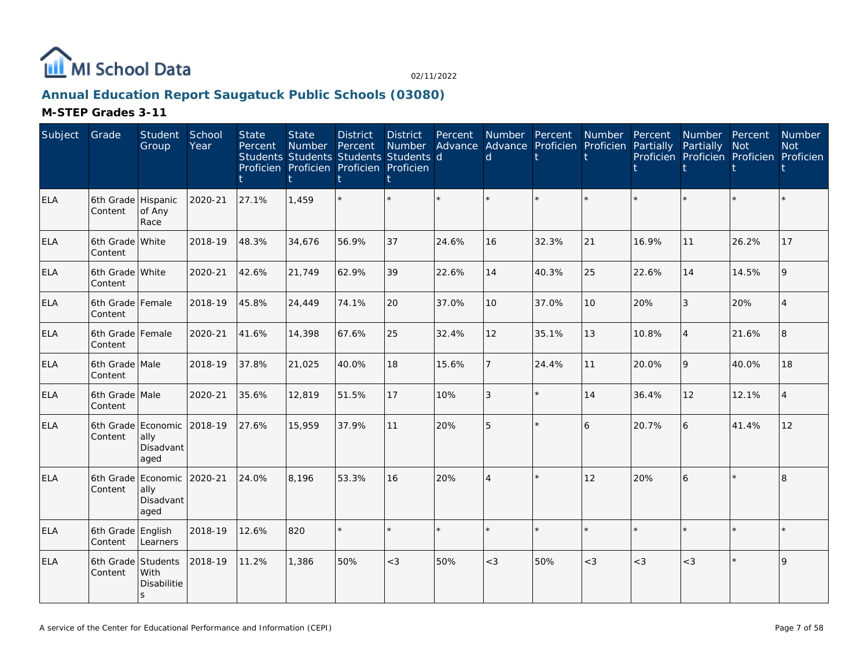

# **Annual Education Report Saugatuck Public Schools (03080)**

| Subject    | Grade                         | <b>Student</b><br>Group                                 | School<br>Year | <b>State</b><br>Percent | <b>State</b><br><b>Number</b> | <b>District</b><br>Percent<br>Students Students Students Students d<br>Proficien Proficien Proficien Proficien | <b>District</b><br>Number | Percent<br>Advance | Number Percent<br>$\mathsf{d}$ | Advance Proficien | Number<br>Proficien | Percent<br>Partially | <b>Number</b><br>Partially | Percent<br><b>Not</b><br>Proficien Proficien Proficien Proficien | <b>Number</b><br><b>Not</b> |
|------------|-------------------------------|---------------------------------------------------------|----------------|-------------------------|-------------------------------|----------------------------------------------------------------------------------------------------------------|---------------------------|--------------------|--------------------------------|-------------------|---------------------|----------------------|----------------------------|------------------------------------------------------------------|-----------------------------|
| ELA        | 6th Grade Hispanic<br>Content | of Any<br>Race                                          | 2020-21        | 27.1%                   | 1,459                         |                                                                                                                | $\star$                   | $\star$            |                                |                   | $\star$             |                      |                            | $\star$                                                          |                             |
| <b>ELA</b> | 6th Grade White<br>Content    |                                                         | 2018-19        | 48.3%                   | 34,676                        | 56.9%                                                                                                          | 37                        | 24.6%              | 16                             | 32.3%             | 21                  | 16.9%                | 11                         | 26.2%                                                            | 17                          |
| <b>ELA</b> | 6th Grade White<br>Content    |                                                         | 2020-21        | 42.6%                   | 21,749                        | 62.9%                                                                                                          | 39                        | 22.6%              | 14                             | 40.3%             | 25                  | 22.6%                | 14                         | 14.5%                                                            | q                           |
| <b>ELA</b> | 6th Grade Female<br>Content   |                                                         | 2018-19        | 45.8%                   | 24,449                        | 74.1%                                                                                                          | 20                        | 37.0%              | 10                             | 37.0%             | 10                  | 20%                  | 3                          | 20%                                                              | $\overline{4}$              |
| <b>ELA</b> | 6th Grade Female<br>Content   |                                                         | 2020-21        | 41.6%                   | 14,398                        | 67.6%                                                                                                          | 25                        | 32.4%              | 12                             | 35.1%             | 13                  | 10.8%                | $\overline{4}$             | 21.6%                                                            | 8                           |
| <b>ELA</b> | 6th Grade Male<br>Content     |                                                         | 2018-19        | 37.8%                   | 21,025                        | 40.0%                                                                                                          | 18                        | 15.6%              |                                | 24.4%             | 11                  | 20.0%                | 9                          | 40.0%                                                            | 18                          |
| <b>ELA</b> | 6th Grade Male<br>Content     |                                                         | 2020-21        | 35.6%                   | 12,819                        | 51.5%                                                                                                          | 17                        | 10%                | 3                              |                   | 14                  | 36.4%                | 12                         | 12.1%                                                            | $\boldsymbol{\vartriangle}$ |
| <b>ELA</b> | Content                       | 6th Grade Economic<br>ally<br>Disadvant<br>aged         | 2018-19        | 27.6%                   | 15,959                        | 37.9%                                                                                                          | 11                        | 20%                | 5                              |                   | 6                   | 20.7%                | 6                          | 41.4%                                                            | 12                          |
| <b>ELA</b> | Content                       | 6th Grade Economic 2020-21<br>ally<br>Disadvant<br>aged |                | 24.0%                   | 8,196                         | 53.3%                                                                                                          | 16                        | 20%                | $\overline{A}$                 |                   | 12                  | 20%                  | 6                          | $\star$                                                          | l8                          |
| ELA        | 6th Grade English<br>Content  | Learners                                                | 2018-19        | 12.6%                   | 820                           |                                                                                                                | $\star$                   | $\star$            | $\star$                        |                   | $\star$             |                      |                            | $\star$                                                          |                             |
| <b>ELA</b> | 6th Grade Students<br>Content | With<br>Disabilitie<br>$\mathsf S$                      | 2018-19        | 11.2%                   | 1,386                         | 50%                                                                                                            | $<$ 3                     | 50%                | $<$ 3                          | 50%               | $<\!3$              | $<$ 3                | $<$ 3                      | $\star$                                                          | $\mathsf{Q}$                |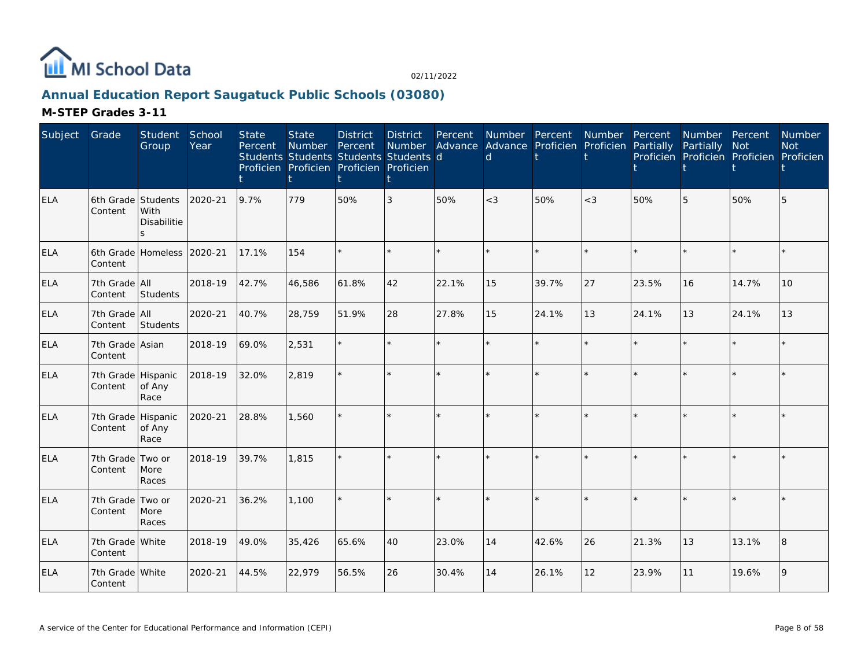

# **Annual Education Report Saugatuck Public Schools (03080)**

| Subject    | Grade                         | Student<br>Group          | School<br>Year | <b>State</b><br>Percent | <b>State</b><br>Number | <b>District</b><br>Percent<br>Students Students Students Students d<br>Proficien Proficien Proficien Proficien | <b>District</b><br><b>Number</b> | Percent<br>Advance | Number Percent<br>d | Advance Proficien Proficien | Number  | Percent<br>Partially | Number Percent<br>Partially<br>Proficien Proficien Proficien Proficien | <b>Not</b> | Number<br><b>Not</b> |
|------------|-------------------------------|---------------------------|----------------|-------------------------|------------------------|----------------------------------------------------------------------------------------------------------------|----------------------------------|--------------------|---------------------|-----------------------------|---------|----------------------|------------------------------------------------------------------------|------------|----------------------|
| ELA        | 6th Grade Students<br>Content | With<br>Disabilitie<br>S. | 2020-21        | 9.7%                    | 779                    | 50%                                                                                                            | 3                                | 50%                | $<$ 3               | 50%                         | $<$ 3   | 50%                  | 5                                                                      | 50%        | 5                    |
| <b>ELA</b> | 6th Grade<br>Content          | Homeless                  | 2020-21        | 17.1%                   | 154                    |                                                                                                                | $\star$                          | $\star$            |                     | $\star$                     | $\star$ |                      |                                                                        | $\star$    |                      |
| <b>ELA</b> | 7th Grade All<br>Content      | Students                  | 2018-19        | 42.7%                   | 46,586                 | 61.8%                                                                                                          | 42                               | 22.1%              | 15                  | 39.7%                       | 27      | 23.5%                | 16                                                                     | 14.7%      | 10 <sup>1</sup>      |
| <b>ELA</b> | 7th Grade All<br>Content      | <b>Students</b>           | 2020-21        | 40.7%                   | 28,759                 | 51.9%                                                                                                          | 28                               | 27.8%              | 15                  | 24.1%                       | 13      | 24.1%                | 13                                                                     | 24.1%      | 13                   |
| <b>ELA</b> | 7th Grade Asian<br>Content    |                           | 2018-19        | 69.0%                   | 2,531                  |                                                                                                                | $\star$                          | $\star$            |                     | $\star$                     | $\star$ |                      |                                                                        | $\star$    |                      |
| <b>ELA</b> | 7th Grade Hispanic<br>Content | of Any<br>Race            | 2018-19        | 32.0%                   | 2,819                  |                                                                                                                | $\star$                          | $\star$            |                     | $\star$                     |         |                      |                                                                        | $\star$    |                      |
| <b>ELA</b> | 7th Grade Hispanic<br>Content | of Any<br>Race            | 2020-21        | 28.8%                   | 1,560                  |                                                                                                                | $\star$                          | $\star$            |                     | $\star$                     | $\star$ |                      |                                                                        | $\star$    |                      |
| <b>ELA</b> | 7th Grade<br>Content          | Two or<br>More<br>Races   | 2018-19        | 39.7%                   | 1,815                  |                                                                                                                | $\star$                          |                    |                     |                             |         |                      |                                                                        |            |                      |
| ELA        | 7th Grade<br>Content          | Two or<br>More<br>Races   | 2020-21        | 36.2%                   | 1,100                  |                                                                                                                | $\star$                          | $\star$            |                     | $\star$                     |         |                      |                                                                        | $\star$    |                      |
| <b>ELA</b> | 7th Grade White<br>Content    |                           | 2018-19        | 49.0%                   | 35,426                 | 65.6%                                                                                                          | 40                               | 23.0%              | 14                  | 42.6%                       | 26      | 21.3%                | 13                                                                     | 13.1%      | 8                    |
| <b>ELA</b> | 7th Grade White<br>Content    |                           | 2020-21        | 44.5%                   | 22,979                 | 56.5%                                                                                                          | 26                               | 30.4%              | 14                  | 26.1%                       | 12      | 23.9%                | 11                                                                     | 19.6%      | 9                    |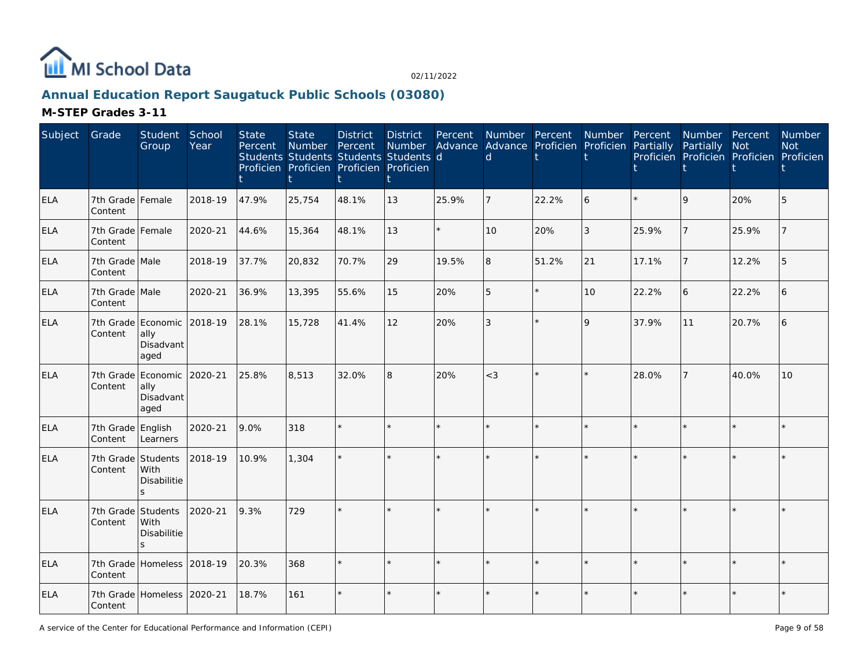

# **Annual Education Report Saugatuck Public Schools (03080)**

| Subject    | Grade                       | Student<br>Group                                | School<br>Year | <b>State</b><br>Percent | <b>State</b><br>Number | <b>District</b><br>Percent<br>Students Students Students Students d<br>Proficien Proficien Proficien Proficien | District<br>Number<br>t | Percent<br>Advance | Number Percent<br>$\mathsf{d}$ | Advance Proficien | Number<br>Proficien | Percent<br>Partially | Number Percent<br>Partially<br>Proficien Proficien Proficien Proficien | <b>Not</b> | <b>Number</b><br><b>Not</b> |
|------------|-----------------------------|-------------------------------------------------|----------------|-------------------------|------------------------|----------------------------------------------------------------------------------------------------------------|-------------------------|--------------------|--------------------------------|-------------------|---------------------|----------------------|------------------------------------------------------------------------|------------|-----------------------------|
| ELA        | 7th Grade Female<br>Content |                                                 | 2018-19        | 47.9%                   | 25,754                 | 48.1%                                                                                                          | 13                      | 25.9%              |                                | 22.2%             | 6                   |                      | 9                                                                      | 20%        | 5                           |
| ELA        | 7th Grade Female<br>Content |                                                 | 2020-21        | 44.6%                   | 15,364                 | 48.1%                                                                                                          | 13                      | $\star$            | 10                             | 20%               | 3                   | 25.9%                | $\overline{7}$                                                         | 25.9%      |                             |
| <b>ELA</b> | 7th Grade Male<br>Content   |                                                 | 2018-19        | 37.7%                   | 20,832                 | 70.7%                                                                                                          | 29                      | 19.5%              | 8                              | 51.2%             | 21                  | 17.1%                | $\overline{7}$                                                         | 12.2%      | 5                           |
| ELA        | 7th Grade Male<br>Content   |                                                 | 2020-21        | 36.9%                   | 13,395                 | 55.6%                                                                                                          | 15                      | 20%                | 5                              | $\star$           | 10                  | 22.2%                | 6                                                                      | 22.2%      |                             |
| <b>ELA</b> | Content                     | 7th Grade Economic<br>ally<br>Disadvant<br>aged | 2018-19        | 28.1%                   | 15,728                 | 41.4%                                                                                                          | 12                      | 20%                | 3                              | $\star$           | 9                   | 37.9%                | 11                                                                     | 20.7%      | 6                           |
| <b>ELA</b> | 7th Grade<br>Content        | Economic 2020-21<br>ally<br>Disadvant<br>aged   |                | 25.8%                   | 8,513                  | 32.0%                                                                                                          | 8                       | 20%                | $<$ 3                          | $\star$           | $\star$             | 28.0%                | $\overline{7}$                                                         | 40.0%      | 10                          |
| <b>ELA</b> | 7th Grade<br>Content        | English<br>Learners                             | 2020-21        | 9.0%                    | 318                    |                                                                                                                |                         |                    |                                | $\star$           |                     |                      | $\star$                                                                | $\star$    |                             |
| <b>ELA</b> | 7th Grade<br>Content        | Students<br>With<br>Disabilitie<br>$\mathbf{S}$ | 2018-19        | 10.9%                   | 1,304                  |                                                                                                                |                         |                    |                                | $\star$           |                     |                      | $\star$                                                                |            |                             |
| ELA        | 7th Grade<br>Content        | Students<br>With<br>Disabilitie<br>C            | 2020-21        | 9.3%                    | 729                    |                                                                                                                |                         |                    |                                |                   |                     |                      | ×.                                                                     |            |                             |
| <b>ELA</b> | Content                     | 7th Grade Homeless 2018-19                      |                | 20.3%                   | 368                    |                                                                                                                |                         |                    |                                | $\star$           |                     |                      | $\star$                                                                | $\star$    |                             |
| <b>ELA</b> | Content                     | 7th Grade Homeless 2020-21                      |                | 18.7%                   | 161                    |                                                                                                                |                         |                    |                                | $\star$           |                     |                      | $\star$                                                                |            |                             |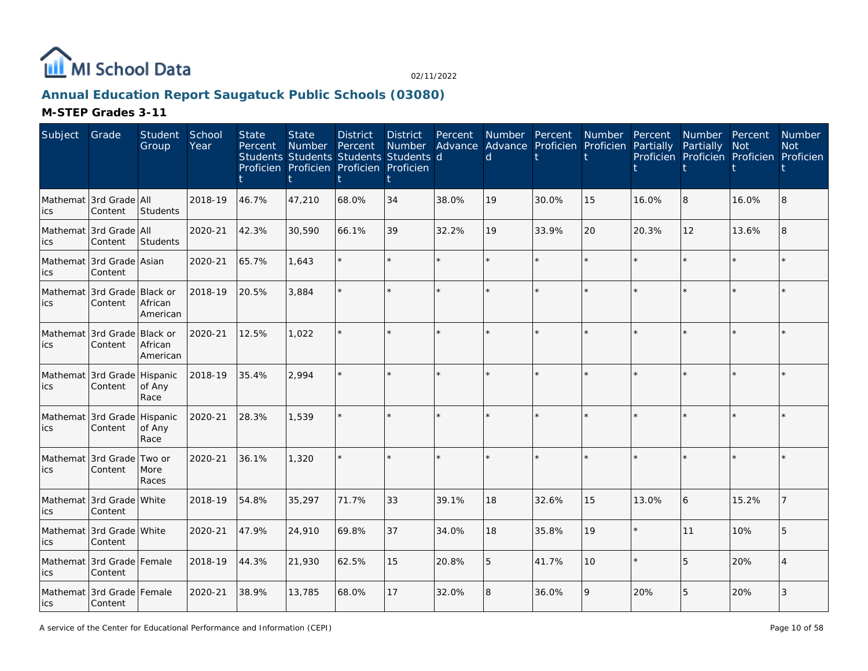

# **Annual Education Report Saugatuck Public Schools (03080)**

| Subject                            | Grade                                  | Student<br>Group    | School<br>Year | <b>State</b><br>Percent | <b>State</b><br><b>Number</b><br>Students Students Students Students d<br>Proficien Proficien Proficien Proficien | <b>District</b><br>Percent | <b>District</b><br><b>Number</b> | Percent | d  | Number Percent<br>Advance Advance Proficien Proficien | Number  | Percent<br>Partially | Number Percent<br>Partially<br>Proficien Proficien Proficien Proficien | Not     | <b>Number</b><br><b>Not</b> |
|------------------------------------|----------------------------------------|---------------------|----------------|-------------------------|-------------------------------------------------------------------------------------------------------------------|----------------------------|----------------------------------|---------|----|-------------------------------------------------------|---------|----------------------|------------------------------------------------------------------------|---------|-----------------------------|
| ics                                | Mathemat 3rd Grade All<br>Content      | Students            | 2018-19        | 46.7%                   | 47,210                                                                                                            | 68.0%                      | 34                               | 38.0%   | 19 | 30.0%                                                 | 15      | 16.0%                | 8                                                                      | 16.0%   | 8                           |
| ics                                | Mathemat 3rd Grade All<br>Content      | Students            | 2020-21        | 42.3%                   | 30,590                                                                                                            | 66.1%                      | 39                               | 32.2%   | 19 | 33.9%                                                 | 20      | 20.3%                | 12                                                                     | 13.6%   | $\overline{8}$              |
| ics                                | Mathemat 3rd Grade Asian<br>Content    |                     | 2020-21        | 65.7%                   | 1,643                                                                                                             | $\star$                    |                                  |         |    | $\star$                                               | $\star$ |                      | $\star$                                                                | $\star$ |                             |
| ics                                | Mathemat 3rd Grade Black or<br>Content | African<br>American | 2018-19        | 20.5%                   | 3,884                                                                                                             |                            |                                  |         |    |                                                       | ÷.      |                      | ÷.                                                                     | ÷       |                             |
| ics                                | Mathemat 3rd Grade Black or<br>Content | African<br>American | 2020-21        | 12.5%                   | 1,022                                                                                                             |                            |                                  | $\star$ |    | ÷.                                                    |         |                      | $\star$                                                                | $\star$ |                             |
| ics                                | Mathemat 3rd Grade Hispanic<br>Content | of Any<br>Race      | 2018-19        | 35.4%                   | 2,994                                                                                                             |                            |                                  |         |    |                                                       |         |                      | ÷.                                                                     | $\star$ |                             |
| Mathemat 3rd Grade Hispanic<br>ics | Content                                | of Any<br>Race      | 2020-21        | 28.3%                   | 1,539                                                                                                             |                            |                                  |         |    |                                                       | $\star$ |                      | $\star$                                                                | $\star$ |                             |
| lics                               | Mathemat 3rd Grade Two or<br>Content   | More<br>Races       | 2020-21        | 36.1%                   | 1,320                                                                                                             |                            |                                  |         |    |                                                       |         |                      | $\star$                                                                | $\star$ |                             |
| ics                                | Mathemat 3rd Grade White<br>Content    |                     | 2018-19        | 54.8%                   | 35,297                                                                                                            | 71.7%                      | 33                               | 39.1%   | 18 | 32.6%                                                 | 15      | 13.0%                | 6                                                                      | 15.2%   |                             |
| ics                                | Mathemat 3rd Grade White<br>Content    |                     | 2020-21        | 47.9%                   | 24,910                                                                                                            | 69.8%                      | 37                               | 34.0%   | 18 | 35.8%                                                 | 19      |                      | 11                                                                     | 10%     | 5                           |
| ics                                | Mathemat 3rd Grade Female<br>Content   |                     | 2018-19        | 44.3%                   | 21,930                                                                                                            | 62.5%                      | 15                               | 20.8%   | 5  | 41.7%                                                 | 10      |                      | 5                                                                      | 20%     |                             |
| lics                               | Mathemat 3rd Grade Female<br>Content   |                     | 2020-21        | 38.9%                   | 13,785                                                                                                            | 68.0%                      | 17                               | 32.0%   | 8  | 36.0%                                                 | 9       | 20%                  | 5                                                                      | 20%     | 3                           |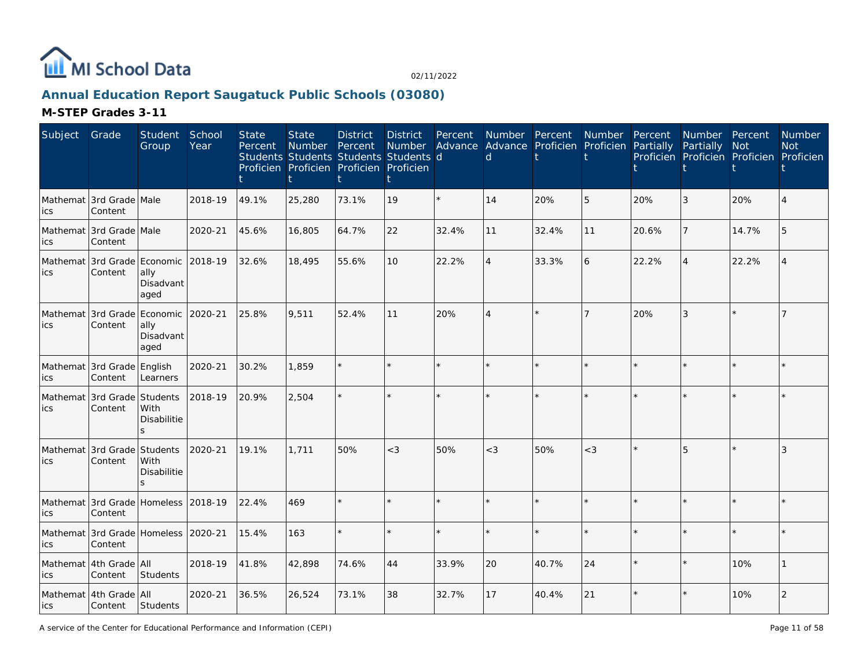

# **Annual Education Report Saugatuck Public Schools (03080)**

| Subject | Grade                                          | <b>Student</b><br>Group               | School<br>Year | <b>State</b><br>Percent | <b>State</b><br>Number | <b>District</b><br>Percent<br>Students Students Students Students d<br>Proficien Proficien Proficien Proficien | <b>District</b><br><b>Number</b> | Percent<br>Advance | Advance Proficien<br>d | Number Percent | Number<br>Proficien | Percent<br>Partially | Number Percent<br>Partially | Not<br>Proficien Proficien Proficien Proficien | Number<br><b>Not</b> |
|---------|------------------------------------------------|---------------------------------------|----------------|-------------------------|------------------------|----------------------------------------------------------------------------------------------------------------|----------------------------------|--------------------|------------------------|----------------|---------------------|----------------------|-----------------------------|------------------------------------------------|----------------------|
| ics     | Mathemat 3rd Grade Male<br>Content             |                                       | 2018-19        | 49.1%                   | 25,280                 | 73.1%                                                                                                          | 19                               |                    | 14                     | 20%            | 5                   | 20%                  | 3                           | 20%                                            |                      |
| ics     | Mathemat 3rd Grade Male<br>Content             |                                       | 2020-21        | 45.6%                   | 16,805                 | 64.7%                                                                                                          | 22                               | 32.4%              | 11                     | 32.4%          | 11                  | 20.6%                | 7                           | 14.7%                                          |                      |
| ics     | Mathemat 3rd Grade Economic<br>Content         | ally<br>Disadvant<br>aged             | 2018-19        | 32.6%                   | 18,495                 | 55.6%                                                                                                          | 10                               | 22.2%              | $\overline{4}$         | 33.3%          | $\boldsymbol{6}$    | 22.2%                | $\overline{4}$              | 22.2%                                          |                      |
| ics     | Mathemat 3rd Grade<br>Content                  | Economic<br>ally<br>Disadvant<br>aged | 2020-21        | 25.8%                   | 9,511                  | 52.4%                                                                                                          | 11                               | 20%                | $\overline{4}$         |                | 7                   | 20%                  | 3                           | $\star$                                        |                      |
| ics     | Mathemat 3rd Grade English<br>Content          | Learners                              | 2020-21        | 30.2%                   | 1.859                  |                                                                                                                |                                  | $\star$            |                        | $\star$        | $\star$             |                      | $\star$                     | $\star$                                        |                      |
| ics     | Mathemat 3rd Grade<br>Content                  | Students<br>With<br>Disabilitie       | 2018-19        | 20.9%                   | 2,504                  |                                                                                                                |                                  |                    |                        |                |                     |                      |                             |                                                |                      |
| ics     | Mathemat 3rd Grade<br>Content                  | Students<br>With<br>Disabilitie       | 2020-21        | 19.1%                   | 1.711                  | 50%                                                                                                            | $<$ 3                            | 50%                | $\lt3$                 | 50%            | $<$ 3               |                      | 5                           |                                                | 3                    |
| ics     | Mathemat 3rd Grade Homeless 2018-19<br>Content |                                       |                | 22.4%                   | 469                    |                                                                                                                |                                  |                    |                        |                |                     |                      |                             |                                                |                      |
| ics     | Mathemat 3rd Grade Homeless 2020-21<br>Content |                                       |                | 15.4%                   | 163                    |                                                                                                                |                                  | $\Phi$             |                        | ×.             | $\Phi$              |                      | ÷.                          | $\star$                                        |                      |
| ics     | Mathemat 4th Grade All<br>Content              | Students                              | 2018-19        | 41.8%                   | 42,898                 | 74.6%                                                                                                          | 44                               | 33.9%              | 20                     | 40.7%          | 24                  |                      |                             | 10%                                            |                      |
| ics     | Mathemat 4th Grade All<br>Content              | Students                              | 2020-21        | 36.5%                   | 26,524                 | 73.1%                                                                                                          | 38                               | 32.7%              | 17                     | 40.4%          | 21                  |                      | $\star$                     | 10%                                            | 2                    |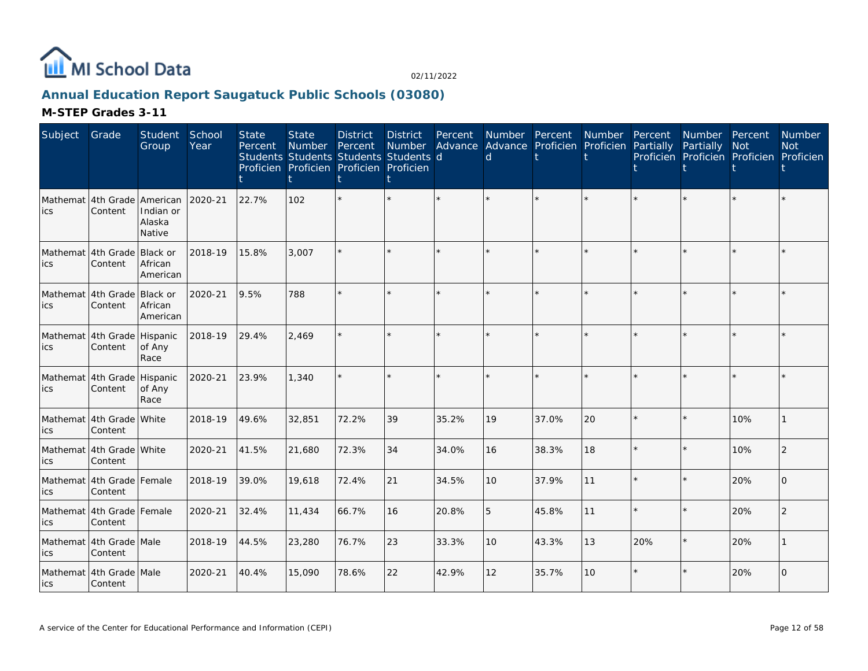

## **Annual Education Report Saugatuck Public Schools (03080)**

| Subject         | Grade                                  | Student<br>Group                       | School<br>Year | <b>State</b><br>Percent | <b>State</b><br>Number | <b>District</b><br>Percent<br>Students Students Students Students d<br>Proficien Proficien Proficien Proficien | <b>District</b><br><b>Number</b> | Percent<br>Advance | Number Percent<br>d | Advance Proficien Proficien | Number  | Percent<br>Partially | Number Percent<br>Partially<br>Proficien Proficien Proficien Proficien | <b>Not</b> | Number<br><b>Not</b> |
|-----------------|----------------------------------------|----------------------------------------|----------------|-------------------------|------------------------|----------------------------------------------------------------------------------------------------------------|----------------------------------|--------------------|---------------------|-----------------------------|---------|----------------------|------------------------------------------------------------------------|------------|----------------------|
| ics             | Mathemat 4th Grade American<br>Content | Indian or<br>Alaska<br>Native          | 2020-21        | 22.7%                   | 102                    |                                                                                                                |                                  |                    |                     |                             |         |                      |                                                                        |            |                      |
| Mathemat<br>ics | 4th Grade<br>Content                   | <b>Black or</b><br>African<br>American | 2018-19        | 15.8%                   | 3.007                  |                                                                                                                |                                  |                    |                     |                             |         |                      |                                                                        |            |                      |
| ics             | Mathemat 4th Grade Black or<br>Content | African<br>American                    | 2020-21        | 9.5%                    | 788                    |                                                                                                                | $\star$                          | $\star$            |                     | $\star$                     | $\star$ |                      |                                                                        | $\star$    |                      |
| ics             | Mathemat 4th Grade Hispanic<br>Content | of Any<br>Race                         | 2018-19        | 29.4%                   | 2,469                  |                                                                                                                |                                  |                    |                     |                             |         |                      |                                                                        |            |                      |
| ics             | Mathemat 4th Grade<br>Content          | Hispanic<br>of Any<br>Race             | 2020-21        | 23.9%                   | 1,340                  |                                                                                                                | ÷.                               | $\star$            |                     |                             |         |                      |                                                                        | ÷          |                      |
| ics             | Mathemat 4th Grade White<br>Content    |                                        | 2018-19        | 49.6%                   | 32,851                 | 72.2%                                                                                                          | 39                               | 35.2%              | 19                  | 37.0%                       | 20      |                      |                                                                        | 10%        |                      |
| ics             | Mathemat 4th Grade White<br>Content    |                                        | 2020-21        | 41.5%                   | 21,680                 | 72.3%                                                                                                          | 34                               | 34.0%              | 16                  | 38.3%                       | 18      |                      |                                                                        | 10%        | 2                    |
| ics             | Mathemat 4th Grade Female<br>Content   |                                        | 2018-19        | 39.0%                   | 19,618                 | 72.4%                                                                                                          | 21                               | 34.5%              | 10                  | 37.9%                       | 11      |                      |                                                                        | 20%        | $\Omega$             |
| ics             | Mathemat 4th Grade Female<br>Content   |                                        | 2020-21        | 32.4%                   | 11,434                 | 66.7%                                                                                                          | 16                               | 20.8%              | 5                   | 45.8%                       | 11      |                      |                                                                        | 20%        | 2                    |
| ics             | Mathemat 4th Grade Male<br>Content     |                                        | 2018-19        | 44.5%                   | 23,280                 | 76.7%                                                                                                          | 23                               | 33.3%              | 10                  | 43.3%                       | 13      | 20%                  |                                                                        | 20%        |                      |
| lics            | Mathemat 4th Grade Male<br>Content     |                                        | 2020-21        | 40.4%                   | 15,090                 | 78.6%                                                                                                          | 22                               | 42.9%              | 12                  | 35.7%                       | 10      |                      |                                                                        | 20%        | $\Omega$             |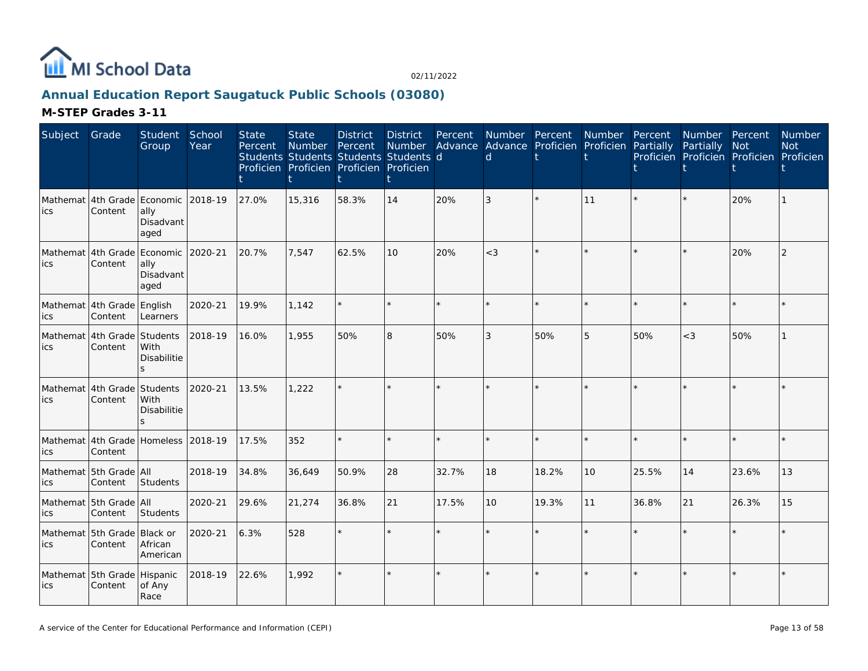

# **Annual Education Report Saugatuck Public Schools (03080)**

| Subject | Grade                                          | Student<br>Group                                   | School<br>Year | <b>State</b><br>Percent | <b>State</b><br>Number | <b>District</b><br>Percent<br>Students Students Students Students d<br>Proficien Proficien Proficien Proficien | <b>District</b><br>Number | Percent<br>Advance | Number Percent<br>$\mathsf{d}$ | Advance Proficien | Number<br>Proficien | Percent<br>Partially | Number Percent<br>Partially | Not<br>Proficien Proficien Proficien Proficien | Number<br><b>Not</b> |
|---------|------------------------------------------------|----------------------------------------------------|----------------|-------------------------|------------------------|----------------------------------------------------------------------------------------------------------------|---------------------------|--------------------|--------------------------------|-------------------|---------------------|----------------------|-----------------------------|------------------------------------------------|----------------------|
| ics     | Mathemat 4th Grade Economic 2018-19<br>Content | ally<br>Disadvant<br>aged                          |                | 27.0%                   | 15,316                 | 58.3%                                                                                                          | 14                        | 20%                | 3                              |                   | 11                  |                      | $\star$                     | 20%                                            |                      |
| ics     | Mathemat 4th Grade Economic 2020-21<br>Content | ally<br>Disadvant<br>aged                          |                | 20.7%                   | 7,547                  | 62.5%                                                                                                          | 10                        | 20%                | $<$ 3                          |                   | $\star$             |                      | $\star$                     | 20%                                            | $\overline{2}$       |
| ics     | Mathemat 4th Grade English<br>Content          | Learners                                           | 2020-21        | 19.9%                   | 1,142                  |                                                                                                                |                           |                    |                                |                   | $\star$             |                      | $\star$                     | $\star$                                        |                      |
| ics     | Mathemat 4th Grade Students<br>Content         | With<br>Disabilitie<br>S                           | 2018-19        | 16.0%                   | 1,955                  | 50%                                                                                                            | 8                         | 50%                | 3                              | 50%               | 5                   | 50%                  | $<$ 3                       | 50%                                            |                      |
| lics    | Mathemat 4th Grade<br>Content                  | Students<br><b>With</b><br><b>Disabilitie</b><br>S | 2020-21        | 13.5%                   | 1,222                  |                                                                                                                |                           |                    |                                |                   | $\star$             |                      |                             | $\star$                                        |                      |
| ics     | Mathemat 4th Grade Homeless 2018-19<br>Content |                                                    |                | 17.5%                   | 352                    |                                                                                                                |                           |                    |                                |                   |                     |                      |                             | $\star$                                        |                      |
| ics     | Mathemat 5th Grade All<br>Content              | Students                                           | 2018-19        | 34.8%                   | 36,649                 | 50.9%                                                                                                          | 28                        | 32.7%              | 18                             | 18.2%             | 10                  | 25.5%                | 14                          | 23.6%                                          | 13                   |
| ics     | Mathemat 5th Grade All<br>Content              | Students                                           | 2020-21        | 29.6%                   | 21,274                 | 36.8%                                                                                                          | 21                        | 17.5%              | 10                             | 19.3%             | 11                  | 36.8%                | 21                          | 26.3%                                          | 15                   |
| ics     | Mathemat 5th Grade<br>Content                  | Black or<br>African<br>American                    | 2020-21        | 6.3%                    | 528                    |                                                                                                                |                           |                    |                                |                   |                     |                      |                             |                                                |                      |
| ics     | Mathemat 5th Grade<br>Content                  | Hispanic<br>of Any<br>Race                         | 2018-19        | 22.6%                   | 1.992                  |                                                                                                                |                           |                    |                                |                   |                     |                      | $\star$                     |                                                |                      |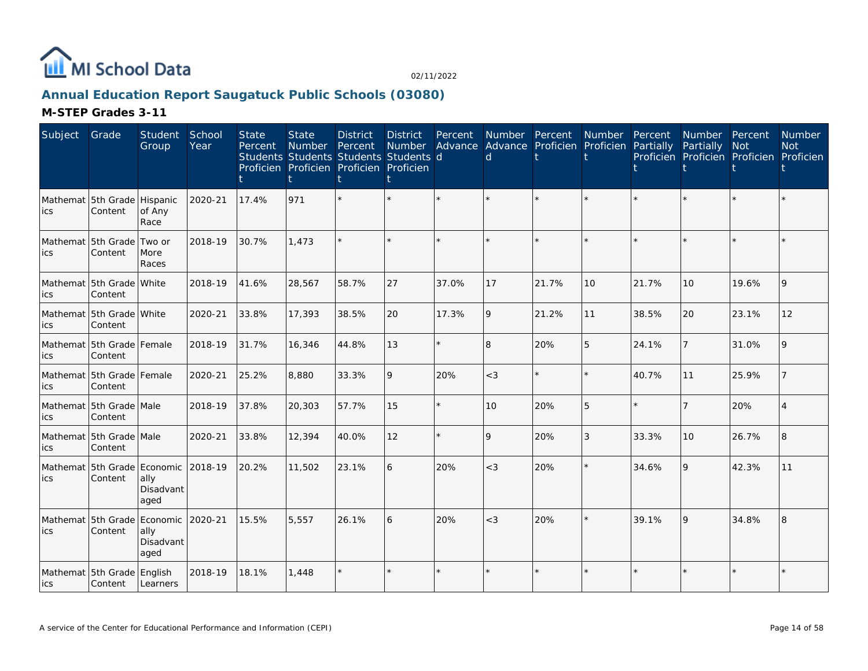

# **Annual Education Report Saugatuck Public Schools (03080)**

| Subject         | Grade                                  | Student<br>Group                      | School<br>Year | <b>State</b><br>Percent | <b>State</b><br><b>Number</b> | <b>District</b><br>Percent<br>Students Students Students Students d<br>Proficien Proficien Proficien Proficien | District<br><b>Number</b> | Percent<br>Advance | Number Percent<br><sub>d</sub> | Advance Proficien | Number<br>Proficien | Percent<br>Partially | Number Percent<br>Partially | <b>Not</b><br>Proficien Proficien Proficien Proficien | <b>Number</b><br><b>Not</b> |
|-----------------|----------------------------------------|---------------------------------------|----------------|-------------------------|-------------------------------|----------------------------------------------------------------------------------------------------------------|---------------------------|--------------------|--------------------------------|-------------------|---------------------|----------------------|-----------------------------|-------------------------------------------------------|-----------------------------|
| ics             | Mathemat 5th Grade Hispanic<br>Content | of Any<br>Race                        | 2020-21        | 17.4%                   | 971                           |                                                                                                                |                           |                    |                                |                   |                     |                      | ÷.                          |                                                       |                             |
| ics             | Mathemat 5th Grade<br>Content          | Two or<br>More<br>Races               | 2018-19        | 30.7%                   | 1.473                         |                                                                                                                |                           |                    |                                |                   |                     |                      |                             | $\star$                                               |                             |
| ics             | Mathemat 5th Grade White<br>Content    |                                       | 2018-19        | 41.6%                   | 28,567                        | 58.7%                                                                                                          | 27                        | 37.0%              | 17                             | 21.7%             | 10                  | 21.7%                | 10 <sup>°</sup>             | 19.6%                                                 | $\mathsf Q$                 |
| ics             | Mathemat 5th Grade White<br>Content    |                                       | 2020-21        | 33.8%                   | 17,393                        | 38.5%                                                                                                          | 20                        | 17.3%              | 9                              | 21.2%             | 11                  | 38.5%                | 20                          | 23.1%                                                 | 12                          |
| ics             | Mathemat 5th Grade Female<br>Content   |                                       | 2018-19        | 31.7%                   | 16,346                        | 44.8%                                                                                                          | 13                        |                    | 8                              | 20%               | 5                   | 24.1%                | $\overline{7}$              | 31.0%                                                 |                             |
| ics             | Mathemat 5th Grade Female<br>Content   |                                       | 2020-21        | 25.2%                   | 8,880                         | 33.3%                                                                                                          | 9                         | 20%                | $<$ 3                          | $\star$           | $\star$             | 40.7%                | 11                          | 25.9%                                                 |                             |
| ics             | Mathemat 5th Grade Male<br>Content     |                                       | 2018-19        | 37.8%                   | 20,303                        | 57.7%                                                                                                          | 15                        | $\star$            | 10                             | 20%               | 5                   |                      | $\overline{7}$              | 20%                                                   |                             |
| ics             | Mathemat 5th Grade Male<br>Content     |                                       | 2020-21        | 33.8%                   | 12,394                        | 40.0%                                                                                                          | 12                        |                    | 9                              | 20%               | 3                   | 33.3%                | 10                          | 26.7%                                                 | 8                           |
| ics             | Mathemat 5th Grade Economic<br>Content | ally<br>Disadvant<br>aged             | 2018-19        | 20.2%                   | 11,502                        | 23.1%                                                                                                          | 6                         | 20%                | $<$ 3                          | 20%               | $\star$             | 34.6%                | 9                           | 42.3%                                                 | 11                          |
| Mathemat<br>ics | 5th Grade<br>Content                   | Economic<br>ally<br>Disadvant<br>aged | 2020-21        | 15.5%                   | 5,557                         | 26.1%                                                                                                          | 6                         | 20%                | $<$ 3                          | 20%               | $\star$             | 39.1%                | 9                           | 34.8%                                                 | 8                           |
| lics            | Mathemat 5th Grade English<br>Content  | Learners                              | 2018-19        | 18.1%                   | 1,448                         |                                                                                                                |                           |                    |                                |                   |                     |                      | $\star$                     | $\star$                                               |                             |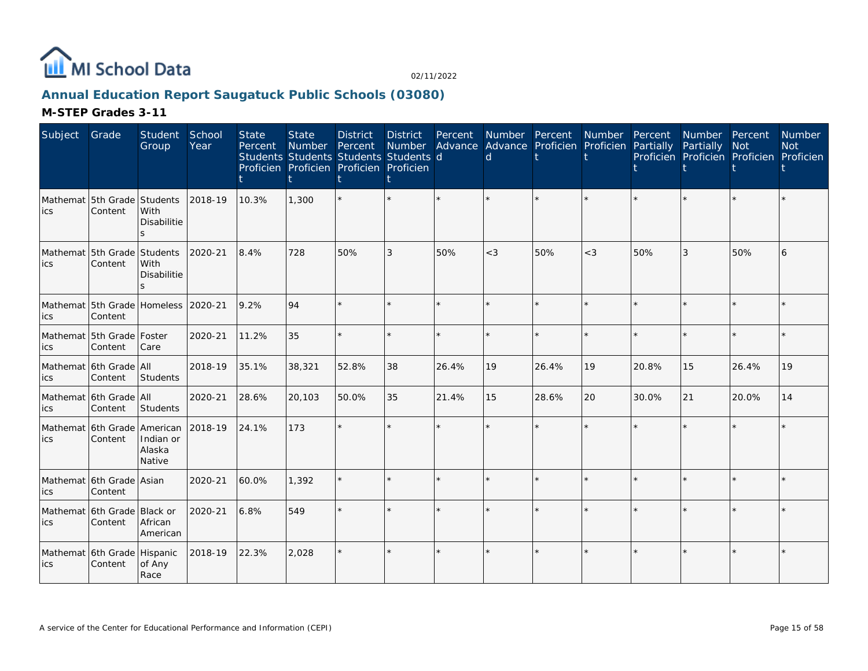

## **Annual Education Report Saugatuck Public Schools (03080)**

| Subject | Grade                                  | Student<br>Group                           | School<br>Year | <b>State</b><br>Percent | <b>State</b><br>Number Percent<br>Students Students Students Students d<br>Proficien Proficien Proficien Proficien | <b>District</b> | <b>District</b><br>Number | Percent | Number Percent<br>Advance Advance Proficien Proficien Partially<br>d |       | Number Percent |       | Number Percent<br>Partially<br>Proficien Proficien Proficien Proficien | <b>Not</b> | Number<br><b>Not</b> |
|---------|----------------------------------------|--------------------------------------------|----------------|-------------------------|--------------------------------------------------------------------------------------------------------------------|-----------------|---------------------------|---------|----------------------------------------------------------------------|-------|----------------|-------|------------------------------------------------------------------------|------------|----------------------|
| lics    | Mathemat 5th Grade<br>Content          | Students<br>With<br><b>Disabilitie</b>     | 2018-19        | 10.3%                   | 1,300                                                                                                              |                 |                           |         |                                                                      |       |                |       |                                                                        |            |                      |
| ics     | Mathemat 5th Grade Students<br>Content | With<br><b>Disabilitie</b><br>$\mathbf{S}$ | 2020-21        | 8.4%                    | 728                                                                                                                | 50%             | 3                         | 50%     | $<$ 3                                                                | 50%   | $<$ 3          | 50%   | 3                                                                      | 50%        | 6                    |
| ics     | Mathemat 5th Grade Homeless<br>Content |                                            | 2020-21        | 9.2%                    | 94                                                                                                                 |                 |                           |         |                                                                      |       | $\star$        |       |                                                                        | ÷          |                      |
| ics     | Mathemat 5th Grade Foster<br>Content   | Care                                       | 2020-21        | 11.2%                   | 35                                                                                                                 |                 |                           | $\star$ |                                                                      |       | $\star$        |       |                                                                        | $\star$    |                      |
| ics     | Mathemat 6th Grade<br>Content          | <b>AII</b><br>Students                     | 2018-19        | 35.1%                   | 38,321                                                                                                             | 52.8%           | 38                        | 26.4%   | 19                                                                   | 26.4% | 19             | 20.8% | 15                                                                     | 26.4%      | 19                   |
| ics     | Mathemat 6th Grade All<br>Content      | Students                                   | 2020-21        | 28.6%                   | 20,103                                                                                                             | 50.0%           | 35                        | 21.4%   | 15                                                                   | 28.6% | 20             | 30.0% | 21                                                                     | 20.0%      | 14                   |
| ics     | Mathemat 6th Grade American<br>Content | Indian or<br>Alaska<br>Native              | 2018-19        | 24.1%                   | 173                                                                                                                |                 |                           |         |                                                                      |       |                |       |                                                                        |            |                      |
| lics    | Mathemat 6th Grade Asian<br>Content    |                                            | 2020-21        | 60.0%                   | 1.392                                                                                                              |                 |                           |         |                                                                      |       | $\star$        |       |                                                                        | $\star$    |                      |
| lics    | Mathemat 6th Grade<br>Content          | <b>Black or</b><br>African<br>American     | 2020-21        | 6.8%                    | 549                                                                                                                |                 |                           |         |                                                                      |       |                |       |                                                                        |            |                      |
| lics    | Mathemat 6th Grade<br>Content          | Hispanic<br>of Any<br>Race                 | 2018-19        | 22.3%                   | 2,028                                                                                                              |                 |                           |         |                                                                      |       | $\star$        |       |                                                                        | $\star$    |                      |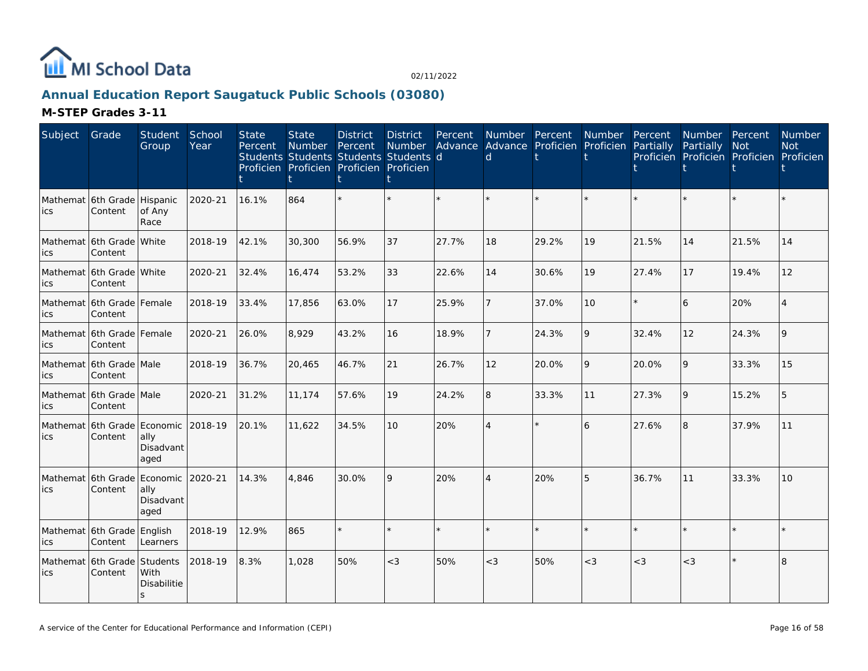

# **Annual Education Report Saugatuck Public Schools (03080)**

| Subject         | Grade                                   | <b>Student</b><br>Group                         | School<br>Year | <b>State</b><br>Percent | <b>State</b><br>Number | <b>District</b><br>Percent<br>Students Students Students Students d<br>Proficien Proficien Proficien Proficien | <b>District</b><br><b>Number</b> | Percent<br>Advance | <b>Number</b><br>Advance Proficien<br>$\mathsf{d}$ | Percent | Number<br>Proficien | Percent<br>Partially | Number Percent<br>Partially | <b>Not</b><br>Proficien Proficien Proficien Proficien | <b>Number</b><br><b>Not</b> |
|-----------------|-----------------------------------------|-------------------------------------------------|----------------|-------------------------|------------------------|----------------------------------------------------------------------------------------------------------------|----------------------------------|--------------------|----------------------------------------------------|---------|---------------------|----------------------|-----------------------------|-------------------------------------------------------|-----------------------------|
| ics             | Mathemat 6th Grade<br>Content           | Hispanic<br>of Any<br>Race                      | 2020-21        | 16.1%                   | 864                    |                                                                                                                |                                  | $\star$            |                                                    | ÷       | $\star$             |                      | ÷.                          | $\star$                                               |                             |
| ics             | Mathemat 6th Grade<br>Content           | <b>White</b>                                    | 2018-19        | 42.1%                   | 30,300                 | 56.9%                                                                                                          | 37                               | 27.7%              | 18                                                 | 29.2%   | 19                  | 21.5%                | 14                          | 21.5%                                                 | 14                          |
| ics             | Mathemat 6th Grade White<br>Content     |                                                 | 2020-21        | 32.4%                   | 16,474                 | 53.2%                                                                                                          | 33                               | 22.6%              | 14                                                 | 30.6%   | 19                  | 27.4%                | 17                          | 19.4%                                                 | 12                          |
| ics             | Mathemat 6th Grade Female<br>Content    |                                                 | 2018-19        | 33.4%                   | 17,856                 | 63.0%                                                                                                          | 17                               | 25.9%              |                                                    | 37.0%   | 10                  |                      | 6                           | 20%                                                   |                             |
| ics             | Mathemat l6th Grade   Female<br>Content |                                                 | 2020-21        | 26.0%                   | 8,929                  | 43.2%                                                                                                          | 16                               | 18.9%              |                                                    | 24.3%   | 9                   | 32.4%                | 12                          | 24.3%                                                 | $\mathsf{Q}$                |
| ics             | Mathemat 6th Grade Male<br>Content      |                                                 | 2018-19        | 36.7%                   | 20,465                 | 46.7%                                                                                                          | 21                               | 26.7%              | 12                                                 | 20.0%   | 9                   | 20.0%                | 9                           | 33.3%                                                 | 15                          |
| ics             | Mathemat 6th Grade Male<br>Content      |                                                 | 2020-21        | 31.2%                   | 11,174                 | 57.6%                                                                                                          | 19                               | 24.2%              | 8                                                  | 33.3%   | 11                  | 27.3%                | 9                           | 15.2%                                                 | 5                           |
| Mathemat<br>ics | 6th Grade<br>Content                    | Economic<br>ally<br>Disadvant<br>aged           | 2018-19        | 20.1%                   | 11,622                 | 34.5%                                                                                                          | 10                               | 20%                | $\overline{A}$                                     |         | 6                   | 27.6%                | 8                           | 37.9%                                                 | 11                          |
| ics             | Mathemat 6th Grade<br>Content           | Economic<br>ally<br>Disadvant<br>aged           | 2020-21        | 14.3%                   | 4.846                  | 30.0%                                                                                                          | 9                                | 20%                | $\overline{4}$                                     | 20%     | 5                   | 36.7%                | 11                          | 33.3%                                                 | 10 <sup>1</sup>             |
| ics             | Mathemat 6th Grade<br>Content           | English<br>Learners                             | 2018-19        | 12.9%                   | 865                    |                                                                                                                |                                  | $\star$            |                                                    | ÷.      | $\star$             |                      | ÷.                          | $\star$                                               |                             |
| ics             | Mathemat 6th Grade<br>Content           | Students<br>With<br>Disabilitie<br>$\mathsf{S}$ | 2018-19        | 8.3%                    | 1,028                  | 50%                                                                                                            | $<$ 3                            | 50%                | $<$ 3                                              | 50%     | $<$ 3               | $<$ 3                | $<$ 3                       | $\star$                                               | $\overline{8}$              |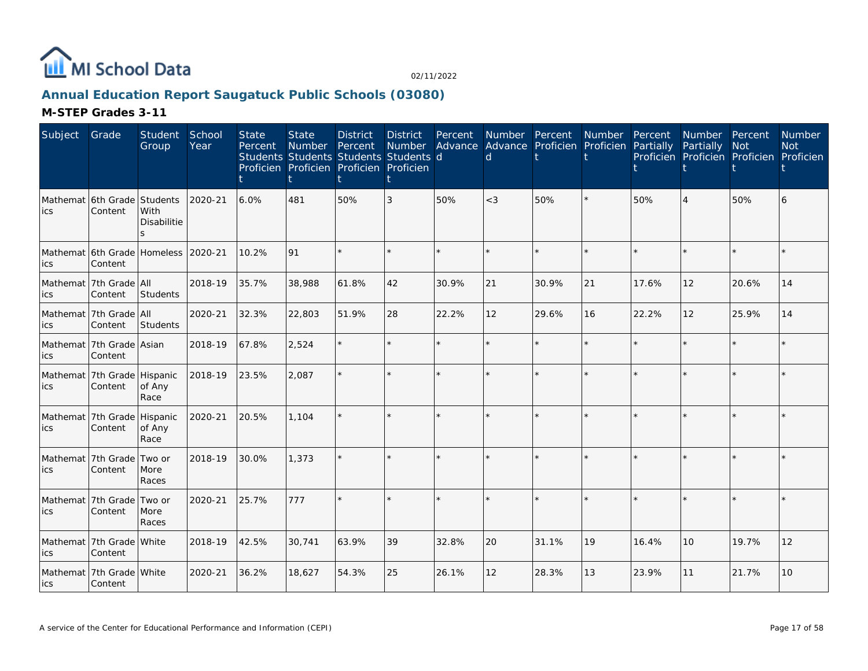

# **Annual Education Report Saugatuck Public Schools (03080)**

| Subject                    | Grade                                  | Student<br>Group        | School<br>Year | <b>State</b><br>Percent | <b>State</b><br>Number<br>Students Students Students Students d<br>Proficien Proficien Proficien Proficien | <b>District</b><br>Percent | <b>District</b><br><b>Number</b> | Percent | Number Percent<br>d | Advance Advance Proficien Proficien | <b>Number</b> | Percent<br>Partially | Number Percent<br>Partially<br>Proficien Proficien Proficien Proficien | <b>Not</b> | Number<br><b>Not</b> |
|----------------------------|----------------------------------------|-------------------------|----------------|-------------------------|------------------------------------------------------------------------------------------------------------|----------------------------|----------------------------------|---------|---------------------|-------------------------------------|---------------|----------------------|------------------------------------------------------------------------|------------|----------------------|
| ics                        | Mathemat 6th Grade Students<br>Content | With<br>Disabilitie     | 2020-21        | 6.0%                    | 481                                                                                                        | 50%                        | 3                                | 50%     | $<$ 3               | 50%                                 | $\star$       | 50%                  | $\overline{4}$                                                         | 50%        | 6                    |
| ics                        | Mathemat 6th Grade Homeless<br>Content |                         | 2020-21        | 10.2%                   | 91                                                                                                         |                            |                                  | $\star$ |                     |                                     | $\star$       | ÷                    |                                                                        | $\star$    |                      |
| ics                        | Mathemat   7th Grade   All<br>Content  | Students                | 2018-19        | 35.7%                   | 38,988                                                                                                     | 61.8%                      | 42                               | 30.9%   | 21                  | 30.9%                               | 21            | 17.6%                | 12                                                                     | 20.6%      | 14                   |
| ics                        | Mathemat   7th Grade   All<br>Content  | Students                | 2020-21        | 32.3%                   | 22,803                                                                                                     | 51.9%                      | 28                               | 22.2%   | 12                  | 29.6%                               | 16            | 22.2%                | 12                                                                     | 25.9%      | 14                   |
| lics                       | Mathemat 7th Grade Asian<br>Content    |                         | 2018-19        | 67.8%                   | 2,524                                                                                                      |                            |                                  |         |                     |                                     | $\star$       |                      |                                                                        | $\star$    |                      |
| lics                       | Mathemat 7th Grade Hispanic<br>Content | of Any<br>Race          | 2018-19        | 23.5%                   | 2,087                                                                                                      |                            |                                  |         |                     |                                     |               |                      |                                                                        | $\star$    |                      |
| ics                        | Mathemat 7th Grade Hispanic<br>Content | of Any<br>Race          | 2020-21        | 20.5%                   | 1,104                                                                                                      |                            |                                  |         |                     |                                     | $\star$       |                      |                                                                        | $\star$    |                      |
| Mathemat 7th Grade<br>lics | Content                                | Two or<br>More<br>Races | 2018-19        | 30.0%                   | 1,373                                                                                                      |                            |                                  |         |                     |                                     |               |                      |                                                                        |            |                      |
| ics                        | Mathemat 7th Grade<br>Content          | Two or<br>More<br>Races | 2020-21        | 25.7%                   | 777                                                                                                        |                            |                                  |         |                     |                                     |               |                      |                                                                        | $\star$    |                      |
| ics                        | Mathemat 7th Grade White<br>Content    |                         | 2018-19        | 42.5%                   | 30,741                                                                                                     | 63.9%                      | 39                               | 32.8%   | 20                  | 31.1%                               | 19            | 16.4%                | 10                                                                     | 19.7%      | 12                   |
| lics                       | Mathemat 7th Grade White<br>Content    |                         | 2020-21        | 36.2%                   | 18,627                                                                                                     | 54.3%                      | 25                               | 26.1%   | 12                  | 28.3%                               | 13            | 23.9%                | 11                                                                     | 21.7%      | 10                   |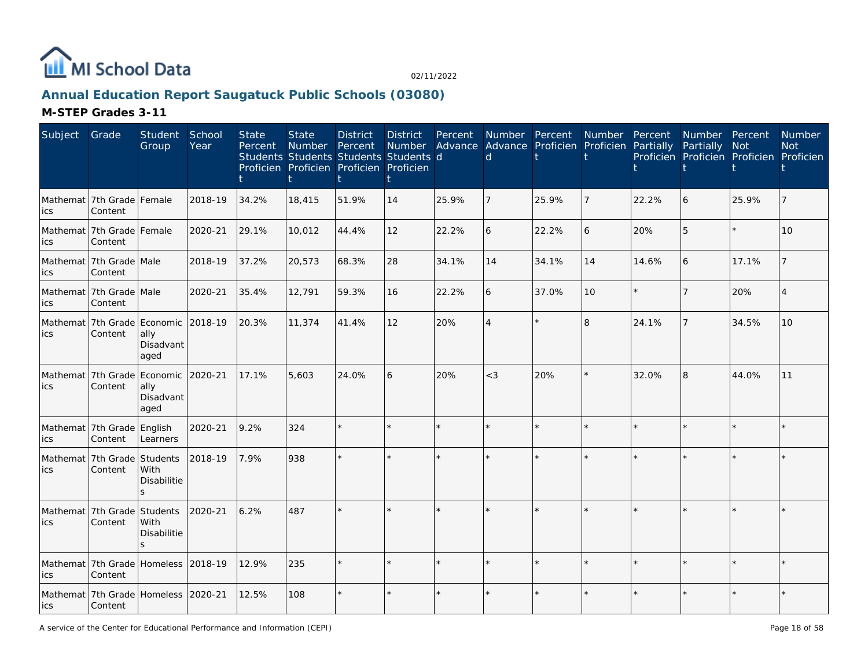

# **Annual Education Report Saugatuck Public Schools (03080)**

| Subject         | Grade                                          | Student<br>Group                                        | School<br>Year | <b>State</b><br>Percent | <b>State</b><br>Number | <b>District</b><br>Percent<br>Students Students Students Students d<br>Proficien Proficien Proficien Proficien | <b>District</b><br><b>Number</b> | Percent | <sub>d</sub>   | Number Percent<br>Advance Advance Proficien Proficien | Number  | Percent<br>Partially | Number Percent<br>Partially | <b>Not</b><br>Proficien Proficien Proficien Proficien | <b>Number</b><br><b>Not</b> |
|-----------------|------------------------------------------------|---------------------------------------------------------|----------------|-------------------------|------------------------|----------------------------------------------------------------------------------------------------------------|----------------------------------|---------|----------------|-------------------------------------------------------|---------|----------------------|-----------------------------|-------------------------------------------------------|-----------------------------|
| ics             | Mathemat   7th Grade   Female<br>Content       |                                                         | 2018-19        | 34.2%                   | 18,415                 | 51.9%                                                                                                          | 14                               | 25.9%   |                | 25.9%                                                 | 7       | 22.2%                | 6                           | 25.9%                                                 |                             |
| ics             | Mathemat   7th Grade   Female<br>Content       |                                                         | 2020-21        | 29.1%                   | 10,012                 | 44.4%                                                                                                          | 12                               | 22.2%   | 6              | 22.2%                                                 | 6       | 20%                  | 5                           | $\star$                                               | 10                          |
| ics             | Mathemat 7th Grade Male<br>Content             |                                                         | 2018-19        | 37.2%                   | 20,573                 | 68.3%                                                                                                          | 28                               | 34.1%   | 14             | 34.1%                                                 | 14      | 14.6%                | 6                           | 17.1%                                                 |                             |
| ics             | Mathemat 7th Grade Male<br>Content             |                                                         | 2020-21        | 35.4%                   | 12,791                 | 59.3%                                                                                                          | 16                               | 22.2%   | 6              | 37.0%                                                 | 10      |                      |                             | 20%                                                   |                             |
| Mathemat<br>ics | 7th Grade<br>Content                           | Economic<br>ally<br>Disadvant<br>aged                   | 2018-19        | 20.3%                   | 11,374                 | 41.4%                                                                                                          | 12                               | 20%     | $\overline{4}$ |                                                       | 8       | 24.1%                | $\overline{7}$              | 34.5%                                                 | 10                          |
| Mathemat<br>ics | 7th Grade<br>Content                           | Economic<br>ally<br>Disadvant<br>aged                   | 2020-21        | 17.1%                   | 5,603                  | 24.0%                                                                                                          | 6                                | 20%     | $<$ 3          | 20%                                                   | $\star$ | 32.0%                | 8                           | 44.0%                                                 | 11                          |
| ics             | Mathemat 7th Grade<br>Content                  | English<br>Learners                                     | 2020-21        | 9.2%                    | 324                    |                                                                                                                |                                  | $\star$ |                |                                                       | $\star$ |                      | $\star$                     | $\star$                                               |                             |
| Mathemat<br>ics | 7th Grade<br>Content                           | Students<br>With<br><b>Disabilitie</b><br>$\mathcal{S}$ | 2018-19        | 7.9%                    | 938                    |                                                                                                                |                                  | $\star$ |                |                                                       | $\star$ |                      |                             | $\star$                                               |                             |
| ics             | Mathemat 7th Grade<br>Content                  | Students<br>With<br>Disabilitie<br>$\mathbf{S}$         | 2020-21        | 6.2%                    | 487                    |                                                                                                                |                                  |         |                |                                                       |         |                      |                             | $\star$                                               |                             |
| ics             | Mathemat 7th Grade Homeless 2018-19<br>Content |                                                         |                | 12.9%                   | 235                    |                                                                                                                |                                  |         |                |                                                       | $\star$ |                      |                             | $\star$                                               |                             |
| lics            | Mathemat 7th Grade Homeless<br>Content         |                                                         | 2020-21        | 12.5%                   | 108                    |                                                                                                                |                                  |         |                | $\star$                                               |         |                      | $\star$                     |                                                       |                             |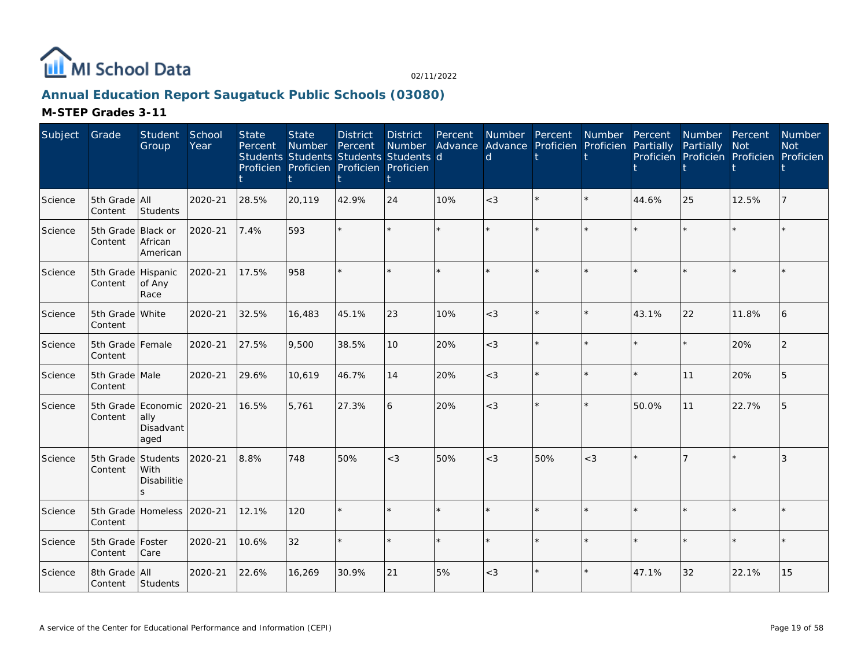

# **Annual Education Report Saugatuck Public Schools (03080)**

| Subject | Grade                         | Student<br>Group                                | School<br>Year | <b>State</b><br>Percent | <b>State</b><br><b>Number</b><br>Students Students Students Students d<br>Proficien Proficien Proficien Proficien | <b>District</b><br>Percent | <b>District</b><br>Number | Percent<br>Advance | Number Percent<br>$\mathsf{d}$ | Advance Proficien | Number<br>Proficien | Percent<br>Partially | Number Percent<br>Partially | <b>Not</b><br>Proficien Proficien Proficien Proficien | <b>Number</b><br><b>Not</b> |
|---------|-------------------------------|-------------------------------------------------|----------------|-------------------------|-------------------------------------------------------------------------------------------------------------------|----------------------------|---------------------------|--------------------|--------------------------------|-------------------|---------------------|----------------------|-----------------------------|-------------------------------------------------------|-----------------------------|
| Science | 5th Grade All<br>Content      | Students                                        | 2020-21        | 28.5%                   | 20,119                                                                                                            | 42.9%                      | 24                        | 10%                | $<$ 3                          |                   |                     | 44.6%                | 25                          | 12.5%                                                 |                             |
| Science | 5th Grade Black or<br>Content | African<br>American                             | 2020-21        | 7.4%                    | 593                                                                                                               |                            | $\star$                   |                    |                                |                   |                     |                      |                             |                                                       |                             |
| Science | 5th Grade Hispanic<br>Content | of Any<br>Race                                  | 2020-21        | 17.5%                   | 958                                                                                                               |                            | ÷.                        | $\star$            |                                |                   |                     |                      |                             | $\star$                                               |                             |
| Science | 5th Grade White<br>Content    |                                                 | 2020-21        | 32.5%                   | 16,483                                                                                                            | 45.1%                      | 23                        | 10%                | $<$ 3                          |                   | $\star$             | 43.1%                | 22                          | 11.8%                                                 | 6                           |
| Science | 5th Grade Female<br>Content   |                                                 | 2020-21        | 27.5%                   | 9,500                                                                                                             | 38.5%                      | 10                        | 20%                | $<$ 3                          |                   |                     |                      |                             | 20%                                                   | 2                           |
| Science | 5th Grade Male<br>Content     |                                                 | 2020-21        | 29.6%                   | 10,619                                                                                                            | 46.7%                      | 14                        | 20%                | $<$ 3                          |                   |                     |                      | 11                          | 20%                                                   | 5                           |
| Science | Content                       | 5th Grade Economic<br>ally<br>Disadvant<br>aged | 2020-21        | 16.5%                   | 5,761                                                                                                             | 27.3%                      | 6                         | 20%                | $<$ 3                          |                   | $\star$             | 50.0%                | 11                          | 22.7%                                                 |                             |
| Science | 5th Grade Students<br>Content | With<br>Disabilitie                             | 2020-21        | 8.8%                    | 748                                                                                                               | 50%                        | $<$ 3                     | 50%                | $<$ 3                          | 50%               | $<$ 3               |                      |                             |                                                       | 3                           |
| Science | Content                       | 5th Grade Homeless                              | 2020-21        | 12.1%                   | 120                                                                                                               |                            | $\star$                   | $\star$            |                                |                   | $\star$             |                      |                             | $\star$                                               |                             |
| Science | 5th Grade Foster<br>Content   | Care                                            | 2020-21        | 10.6%                   | 32                                                                                                                |                            | $\star$                   |                    |                                |                   |                     |                      |                             | $\star$                                               |                             |
| Science | 8th Grade All<br>Content      | Students                                        | 2020-21        | 22.6%                   | 16,269                                                                                                            | 30.9%                      | 21                        | 5%                 | $<$ 3                          |                   |                     | 47.1%                | 32                          | 22.1%                                                 | 15                          |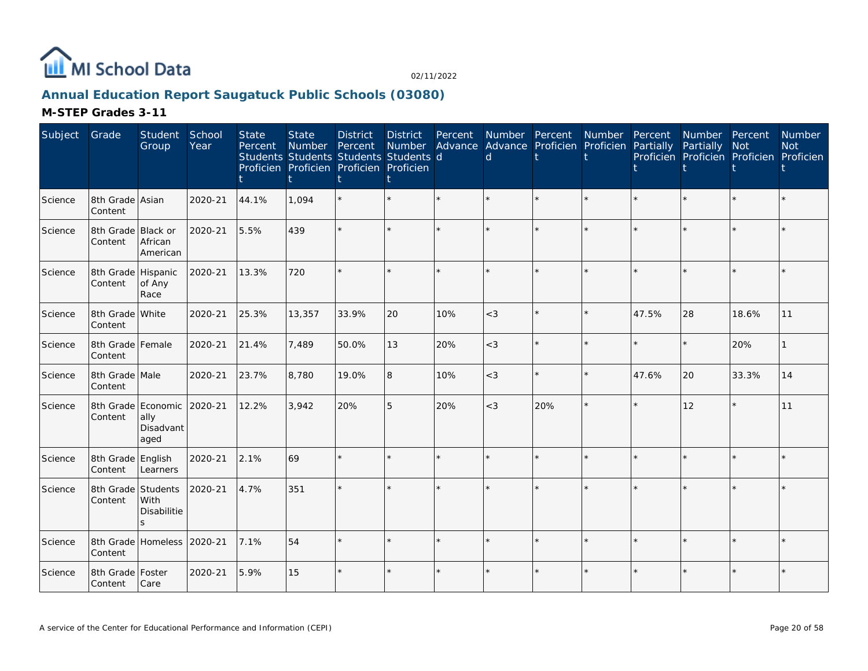

# **Annual Education Report Saugatuck Public Schools (03080)**

| Subject | Grade                         | Student<br>Group                                | School<br>Year | <b>State</b><br>Percent | <b>State</b><br><b>Number</b> | <b>District</b><br>Percent<br>Students Students Students Students d<br>Proficien Proficien Proficien Proficien | <b>District</b><br>Number | Percent<br>Advance | Number Percent<br><sub>d</sub> | Advance Proficien | Number<br>Proficien | Percent<br>Partially | Number Percent<br>Partially | Not<br>Proficien Proficien Proficien Proficien | Number<br><b>Not</b> |
|---------|-------------------------------|-------------------------------------------------|----------------|-------------------------|-------------------------------|----------------------------------------------------------------------------------------------------------------|---------------------------|--------------------|--------------------------------|-------------------|---------------------|----------------------|-----------------------------|------------------------------------------------|----------------------|
| Science | 8th Grade Asian<br>Content    |                                                 | 2020-21        | 44.1%                   | 1,094                         |                                                                                                                | $\star$                   |                    |                                |                   |                     |                      |                             |                                                |                      |
| Science | 8th Grade Black or<br>Content | African<br>American                             | 2020-21        | 5.5%                    | 439                           |                                                                                                                | $\star$                   |                    |                                |                   |                     |                      |                             | $\star$                                        |                      |
| Science | 8th Grade Hispanic<br>Content | of Any<br>Race                                  | 2020-21        | 13.3%                   | 720                           |                                                                                                                | $\star$                   | $\Phi$             |                                |                   |                     |                      |                             | $\star$                                        |                      |
| Science | 8th Grade White<br>Content    |                                                 | 2020-21        | 25.3%                   | 13,357                        | 33.9%                                                                                                          | 20                        | 10%                | $<$ 3                          |                   | $\star$             | 47.5%                | 28                          | 18.6%                                          | 11                   |
| Science | 8th Grade Female<br>Content   |                                                 | 2020-21        | 21.4%                   | 7,489                         | 50.0%                                                                                                          | 13                        | 20%                | $<$ 3                          |                   |                     |                      |                             | 20%                                            |                      |
| Science | 8th Grade Male<br>Content     |                                                 | 2020-21        | 23.7%                   | 8,780                         | 19.0%                                                                                                          | 8                         | 10%                | $<$ 3                          |                   | $\star$             | 47.6%                | 20                          | 33.3%                                          | 14                   |
| Science | Content                       | 8th Grade Economic<br>ally<br>Disadvant<br>aged | 2020-21        | 12.2%                   | 3,942                         | 20%                                                                                                            | 5                         | 20%                | $<$ 3                          | 20%               | $\star$             |                      | 12                          | $\star$                                        | 11                   |
| Science | 8th Grade English<br>Content  | Learners                                        | 2020-21        | 2.1%                    | 69                            |                                                                                                                | $\star$                   |                    |                                |                   |                     |                      |                             | $\star$                                        |                      |
| Science | 8th Grade Students<br>Content | <b>With</b><br><b>Disabilitie</b><br>S          | 2020-21        | 4.7%                    | 351                           |                                                                                                                | k.                        |                    |                                |                   |                     |                      |                             | $\star$                                        |                      |
| Science | Content                       | 8th Grade Homeless 2020-21                      |                | 7.1%                    | 54                            |                                                                                                                | $\star$                   |                    |                                |                   |                     |                      |                             | $\star$                                        |                      |
| Science | 8th Grade   Foster<br>Content | Care                                            | 2020-21        | 5.9%                    | 15                            |                                                                                                                | $\star$                   |                    |                                |                   |                     |                      |                             | $\star$                                        |                      |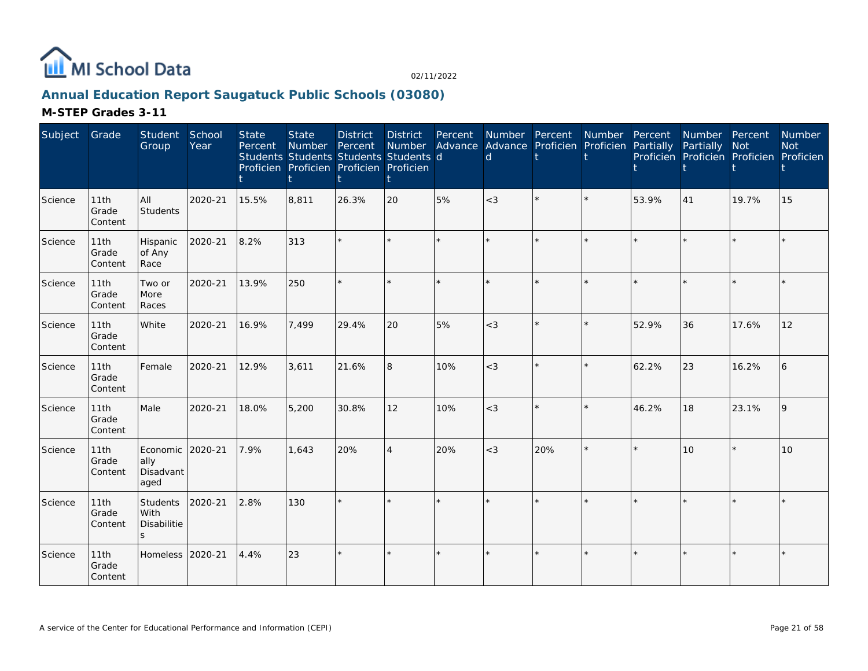

# **Annual Education Report Saugatuck Public Schools (03080)**

| Subject | Grade                    | <b>Student</b><br>Group                      | School<br>Year | <b>State</b><br>Percent | <b>State</b><br>Number | <b>District</b><br>Percent<br>Students Students Students Students d<br>Proficien Proficien Proficien Proficien | <b>District</b><br>Number | Percent<br>Advance | Number Percent<br>$\mathsf{d}$ | Advance Proficien Proficien | Number  | Percent<br>Partially | Number Percent<br>Partially<br>Proficien Proficien Proficien Proficien | <b>Not</b>    | Number<br><b>Not</b> |
|---------|--------------------------|----------------------------------------------|----------------|-------------------------|------------------------|----------------------------------------------------------------------------------------------------------------|---------------------------|--------------------|--------------------------------|-----------------------------|---------|----------------------|------------------------------------------------------------------------|---------------|----------------------|
| Science | 11th<br>Grade<br>Content | All<br>Students                              | 2020-21        | 15.5%                   | 8.811                  | 26.3%                                                                                                          | 20                        | 5%                 | $<$ 3                          |                             |         | 53.9%                | 41                                                                     | 19.7%         | 15                   |
| Science | 11th<br>Grade<br>Content | Hispanic<br>of Any<br>Race                   | 2020-21        | 8.2%                    | 313                    | ÷                                                                                                              | $\star$                   | $\star$            | $\star$                        |                             |         | ÷                    |                                                                        | $\star$       |                      |
| Science | 11th<br>Grade<br>Content | Two or<br>More<br>Races                      | 2020-21        | 13.9%                   | 250                    |                                                                                                                | $\star$                   | $\star$            |                                |                             | $\star$ |                      |                                                                        | $\star$       |                      |
| Science | 11th<br>Grade<br>Content | White                                        | 2020-21        | 16.9%                   | 7,499                  | 29.4%                                                                                                          | 20                        | 5%                 | $<$ 3                          |                             | $\star$ | 52.9%                | 36                                                                     | 17.6%         | 12                   |
| Science | 11th<br>Grade<br>Content | Female                                       | 2020-21        | 12.9%                   | 3,611                  | 21.6%                                                                                                          | 8                         | 10%                | $<$ 3                          |                             | $\star$ | 62.2%                | 23                                                                     | 16.2%         |                      |
| Science | 11th<br>Grade<br>Content | Male                                         | 2020-21        | 18.0%                   | 5,200                  | 30.8%                                                                                                          | 12                        | 10%                | $<$ 3                          |                             | $\star$ | 46.2%                | 18                                                                     | 23.1%         | 9                    |
| Science | 11th<br>Grade<br>Content | Economic<br>ally<br>Disadvant<br>aged        | 2020-21        | 7.9%                    | 1,643                  | 20%                                                                                                            | $\overline{\mathcal{L}}$  | 20%                | $<$ 3                          | 20%                         | $\star$ |                      | 10                                                                     | $\star$       | 10                   |
| Science | 11th<br>Grade<br>Content | Students<br><b>With</b><br>Disabilitie<br>S. | 2020-21        | 2.8%                    | 130                    |                                                                                                                | é.                        |                    |                                |                             |         |                      |                                                                        | $\ddot{\psi}$ |                      |
| Science | 11th<br>Grade<br>Content | Homeless 2020-21                             |                | 4.4%                    | 23                     |                                                                                                                | $\star$                   |                    |                                |                             |         |                      |                                                                        |               |                      |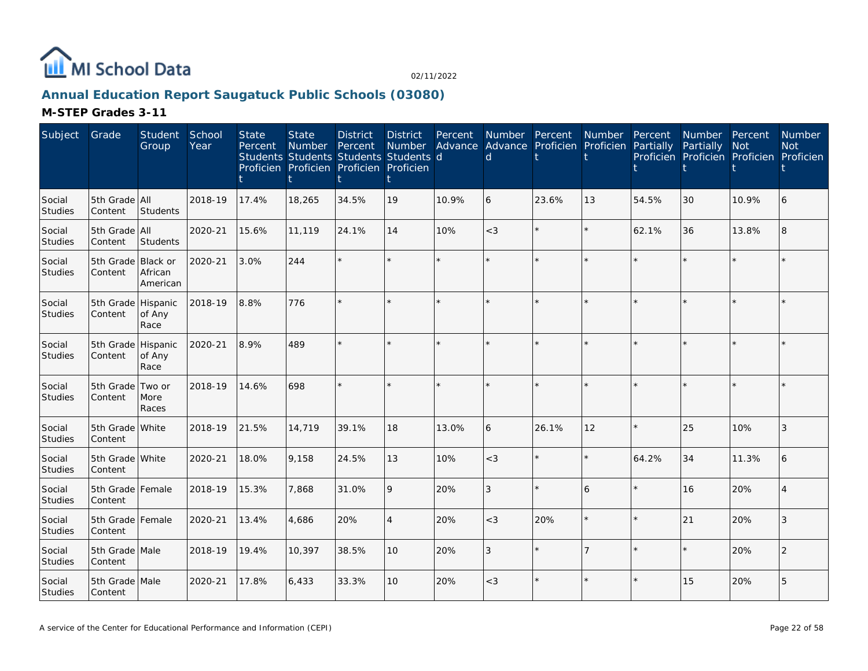

# **Annual Education Report Saugatuck Public Schools (03080)**

| Subject                  | Grade                         | Student<br>Group                       | School<br>Year | <b>State</b><br>Percent | <b>State</b><br>Number | <b>District</b><br>Percent<br>Students Students Students Students d<br>Proficien Proficien Proficien Proficien | <b>District</b><br><b>Number</b><br>ŧ | Percent<br>Advance | Number Percent<br>Advance Proficien<br>d |         | Number<br>Proficien | Percent<br>Partially | Number Percent<br>Partially | Not<br>Proficien Proficien Proficien Proficien | <b>Number</b><br><b>Not</b> |
|--------------------------|-------------------------------|----------------------------------------|----------------|-------------------------|------------------------|----------------------------------------------------------------------------------------------------------------|---------------------------------------|--------------------|------------------------------------------|---------|---------------------|----------------------|-----------------------------|------------------------------------------------|-----------------------------|
| Social<br><b>Studies</b> | 5th Grade All<br>Content      | Students                               | 2018-19        | 17.4%                   | 18,265                 | 34.5%                                                                                                          | 19                                    | 10.9%              | 6                                        | 23.6%   | 13                  | 54.5%                | 30                          | 10.9%                                          | 6                           |
| Social<br><b>Studies</b> | 5th Grade All<br>Content      | Students                               | 2020-21        | 15.6%                   | 11,119                 | 24.1%                                                                                                          | 14                                    | 10%                | $\lt3$                                   | $\star$ | $\star$             | 62.1%                | 36                          | 13.8%                                          | 8                           |
| Social<br><b>Studies</b> | 5th Grade<br>Content          | <b>Black or</b><br>African<br>American | 2020-21        | 3.0%                    | 244                    |                                                                                                                |                                       | $\star$            |                                          | ×.      | $\star$             |                      | $\star$                     | $\star$                                        |                             |
| Social<br>Studies        | 5th Grade Hispanic<br>Content | of Any<br>Race                         | 2018-19        | 8.8%                    | 776                    |                                                                                                                |                                       | $\star$            | ý,                                       |         | $\star$             |                      | ÷.                          | $\star$                                        |                             |
| Social<br><b>Studies</b> | 5th Grade<br>Content          | Hispanic<br>of Any<br>Race             | 2020-21        | 8.9%                    | 489                    |                                                                                                                |                                       | $\star$            |                                          | $\star$ | $\star$             |                      | $\star$                     | $\star$                                        |                             |
| Social<br><b>Studies</b> | 5th Grade<br>Content          | Two or<br>More<br>Races                | 2018-19        | 14.6%                   | 698                    |                                                                                                                |                                       |                    |                                          |         | $\star$             |                      | ÷.                          | $\star$                                        |                             |
| Social<br>Studies        | 5th Grade White<br>Content    |                                        | 2018-19        | 21.5%                   | 14,719                 | 39.1%                                                                                                          | 18                                    | 13.0%              | 6                                        | 26.1%   | 12                  |                      | 25                          | 10%                                            | 3                           |
| Social<br><b>Studies</b> | 5th Grade White<br>Content    |                                        | 2020-21        | 18.0%                   | 9,158                  | 24.5%                                                                                                          | 13                                    | 10%                | $<$ 3                                    | ÷.      | $\star$             | 64.2%                | 34                          | 11.3%                                          | 6                           |
| Social<br><b>Studies</b> | 5th Grade Female<br>Content   |                                        | 2018-19        | 15.3%                   | 7.868                  | 31.0%                                                                                                          | 9                                     | 20%                | 3                                        |         | 6                   |                      | 16                          | 20%                                            | $\overline{A}$              |
| Social<br><b>Studies</b> | 5th Grade Female<br>Content   |                                        | 2020-21        | 13.4%                   | 4,686                  | 20%                                                                                                            | $\overline{4}$                        | 20%                | $<$ 3                                    | 20%     | $\star$             |                      | 21                          | 20%                                            | 3                           |
| Social<br>Studies        | 5th Grade Male<br>Content     |                                        | 2018-19        | 19.4%                   | 10,397                 | 38.5%                                                                                                          | 10                                    | 20%                | 3                                        | ×.      | $\overline{7}$      |                      | $\star$                     | 20%                                            | $\overline{2}$              |
| Social<br>Studies        | 5th Grade Male<br>Content     |                                        | 2020-21        | 17.8%                   | 6,433                  | 33.3%                                                                                                          | 10                                    | 20%                | $<$ 3                                    | $\star$ | $\star$             |                      | 15                          | 20%                                            | 5                           |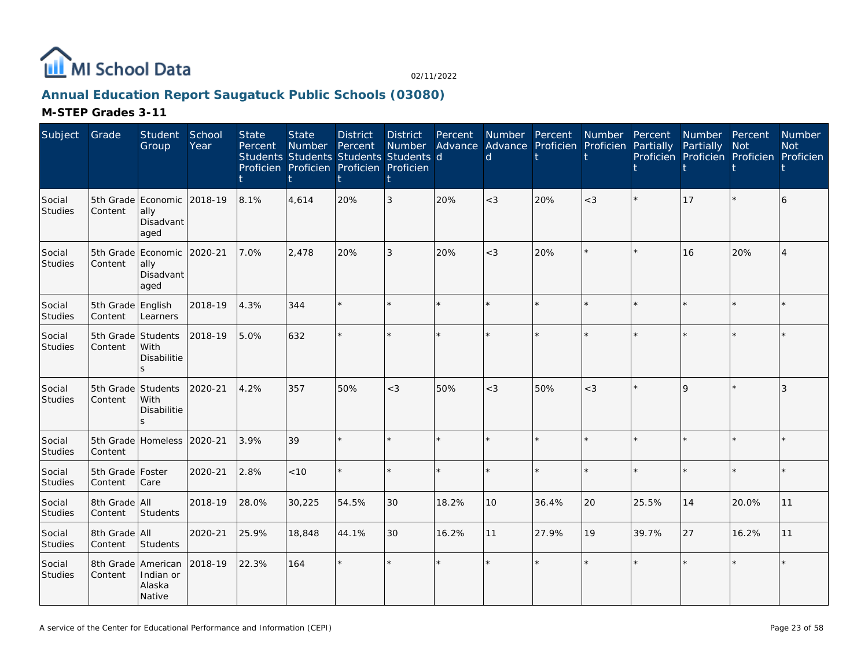

# **Annual Education Report Saugatuck Public Schools (03080)**

| Subject                  | Grade                         | Student<br>Group                                        | School<br>Year | <b>State</b><br>Percent | <b>State</b><br><b>Number</b><br>Students Students Students Students d<br>Proficien Proficien Proficien Proficien | <b>District</b><br>Percent | <b>District</b><br>Number<br>t | Percent | Number Percent<br>Advance Advance Proficien<br>$\mathsf{d}$ |         | Number<br>Proficien | Percent<br>Partially | Number Percent<br>Partially | Not<br>Proficien Proficien Proficien Proficien | Number<br><b>Not</b> |
|--------------------------|-------------------------------|---------------------------------------------------------|----------------|-------------------------|-------------------------------------------------------------------------------------------------------------------|----------------------------|--------------------------------|---------|-------------------------------------------------------------|---------|---------------------|----------------------|-----------------------------|------------------------------------------------|----------------------|
| Social<br><b>Studies</b> | Content                       | 5th Grade Economic 2018-19<br>ally<br>Disadvant<br>aged |                | 8.1%                    | 4,614                                                                                                             | 20%                        | 3                              | 20%     | $<$ 3                                                       | 20%     | $<$ 3               |                      | 17                          | $\star$                                        | 6                    |
| Social<br>Studies        | Content                       | 5th Grade Economic 2020-21<br>ally<br>Disadvant<br>aged |                | 7.0%                    | 2,478                                                                                                             | 20%                        | 3                              | 20%     | $<$ 3                                                       | 20%     | $\star$             |                      | 16                          | 20%                                            | $\overline{4}$       |
| Social<br>Studies        | 5th Grade English<br>Content  | Learners                                                | 2018-19        | 4.3%                    | 344                                                                                                               |                            | $\star$                        |         |                                                             | $\star$ |                     |                      |                             |                                                |                      |
| Social<br>Studies        | 5th Grade<br>Content          | Students<br>With<br><b>Disabilitie</b><br>S             | 2018-19        | 5.0%                    | 632                                                                                                               |                            | $\star$                        | ÷       |                                                             | $\star$ |                     |                      |                             |                                                |                      |
| Social<br>Studies        | 5th Grade Students<br>Content | With<br>Disabilitie<br>S                                | 2020-21        | 4.2%                    | 357                                                                                                               | 50%                        | $<$ 3                          | 50%     | $<$ 3                                                       | 50%     | $<$ 3               |                      | $\mathsf{Q}$                | $\star$                                        | 3                    |
| Social<br><b>Studies</b> | 5th Grade<br>Content          | Homeless                                                | 2020-21        | 3.9%                    | 39                                                                                                                |                            |                                |         |                                                             | $\star$ |                     |                      |                             |                                                |                      |
| Social<br><b>Studies</b> | 5th Grade<br>Content          | Foster<br>Care                                          | 2020-21        | 2.8%                    | < 10                                                                                                              |                            | $\star$                        |         |                                                             | $\star$ | $\star$             |                      |                             |                                                |                      |
| Social<br>Studies        | 8th Grade All<br>Content      | Students                                                | 2018-19        | 28.0%                   | 30,225                                                                                                            | 54.5%                      | 30                             | 18.2%   | 10                                                          | 36.4%   | 20                  | 25.5%                | 14                          | 20.0%                                          | 11                   |
| Social<br>Studies        | 8th Grade All<br>Content      | Students                                                | 2020-21        | 25.9%                   | 18,848                                                                                                            | 44.1%                      | 30                             | 16.2%   | 11                                                          | 27.9%   | 19                  | 39.7%                | 27                          | 16.2%                                          | 11                   |
| Social<br><b>Studies</b> | 8th Grade American<br>Content | Indian or<br>Alaska<br>Native                           | 2018-19        | 22.3%                   | 164                                                                                                               | $\star$                    | $\star$                        |         |                                                             | $\star$ |                     |                      |                             | $\star$                                        |                      |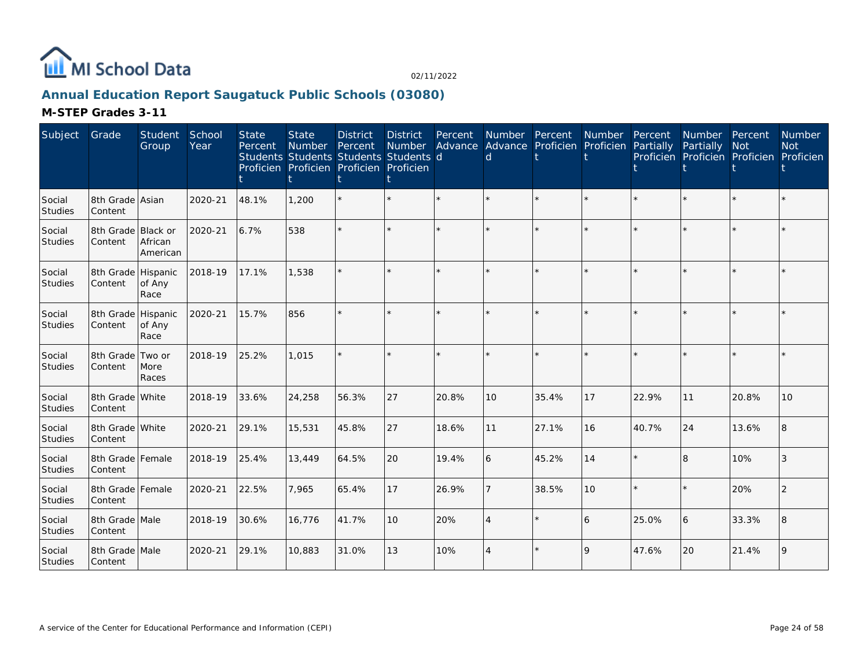

# **Annual Education Report Saugatuck Public Schools (03080)**

| Subject                  | Grade                         | Student<br>Group        | School<br>Year | <b>State</b><br>Percent | <b>State</b><br>Number<br>Students Students Students Students d<br>Proficien Proficien Proficien Proficien | <b>District</b><br>Percent | <b>District</b><br>Number | Percent | Number Percent<br>d |       | Number<br>Advance Advance Proficien Proficien | Percent<br>Partially | Number Percent<br>Partially<br>Proficien Proficien Proficien Proficien | <b>Not</b> | <b>Number</b><br><b>Not</b> |
|--------------------------|-------------------------------|-------------------------|----------------|-------------------------|------------------------------------------------------------------------------------------------------------|----------------------------|---------------------------|---------|---------------------|-------|-----------------------------------------------|----------------------|------------------------------------------------------------------------|------------|-----------------------------|
| Social<br>Studies        | 8th Grade Asian<br>Content    |                         | 2020-21        | 48.1%                   | 1,200                                                                                                      |                            |                           |         |                     |       | $\star$                                       |                      |                                                                        |            |                             |
| Social<br>Studies        | 8th Grade Black or<br>Content | African<br>American     | 2020-21        | 6.7%                    | 538                                                                                                        |                            |                           | ÷.      |                     |       | $\star$                                       |                      |                                                                        | ÷          |                             |
| Social<br>Studies        | 8th Grade Hispanic<br>Content | of Any<br>Race          | 2018-19        | 17.1%                   | 1,538                                                                                                      |                            |                           |         |                     |       | ÷                                             |                      |                                                                        | ÷          |                             |
| Social<br>Studies        | 8th Grade Hispanic<br>Content | of Any<br>Race          | 2020-21        | 15.7%                   | 856                                                                                                        |                            |                           |         |                     |       |                                               |                      |                                                                        |            |                             |
| Social<br>Studies        | 8th Grade<br>Content          | Two or<br>More<br>Races | 2018-19        | 25.2%                   | 1,015                                                                                                      |                            |                           |         |                     |       |                                               |                      |                                                                        | ÷          |                             |
| Social<br>Studies        | 8th Grade White<br>Content    |                         | 2018-19        | 33.6%                   | 24,258                                                                                                     | 56.3%                      | 27                        | 20.8%   | 10                  | 35.4% | 17                                            | 22.9%                | 11                                                                     | 20.8%      | 10                          |
| Social<br>Studies        | 8th Grade White<br>Content    |                         | 2020-21        | 29.1%                   | 15,531                                                                                                     | 45.8%                      | 27                        | 18.6%   | 11                  | 27.1% | 16                                            | 40.7%                | 24                                                                     | 13.6%      | 8                           |
| Social<br><b>Studies</b> | 8th Grade Female<br>Content   |                         | 2018-19        | 25.4%                   | 13,449                                                                                                     | 64.5%                      | 20                        | 19.4%   | 6                   | 45.2% | 14                                            |                      | 8                                                                      | 10%        | 3                           |
| Social<br><b>Studies</b> | 8th Grade Female<br>Content   |                         | 2020-21        | 22.5%                   | 7,965                                                                                                      | 65.4%                      | 17                        | 26.9%   |                     | 38.5% | 10                                            |                      |                                                                        | 20%        | $\mathcal{P}$               |
| Social<br>Studies        | 8th Grade Male<br>Content     |                         | 2018-19        | 30.6%                   | 16,776                                                                                                     | 41.7%                      | 10                        | 20%     | $\overline{A}$      |       | 6                                             | 25.0%                | 6                                                                      | 33.3%      | 8                           |
| Social<br>Studies        | 8th Grade Male<br>Content     |                         | 2020-21        | 29.1%                   | 10,883                                                                                                     | 31.0%                      | 13                        | 10%     |                     |       | 9                                             | 47.6%                | 20                                                                     | 21.4%      | 9                           |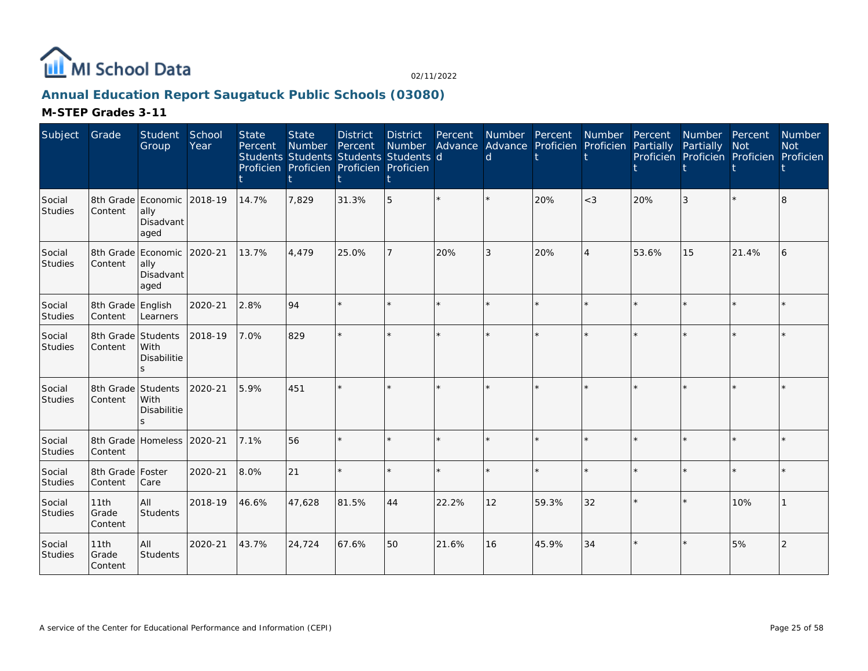

# **Annual Education Report Saugatuck Public Schools (03080)**

| Subject           | Grade                         | <b>Student</b><br>Group                         | School<br>Year | <b>State</b><br>Percent | <b>State</b><br>Number<br>Students Students Students Students d<br>Proficien Proficien Proficien Proficien | <b>District</b><br>Percent | <b>District</b><br>Number | Percent | <sub>d</sub> | Number Percent<br>Advance Advance Proficien Proficien | Number         | Percent<br>Partially | Number Percent<br>Partially<br>Proficien Proficien Proficien Proficien | <b>Not</b> | Number<br><b>Not</b> |
|-------------------|-------------------------------|-------------------------------------------------|----------------|-------------------------|------------------------------------------------------------------------------------------------------------|----------------------------|---------------------------|---------|--------------|-------------------------------------------------------|----------------|----------------------|------------------------------------------------------------------------|------------|----------------------|
| Social<br>Studies | Content                       | 8th Grade Economic<br>ally<br>Disadvant<br>aged | 2018-19        | 14.7%                   | 7,829                                                                                                      | 31.3%                      | 5                         |         |              | 20%                                                   | $<\!3$         | 20%                  | 3                                                                      |            | 8                    |
| Social<br>Studies | Content                       | 8th Grade Economic<br>ally<br>Disadvant<br>aged | 2020-21        | 13.7%                   | 4,479                                                                                                      | 25.0%                      | $\overline{7}$            | 20%     | 3            | 20%                                                   | $\overline{4}$ | 53.6%                | 15                                                                     | 21.4%      |                      |
| Social<br>Studies | 8th Grade English<br>Content  | Learners                                        | 2020-21        | 2.8%                    | 94                                                                                                         |                            | ÷.                        |         |              |                                                       |                |                      |                                                                        | $\star$    |                      |
| Social<br>Studies | 8th Grade Students<br>Content | With<br>Disabilitie<br>$\mathbf{S}$             | 2018-19        | 7.0%                    | 829                                                                                                        |                            | k.                        |         |              |                                                       |                |                      |                                                                        | ÷          |                      |
| Social<br>Studies | Content                       | 8th Grade Students<br>With<br>Disabilitie<br>S. | 2020-21        | 5.9%                    | 451                                                                                                        |                            | $\star$                   |         |              |                                                       |                |                      |                                                                        | $\Phi$     |                      |
| Social<br>Studies | Content                       | 8th Grade Homeless 2020-21                      |                | 7.1%                    | 56                                                                                                         |                            | $\star$                   | $\star$ |              |                                                       | $\star$        |                      |                                                                        | $\star$    |                      |
| Social<br>Studies | 8th Grade Foster<br>Content   | Care                                            | 2020-21        | 8.0%                    | 21                                                                                                         |                            | $\star$                   | $\star$ |              |                                                       |                |                      |                                                                        | $\star$    |                      |
| Social<br>Studies | 11th<br>Grade<br>Content      | AII<br>Students                                 | 2018-19        | 46.6%                   | 47,628                                                                                                     | 81.5%                      | 44                        | 22.2%   | 12           | 59.3%                                                 | 32             |                      |                                                                        | 10%        |                      |
| Social<br>Studies | 11th<br>Grade<br>Content      | All<br>Students                                 | 2020-21        | 43.7%                   | 24,724                                                                                                     | 67.6%                      | 50                        | 21.6%   | 16           | 45.9%                                                 | 34             |                      |                                                                        | 5%         | 2                    |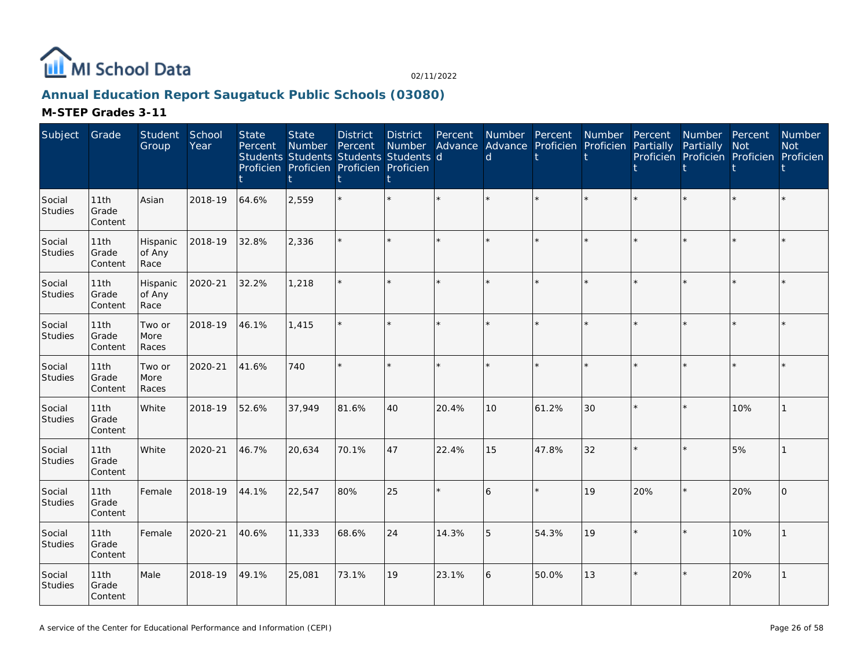

# **Annual Education Report Saugatuck Public Schools (03080)**

| Subject                  | Grade                    | Student<br>Group           | School<br>Year | <b>State</b><br>Percent | <b>State</b><br>Number | <b>District</b><br>Percent<br>Students Students Students Students d<br>Proficien Proficien Proficien Proficien | <b>District</b><br>Number | Percent<br>Advance | Number Percent<br><sub>d</sub> | Advance Proficien Proficien | Number  | Percent<br>Partially | Number Percent<br>Partially | Not<br>Proficien Proficien Proficien Proficien | <b>Number</b><br><b>Not</b> |
|--------------------------|--------------------------|----------------------------|----------------|-------------------------|------------------------|----------------------------------------------------------------------------------------------------------------|---------------------------|--------------------|--------------------------------|-----------------------------|---------|----------------------|-----------------------------|------------------------------------------------|-----------------------------|
| Social<br><b>Studies</b> | 11th<br>Grade<br>Content | Asian                      | 2018-19        | 64.6%                   | 2,559                  |                                                                                                                |                           | $\star$            |                                |                             | $\star$ |                      |                             | $\star$                                        |                             |
| Social<br>Studies        | 11th<br>Grade<br>Content | Hispanic<br>of Any<br>Race | 2018-19        | 32.8%                   | 2,336                  |                                                                                                                |                           | $\star$            |                                |                             | $\star$ |                      | $\star$                     | $\star$                                        |                             |
| Social<br><b>Studies</b> | 11th<br>Grade<br>Content | Hispanic<br>of Any<br>Race | 2020-21        | 32.2%                   | 1,218                  |                                                                                                                |                           | $\star$            | ý,                             | ×.                          | $\star$ | ×                    | $\star$                     | $\star$                                        |                             |
| Social<br>Studies        | 11th<br>Grade<br>Content | Two or<br>More<br>Races    | 2018-19        | 46.1%                   | 1,415                  |                                                                                                                |                           | $\star$            |                                |                             | $\star$ |                      | ÷.                          | $\star$                                        |                             |
| Social<br>Studies        | 11th<br>Grade<br>Content | Two or<br>More<br>Races    | 2020-21        | 41.6%                   | 740                    |                                                                                                                |                           | $\star$            |                                | ×.                          | $\star$ |                      | ×.                          | $\star$                                        |                             |
| Social<br>Studies        | 11th<br>Grade<br>Content | White                      | 2018-19        | 52.6%                   | 37,949                 | 81.6%                                                                                                          | 40                        | 20.4%              | 10                             | 61.2%                       | 30      |                      | $\star$                     | 10%                                            |                             |
| Social<br>Studies        | 11th<br>Grade<br>Content | White                      | 2020-21        | 46.7%                   | 20,634                 | 70.1%                                                                                                          | 47                        | 22.4%              | 15                             | 47.8%                       | 32      |                      | ×.                          | 5%                                             |                             |
| Social<br>Studies        | 11th<br>Grade<br>Content | Female                     | 2018-19        | 44.1%                   | 22,547                 | 80%                                                                                                            | 25                        | $\star$            | 6                              |                             | 19      | 20%                  | $\star$                     | 20%                                            | $\Omega$                    |
| Social<br>Studies        | 11th<br>Grade<br>Content | Female                     | 2020-21        | 40.6%                   | 11,333                 | 68.6%                                                                                                          | 24                        | 14.3%              | 5                              | 54.3%                       | 19      | $\star$              | $\star$                     | 10%                                            |                             |
| Social<br>Studies        | 11th<br>Grade<br>Content | Male                       | 2018-19        | 49.1%                   | 25,081                 | 73.1%                                                                                                          | 19                        | 23.1%              | 6                              | 50.0%                       | 13      |                      | $\star$                     | 20%                                            |                             |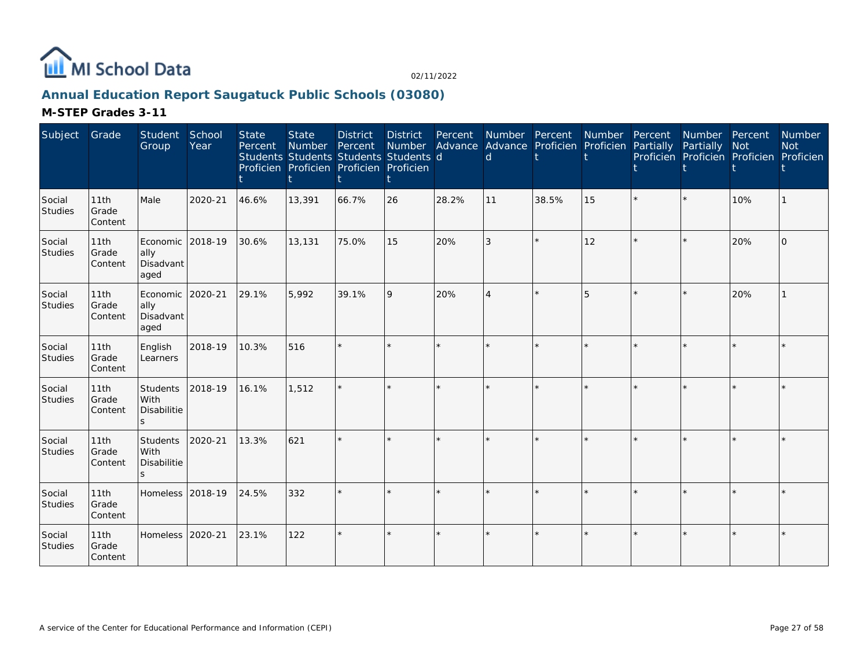

# **Annual Education Report Saugatuck Public Schools (03080)**

| Subject           | Grade                    | Student<br>Group                                        | School<br>Year | <b>State</b><br>Percent | <b>State</b><br>Number | <b>District</b><br>Percent<br>Students Students Students Students d<br>Proficien Proficien Proficien Proficien | District | Percent | Number Percent<br>d | Number Advance Advance Proficien Proficien | Number  | Percent<br>Partially | Number Percent<br>Partially | <b>Not</b><br>Proficien Proficien Proficien Proficien | Number<br><b>Not</b> |
|-------------------|--------------------------|---------------------------------------------------------|----------------|-------------------------|------------------------|----------------------------------------------------------------------------------------------------------------|----------|---------|---------------------|--------------------------------------------|---------|----------------------|-----------------------------|-------------------------------------------------------|----------------------|
| Social<br>Studies | 11th<br>Grade<br>Content | Male                                                    | 2020-21        | 46.6%                   | 13,391                 | 66.7%                                                                                                          | 26       | 28.2%   | 11                  | 38.5%                                      | 15      |                      | $\star$                     | 10%                                                   |                      |
| Social<br>Studies | 11th<br>Grade<br>Content | Economic<br>ally<br>Disadvant<br>aged                   | 2018-19        | 30.6%                   | 13,131                 | 75.0%                                                                                                          | 15       | 20%     | 3                   |                                            | 12      |                      | $\star$                     | 20%                                                   | $\overline{O}$       |
| Social<br>Studies | 11th<br>Grade<br>Content | Economic<br>ally<br>Disadvant<br>aged                   | 2020-21        | 29.1%                   | 5,992                  | 39.1%                                                                                                          | 9        | 20%     | $\overline{4}$      | $\star$                                    | 5       |                      | $\star$                     | 20%                                                   |                      |
| Social<br>Studies | 11th<br>Grade<br>Content | English<br>Learners                                     | 2018-19        | 10.3%                   | 516                    |                                                                                                                |          | $\star$ |                     | ×.                                         | $\star$ |                      | $\star$                     | $\star$                                               |                      |
| Social<br>Studies | 11th<br>Grade<br>Content | Students<br>With<br>Disabilitie<br>S.                   | 2018-19        | 16.1%                   | 1.512                  |                                                                                                                |          |         |                     |                                            |         |                      | $\star$                     |                                                       |                      |
| Social<br>Studies | 11th<br>Grade<br>Content | Students<br>With<br><b>Disabilitie</b><br>$\mathcal{S}$ | 2020-21        | 13.3%                   | 621                    |                                                                                                                |          |         |                     |                                            |         |                      |                             | $\star$                                               |                      |
| Social<br>Studies | 11th<br>Grade<br>Content | Homeless 2018-19                                        |                | 24.5%                   | 332                    |                                                                                                                |          | $\star$ |                     | $\star$                                    | $\star$ |                      | $\star$                     | $\star$                                               |                      |
| Social<br>Studies | 11th<br>Grade<br>Content | Homeless 2020-21                                        |                | 23.1%                   | 122                    |                                                                                                                |          |         |                     |                                            |         |                      | ×.                          | $\star$                                               |                      |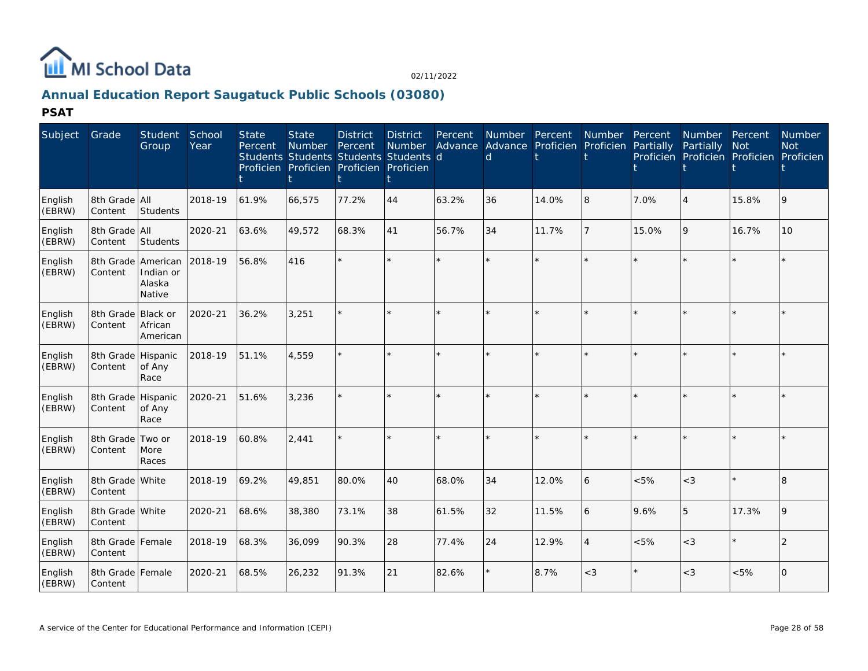

# **Annual Education Report Saugatuck Public Schools (03080)**

| Subject           | Grade                         | <b>Student</b><br>Group                             | School<br>Year | <b>State</b><br>Percent | <b>State</b><br>Number | <b>District</b><br>Percent<br>Students Students Students Students d<br>Proficien Proficien Proficien Proficien | <b>District</b><br>Number | Percent | Number Percent<br>d | Advance Advance Proficien Proficien | Number         | Percent<br>Partially | <b>Number</b><br>Partially | Percent<br><b>Not</b><br>Proficien Proficien Proficien | <b>Number</b><br><b>Not</b><br>Proficien |
|-------------------|-------------------------------|-----------------------------------------------------|----------------|-------------------------|------------------------|----------------------------------------------------------------------------------------------------------------|---------------------------|---------|---------------------|-------------------------------------|----------------|----------------------|----------------------------|--------------------------------------------------------|------------------------------------------|
| English<br>(EBRW) | 8th Grade All<br>Content      | <b>Students</b>                                     | 2018-19        | 61.9%                   | 66,575                 | 77.2%                                                                                                          | 44                        | 63.2%   | 36                  | 14.0%                               | 8              | 7.0%                 | $\overline{4}$             | 15.8%                                                  | 9                                        |
| English<br>(EBRW) | 8th Grade All<br>Content      | Students                                            | 2020-21        | 63.6%                   | 49,572                 | 68.3%                                                                                                          | 41                        | 56.7%   | 34                  | 11.7%                               | 7              | 15.0%                | 9                          | 16.7%                                                  | 10                                       |
| English<br>(EBRW) | Content                       | 8th Grade American<br>Indian or<br>Alaska<br>Native | 2018-19        | 56.8%                   | 416                    |                                                                                                                | $\star$                   |         |                     |                                     |                |                      |                            |                                                        |                                          |
| English<br>(EBRW) | 8th Grade Black or<br>Content | African<br>American                                 | 2020-21        | 36.2%                   | 3,251                  |                                                                                                                | $\star$                   |         |                     |                                     |                |                      |                            |                                                        |                                          |
| English<br>(EBRW) | 8th Grade Hispanic<br>Content | of Any<br>Race                                      | 2018-19        | 51.1%                   | 4,559                  |                                                                                                                | $\star$                   | $\star$ |                     |                                     |                |                      |                            | $\star$                                                |                                          |
| English<br>(EBRW) | 8th Grade Hispanic<br>Content | of Any<br>Race                                      | 2020-21        | 51.6%                   | 3,236                  |                                                                                                                | $\star$                   | $\Phi$  |                     |                                     |                |                      |                            | $\star$                                                |                                          |
| English<br>(EBRW) | 8th Grade Two or<br>Content   | More<br>Races                                       | 2018-19        | 60.8%                   | 2,441                  |                                                                                                                | ÷.                        |         |                     |                                     | $\star$        |                      |                            | $\star$                                                |                                          |
| English<br>(EBRW) | 8th Grade White<br>Content    |                                                     | 2018-19        | 69.2%                   | 49,851                 | 80.0%                                                                                                          | 40                        | 68.0%   | 34                  | 12.0%                               | 6              | $<5\%$               | $<$ 3                      | $\star$                                                | 8                                        |
| English<br>(EBRW) | 8th Grade White<br>Content    |                                                     | 2020-21        | 68.6%                   | 38,380                 | 73.1%                                                                                                          | 38                        | 61.5%   | 32                  | 11.5%                               | 6              | 9.6%                 | 5                          | 17.3%                                                  | $\mathsf{Q}$                             |
| English<br>(EBRW) | 8th Grade Female<br>Content   |                                                     | 2018-19        | 68.3%                   | 36,099                 | 90.3%                                                                                                          | 28                        | 77.4%   | 24                  | 12.9%                               | $\overline{4}$ | $<5\%$               | $<$ 3                      | $\star$                                                | $\overline{2}$                           |
| English<br>(EBRW) | 8th Grade Female<br>Content   |                                                     | 2020-21        | 68.5%                   | 26,232                 | 91.3%                                                                                                          | 21                        | 82.6%   |                     | 8.7%                                | $<$ 3          |                      | $<$ 3                      | < 5%                                                   | $\Omega$                                 |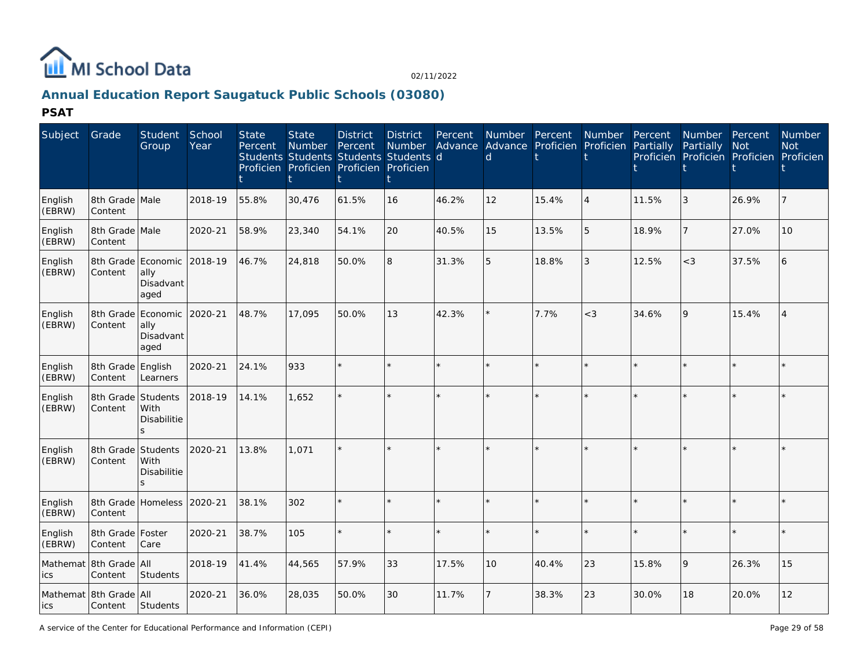

# **Annual Education Report Saugatuck Public Schools (03080)**

| Subject           | Grade                             | <b>Student</b><br>Group                          | School<br>Year | <b>State</b><br>Percent | <b>State</b><br><b>Number</b><br>Students Students Students Students d<br>Proficien Proficien Proficien Proficien | <b>District</b><br>Percent | <b>District</b><br><b>Number</b> | Percent<br>Advance | Number Percent<br>Advance Proficien Proficien<br>$\mathsf{d}$ |         | <b>Number</b>  | Percent<br>Partially | Number<br>Partially<br>Proficien Proficien Proficien Proficien | Percent<br><b>Not</b> | <b>Number</b><br><b>Not</b> |
|-------------------|-----------------------------------|--------------------------------------------------|----------------|-------------------------|-------------------------------------------------------------------------------------------------------------------|----------------------------|----------------------------------|--------------------|---------------------------------------------------------------|---------|----------------|----------------------|----------------------------------------------------------------|-----------------------|-----------------------------|
| English<br>(EBRW) | 8th Grade Male<br>Content         |                                                  | 2018-19        | 55.8%                   | 30.476                                                                                                            | 61.5%                      | 16                               | 46.2%              | 12                                                            | 15.4%   | $\overline{4}$ | 11.5%                | 3                                                              | 26.9%                 |                             |
| English<br>(EBRW) | 8th Grade Male<br>Content         |                                                  | 2020-21        | 58.9%                   | 23,340                                                                                                            | 54.1%                      | 20                               | 40.5%              | 15                                                            | 13.5%   | 5              | 18.9%                | 7                                                              | 27.0%                 | 10                          |
| English<br>(EBRW) | 8th Grade<br>Content              | Economic<br>ally<br>Disadvant<br>aged            | 2018-19        | 46.7%                   | 24,818                                                                                                            | 50.0%                      | 8                                | 31.3%              | 5                                                             | 18.8%   | $\sqrt{3}$     | 12.5%                | $<$ 3                                                          | 37.5%                 |                             |
| English<br>(EBRW) | 8th Grade<br>Content              | Economic<br>ally<br>Disadvant<br>aged            | 2020-21        | 48.7%                   | 17,095                                                                                                            | 50.0%                      | 13                               | 42.3%              |                                                               | 7.7%    | $<$ 3          | 34.6%                | 9                                                              | 15.4%                 |                             |
| English<br>(EBRW) | 8th Grade<br>Content              | English<br>Learners                              | 2020-21        | 24.1%                   | 933                                                                                                               |                            |                                  |                    |                                                               | $\star$ |                |                      | $\star$                                                        |                       |                             |
| English<br>(EBRW) | 8th Grade<br>Content              | Students<br>With<br><b>Disabilitie</b><br>S      | 2018-19        | 14.1%                   | 1,652                                                                                                             |                            |                                  |                    |                                                               |         |                |                      | $\star$                                                        |                       |                             |
| English<br>(EBRW) | 8th Grade<br>Content              | Students<br>With<br>Disabilitie<br>$\mathcal{S}$ | 2020-21        | 13.8%                   | 1.071                                                                                                             |                            |                                  |                    |                                                               | ×       |                |                      | ×                                                              |                       |                             |
| English<br>(EBRW) | 8th Grade<br>Content              | Homeless                                         | 2020-21        | 38.1%                   | 302                                                                                                               |                            |                                  |                    |                                                               | $\star$ |                |                      | $\star$                                                        |                       |                             |
| English<br>(EBRW) | 8th Grade<br>Content              | Foster<br>Care                                   | 2020-21        | 38.7%                   | 105                                                                                                               |                            |                                  |                    |                                                               | ×.      |                |                      | $\star$                                                        |                       |                             |
| ics               | Mathemat 8th Grade All<br>Content | Students                                         | 2018-19        | 41.4%                   | 44,565                                                                                                            | 57.9%                      | 33                               | 17.5%              | 10                                                            | 40.4%   | 23             | 15.8%                | 9                                                              | 26.3%                 | 15                          |
| lics              | Mathemat 8th Grade All<br>Content | Students                                         | 2020-21        | 36.0%                   | 28,035                                                                                                            | 50.0%                      | 30                               | 11.7%              |                                                               | 38.3%   | 23             | 30.0%                | 18                                                             | 20.0%                 | 12                          |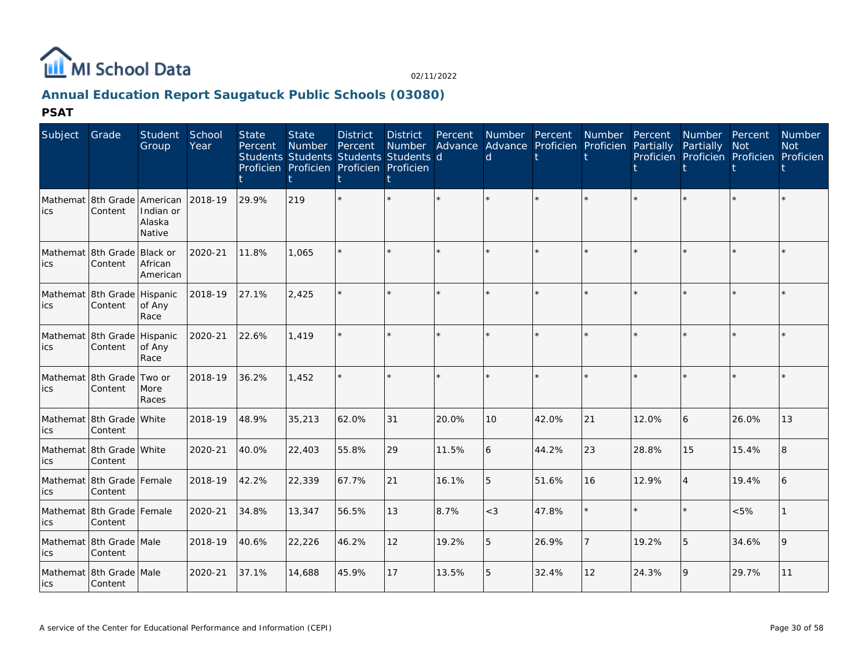

# **Annual Education Report Saugatuck Public Schools (03080)**

| Subject         | Grade                                  | Student<br>Group                          | School<br>Year | <b>State</b><br>Percent | State<br>Number<br>Students Students Students Students d<br>Proficien Proficien Proficien Proficien | <b>District</b><br>Percent | <b>District</b><br>Number | Percent | d               | Number Percent<br>Advance Advance Proficien Proficien | Number  | Percent<br>Partially | Number Percent<br>Partially<br>Proficien Proficien Proficien Proficien | <b>Not</b> | Number<br><b>Not</b> |
|-----------------|----------------------------------------|-------------------------------------------|----------------|-------------------------|-----------------------------------------------------------------------------------------------------|----------------------------|---------------------------|---------|-----------------|-------------------------------------------------------|---------|----------------------|------------------------------------------------------------------------|------------|----------------------|
| Mathemat<br>ics | 8th Grade<br>Content                   | American<br>Indian or<br>Alaska<br>Native | 2018-19        | 29.9%                   | 219                                                                                                 |                            | $\star$                   |         |                 |                                                       |         |                      |                                                                        |            |                      |
| ics             | Mathemat 8th Grade<br>Content          | <b>Black or</b><br>African<br>American    | 2020-21        | 11.8%                   | 1.065                                                                                               |                            | $\star$                   |         |                 | $\star$                                               |         |                      |                                                                        |            |                      |
| ics             | Mathemat 8th Grade<br>Content          | Hispanic<br>of Any<br>Race                | 2018-19        | 27.1%                   | 2,425                                                                                               |                            |                           | $\star$ |                 |                                                       | $\star$ |                      |                                                                        | $\star$    |                      |
| ics             | Mathemat 8th Grade<br>Content          | Hispanic<br>of Any<br>Race                | 2020-21        | 22.6%                   | 1.419                                                                                               |                            | $\star$                   |         |                 | $\star$                                               |         |                      |                                                                        | $\star$    |                      |
| ics             | Mathemat 8th Grade<br>Content          | Two or<br>More<br>Races                   | 2018-19        | 36.2%                   | 1,452                                                                                               |                            | ÷.                        | $\star$ |                 | $\star$                                               | $\star$ |                      |                                                                        | $\star$    |                      |
| ics             | Mathemat 18th Grade   White<br>Content |                                           | 2018-19        | 48.9%                   | 35,213                                                                                              | 62.0%                      | 31                        | 20.0%   | 10 <sup>°</sup> | 42.0%                                                 | 21      | 12.0%                | 6                                                                      | 26.0%      | 13                   |
| ics             | Mathemat 8th Grade White<br>Content    |                                           | 2020-21        | 40.0%                   | 22,403                                                                                              | 55.8%                      | 29                        | 11.5%   | 6               | 44.2%                                                 | 23      | 28.8%                | 15                                                                     | 15.4%      | 8                    |
| ics             | Mathemat 8th Grade Female<br>Content   |                                           | 2018-19        | 42.2%                   | 22,339                                                                                              | 67.7%                      | 21                        | 16.1%   | 5               | 51.6%                                                 | 16      | 12.9%                | $\overline{4}$                                                         | 19.4%      | 6                    |
| ics             | Mathemat 8th Grade Female<br>Content   |                                           | 2020-21        | 34.8%                   | 13,347                                                                                              | 56.5%                      | 13                        | 8.7%    | $<$ 3           | 47.8%                                                 | $\star$ |                      |                                                                        | $< 5\%$    |                      |
| ics             | Mathemat 8th Grade Male<br>Content     |                                           | 2018-19        | 40.6%                   | 22,226                                                                                              | 46.2%                      | 12                        | 19.2%   | 5               | 26.9%                                                 | 7       | 19.2%                | 5                                                                      | 34.6%      | 9                    |
| lics.           | Mathemat 8th Grade Male<br>Content     |                                           | 2020-21        | 37.1%                   | 14,688                                                                                              | 45.9%                      | 17                        | 13.5%   | 5               | 32.4%                                                 | 12      | 24.3%                | 9                                                                      | 29.7%      | 11                   |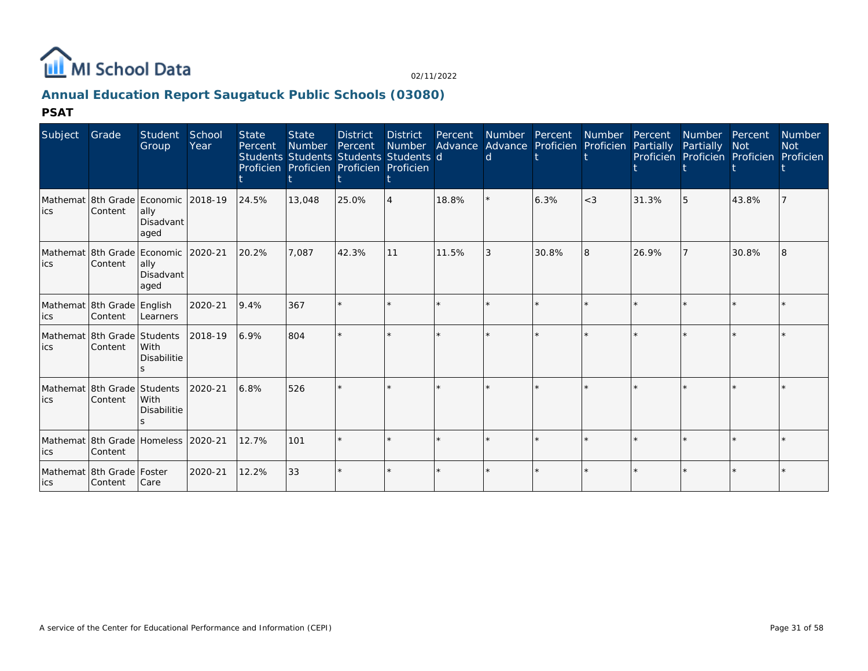

# **Annual Education Report Saugatuck Public Schools (03080)**

| Subject | Grade                                          | Student<br>Group                  | School<br>Year | <b>State</b><br>Percent | <b>State</b><br>Number | <b>District</b><br>Percent<br>Students Students Students Students d<br>Proficien Proficien Proficien Proficien | <b>District</b><br><b>Number</b> | Percent | Number Percent<br>$\mathsf{d}$ | Advance Advance Proficien Proficien | <b>Number</b> | Percent<br>Partially | Number Percent<br>Partially<br>Proficien Proficien Proficien Proficien | <b>Not</b> | <b>Number</b><br><b>Not</b> |
|---------|------------------------------------------------|-----------------------------------|----------------|-------------------------|------------------------|----------------------------------------------------------------------------------------------------------------|----------------------------------|---------|--------------------------------|-------------------------------------|---------------|----------------------|------------------------------------------------------------------------|------------|-----------------------------|
| lics    | Mathemat 8th Grade Economic 2018-19<br>Content | ally<br>Disadvant<br>aged         |                | 24.5%                   | 13,048                 | 25.0%                                                                                                          | <b>4</b>                         | 18.8%   |                                | 6.3%                                | $<$ 3         | 31.3%                | 5                                                                      | 43.8%      |                             |
| lics    | Mathemat 8th Grade Economic 2020-21<br>Content | ally<br>Disadvant<br>aged         |                | 20.2%                   | 7.087                  | 42.3%                                                                                                          | 11                               | 11.5%   |                                | 30.8%                               | 8             | 26.9%                |                                                                        | 30.8%      |                             |
| ics     | Mathemat 8th Grade English<br>Content          | Learners                          | 2020-21        | 9.4%                    | 367                    |                                                                                                                |                                  |         |                                | ÷.                                  |               |                      | ÷.                                                                     |            |                             |
| ics     | Mathemat 8th Grade Students<br>Content         | <b>With</b><br><b>Disabilitie</b> | 2018-19        | 6.9%                    | 804                    |                                                                                                                |                                  |         |                                |                                     |               |                      | ÷                                                                      |            |                             |
| lics    | Mathemat 8th Grade Students<br>Content         | With<br><b>Disabilitie</b>        | 2020-21        | 6.8%                    | 526                    |                                                                                                                |                                  |         |                                | ÷                                   |               |                      | $\star$                                                                |            |                             |
| ics     | Mathemat 8th Grade Homeless 2020-21<br>Content |                                   |                | 12.7%                   | 101                    |                                                                                                                |                                  |         |                                | $\star$                             |               |                      | ÷                                                                      |            |                             |
| lics    | Mathemat 8th Grade Foster<br>Content           | Care                              | 2020-21        | 12.2%                   | 33                     |                                                                                                                |                                  |         |                                |                                     |               |                      | ÷                                                                      |            |                             |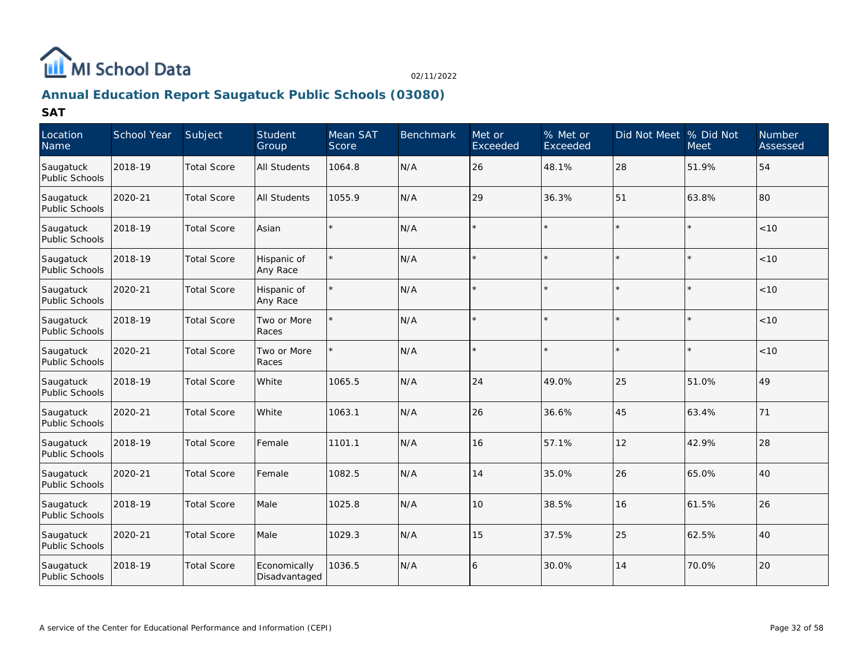

# **Annual Education Report Saugatuck Public Schools (03080)**

| Location<br>Name            | School Year | Subject            | Student<br>Group              | Mean SAT<br>Score | <b>Benchmark</b> | Met or<br>Exceeded | % Met or<br>Exceeded | Did Not Meet | % Did Not<br><b>Meet</b> | <b>Number</b><br>Assessed |
|-----------------------------|-------------|--------------------|-------------------------------|-------------------|------------------|--------------------|----------------------|--------------|--------------------------|---------------------------|
| Saugatuck<br>Public Schools | 2018-19     | <b>Total Score</b> | <b>All Students</b>           | 1064.8            | N/A              | 26                 | 48.1%                | 28           | 51.9%                    | 54                        |
| Saugatuck<br>Public Schools | 2020-21     | <b>Total Score</b> | All Students                  | 1055.9            | N/A              | 29                 | 36.3%                | 51           | 63.8%                    | 80                        |
| Saugatuck<br>Public Schools | 2018-19     | <b>Total Score</b> | Asian                         |                   | N/A              |                    |                      |              |                          | $<10$                     |
| Saugatuck<br>Public Schools | 2018-19     | <b>Total Score</b> | Hispanic of<br>Any Race       | $\star$           | N/A              | $\star$            |                      |              |                          | < 10                      |
| Saugatuck<br>Public Schools | 2020-21     | <b>Total Score</b> | Hispanic of<br>Any Race       | $\star$           | N/A              |                    |                      |              |                          | < 10                      |
| Saugatuck<br>Public Schools | 2018-19     | <b>Total Score</b> | Two or More<br>Races          |                   | N/A              | $\star$            |                      |              |                          | $<10$                     |
| Saugatuck<br>Public Schools | 2020-21     | <b>Total Score</b> | Two or More<br>Races          |                   | N/A              | $\star$            |                      |              |                          | < 10                      |
| Saugatuck<br>Public Schools | 2018-19     | <b>Total Score</b> | White                         | 1065.5            | N/A              | 24                 | 49.0%                | 25           | 51.0%                    | 49                        |
| Saugatuck<br>Public Schools | 2020-21     | <b>Total Score</b> | White                         | 1063.1            | N/A              | 26                 | 36.6%                | 45           | 63.4%                    | 71                        |
| Saugatuck<br>Public Schools | 2018-19     | <b>Total Score</b> | Female                        | 1101.1            | N/A              | 16                 | 57.1%                | 12           | 42.9%                    | 28                        |
| Saugatuck<br>Public Schools | 2020-21     | <b>Total Score</b> | Female                        | 1082.5            | N/A              | 14                 | 35.0%                | 26           | 65.0%                    | 40                        |
| Saugatuck<br>Public Schools | 2018-19     | <b>Total Score</b> | Male                          | 1025.8            | N/A              | 10                 | 38.5%                | 16           | 61.5%                    | 26                        |
| Saugatuck<br>Public Schools | 2020-21     | <b>Total Score</b> | Male                          | 1029.3            | N/A              | 15                 | 37.5%                | 25           | 62.5%                    | 40                        |
| Saugatuck<br>Public Schools | 2018-19     | <b>Total Score</b> | Economically<br>Disadvantaged | 1036.5            | N/A              | 6                  | 30.0%                | 14           | 70.0%                    | 20                        |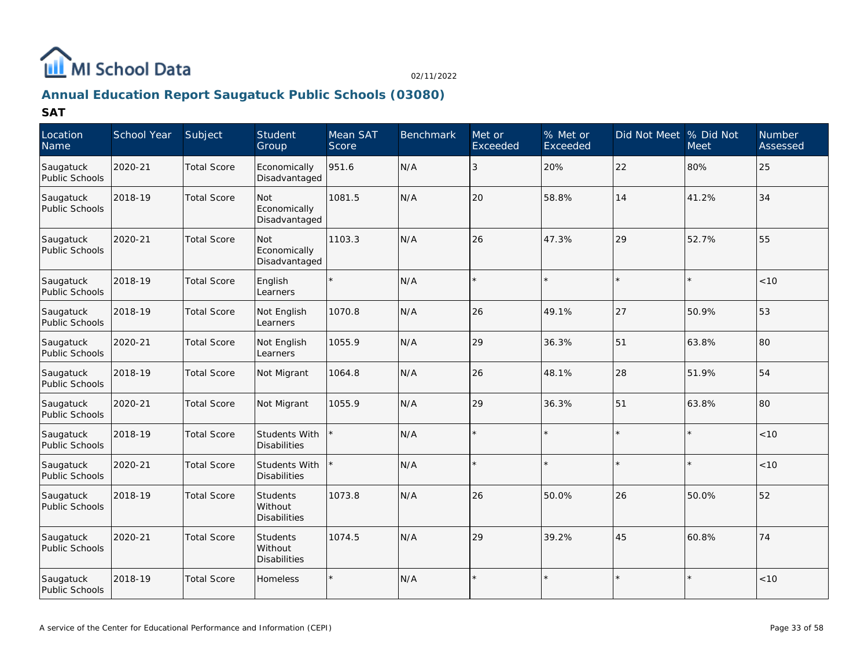

# **Annual Education Report Saugatuck Public Schools (03080)**

| Location<br>Name            | School Year | Subject            | Student<br>Group                                  | Mean SAT<br>Score | <b>Benchmark</b> | Met or<br>Exceeded | % Met or<br>Exceeded | Did Not Meet % Did Not | Meet  | <b>Number</b><br>Assessed |
|-----------------------------|-------------|--------------------|---------------------------------------------------|-------------------|------------------|--------------------|----------------------|------------------------|-------|---------------------------|
| Saugatuck<br>Public Schools | 2020-21     | <b>Total Score</b> | Economically<br>Disadvantaged                     | 951.6             | N/A              | 3                  | 20%                  | 22                     | 80%   | 25                        |
| Saugatuck<br>Public Schools | 2018-19     | <b>Total Score</b> | Not<br>Economically<br>Disadvantaged              | 1081.5            | N/A              | 20                 | 58.8%                | 14                     | 41.2% | 34                        |
| Saugatuck<br>Public Schools | 2020-21     | <b>Total Score</b> | Not<br>Economically<br>Disadvantaged              | 1103.3            | N/A              | 26                 | 47.3%                | 29                     | 52.7% | 55                        |
| Saugatuck<br>Public Schools | 2018-19     | <b>Total Score</b> | English<br>Learners                               | $\star$           | N/A              |                    |                      |                        |       | < 10                      |
| Saugatuck<br>Public Schools | 2018-19     | <b>Total Score</b> | Not English<br>Learners                           | 1070.8            | N/A              | 26                 | 49.1%                | 27                     | 50.9% | 53                        |
| Saugatuck<br>Public Schools | 2020-21     | <b>Total Score</b> | Not English<br>Learners                           | 1055.9            | N/A              | 29                 | 36.3%                | 51                     | 63.8% | 80                        |
| Saugatuck<br>Public Schools | 2018-19     | <b>Total Score</b> | Not Migrant                                       | 1064.8            | N/A              | 26                 | 48.1%                | 28                     | 51.9% | 54                        |
| Saugatuck<br>Public Schools | 2020-21     | <b>Total Score</b> | Not Migrant                                       | 1055.9            | N/A              | 29                 | 36.3%                | 51                     | 63.8% | 80                        |
| Saugatuck<br>Public Schools | 2018-19     | <b>Total Score</b> | Students With<br><b>Disabilities</b>              |                   | N/A              |                    |                      |                        |       | < 10                      |
| Saugatuck<br>Public Schools | 2020-21     | <b>Total Score</b> | <b>Students With</b><br><b>Disabilities</b>       |                   | N/A              |                    |                      |                        |       | < 10                      |
| Saugatuck<br>Public Schools | 2018-19     | <b>Total Score</b> | <b>Students</b><br>Without<br><b>Disabilities</b> | 1073.8            | N/A              | 26                 | 50.0%                | 26                     | 50.0% | 52                        |
| Saugatuck<br>Public Schools | 2020-21     | <b>Total Score</b> | <b>Students</b><br>Without<br>Disabilities        | 1074.5            | N/A              | 29                 | 39.2%                | 45                     | 60.8% | 74                        |
| Saugatuck<br>Public Schools | 2018-19     | <b>Total Score</b> | Homeless                                          |                   | N/A              |                    |                      |                        |       | < 10                      |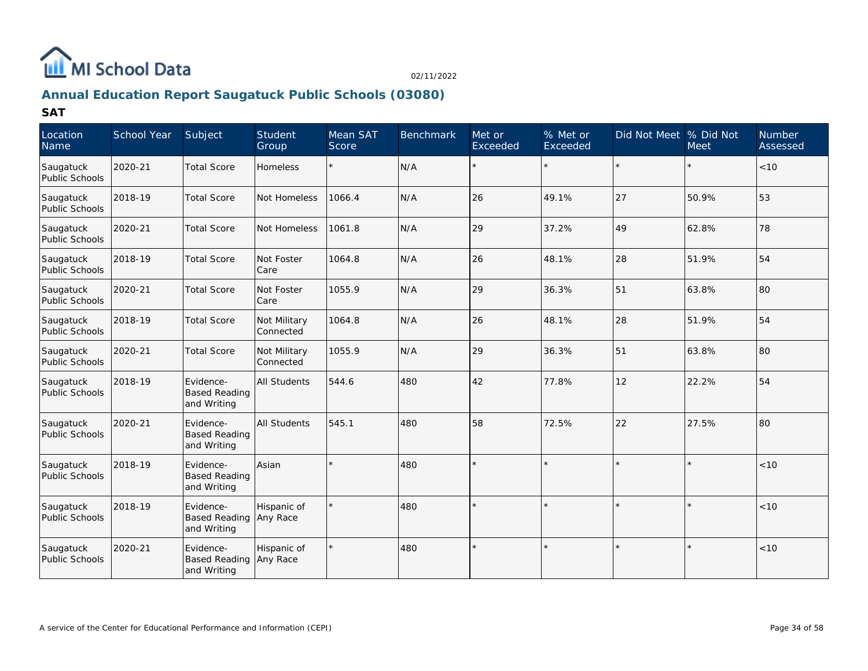

# **Annual Education Report Saugatuck Public Schools (03080)**

| Location<br>Name            | School Year | Subject                                            | Student<br>Group          | Mean SAT<br>Score | Benchmark | Met or<br>Exceeded | % Met or<br>Exceeded | Did Not Meet  % Did Not | <b>Meet</b> | <b>Number</b><br>Assessed |
|-----------------------------|-------------|----------------------------------------------------|---------------------------|-------------------|-----------|--------------------|----------------------|-------------------------|-------------|---------------------------|
| Saugatuck<br>Public Schools | 2020-21     | <b>Total Score</b>                                 | Homeless                  |                   | N/A       |                    |                      |                         |             | < 10                      |
| Saugatuck<br>Public Schools | 2018-19     | <b>Total Score</b>                                 | Not Homeless              | 1066.4            | N/A       | 26                 | 49.1%                | 27                      | 50.9%       | 53                        |
| Saugatuck<br>Public Schools | 2020-21     | <b>Total Score</b>                                 | Not Homeless              | 1061.8            | N/A       | 29                 | 37.2%                | 49                      | 62.8%       | 78                        |
| Saugatuck<br>Public Schools | 2018-19     | <b>Total Score</b>                                 | Not Foster<br>Care        | 1064.8            | N/A       | 26                 | 48.1%                | 28                      | 51.9%       | 54                        |
| Saugatuck<br>Public Schools | 2020-21     | <b>Total Score</b>                                 | Not Foster<br>Care        | 1055.9            | N/A       | 29                 | 36.3%                | 51                      | 63.8%       | 80                        |
| Saugatuck<br>Public Schools | 2018-19     | <b>Total Score</b>                                 | Not Military<br>Connected | 1064.8            | N/A       | 26                 | 48.1%                | 28                      | 51.9%       | 54                        |
| Saugatuck<br>Public Schools | 2020-21     | <b>Total Score</b>                                 | Not Military<br>Connected | 1055.9            | N/A       | 29                 | 36.3%                | 51                      | 63.8%       | 80                        |
| Saugatuck<br>Public Schools | 2018-19     | Evidence-<br><b>Based Reading</b><br>and Writing   | <b>All Students</b>       | 544.6             | 480       | 42                 | 77.8%                | 12                      | 22.2%       | 54                        |
| Saugatuck<br>Public Schools | 2020-21     | Evidence-<br><b>Based Reading</b><br>and Writing   | <b>All Students</b>       | 545.1             | 480       | 58                 | 72.5%                | 22                      | 27.5%       | 80                        |
| Saugatuck<br>Public Schools | 2018-19     | Evidence-<br><b>Based Reading</b><br>and Writing   | Asian                     |                   | 480       | $\star$            |                      |                         |             | < 10                      |
| Saugatuck<br>Public Schools | 2018-19     | Evidence-<br>Based Reading Any Race<br>and Writing | Hispanic of               |                   | 480       |                    |                      |                         |             | < 10                      |
| Saugatuck<br>Public Schools | 2020-21     | Evidence-<br>Based Reading Any Race<br>and Writing | Hispanic of               |                   | 480       | $\star$            | $\star$              |                         |             | < 10                      |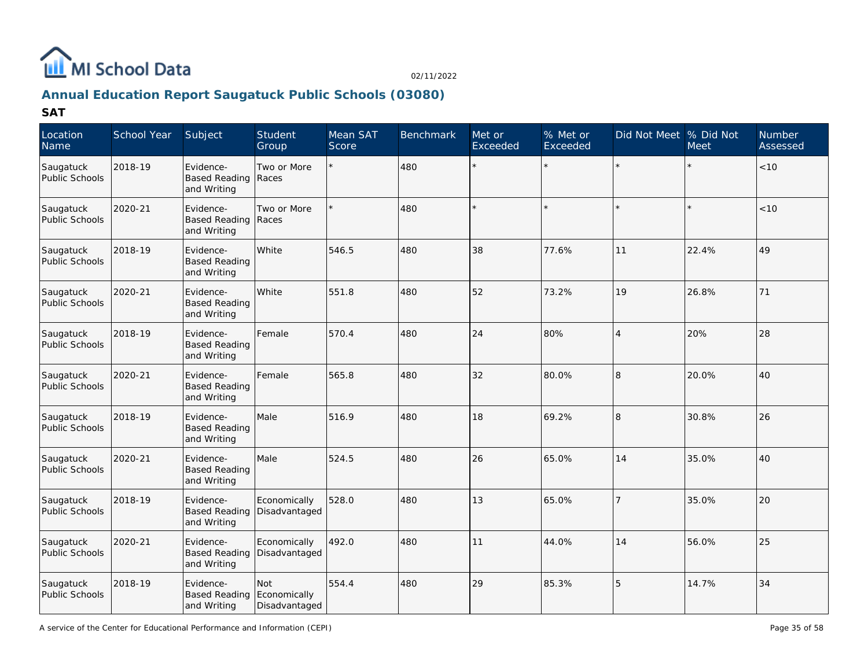

# **Annual Education Report Saugatuck Public Schools (03080)**

| Location<br>Name            | School Year | Subject                                                | Student<br>Group                     | Mean SAT<br>Score | <b>Benchmark</b> | Met or<br>Exceeded | % Met or<br>Exceeded | Did Not Meet  % Did Not | <b>Meet</b> | <b>Number</b><br>Assessed |
|-----------------------------|-------------|--------------------------------------------------------|--------------------------------------|-------------------|------------------|--------------------|----------------------|-------------------------|-------------|---------------------------|
| Saugatuck<br>Public Schools | 2018-19     | Evidence-<br><b>Based Reading</b><br>and Writing       | Two or More<br>Races                 |                   | 480              | $\star$            | $\star$              |                         |             | < 10                      |
| Saugatuck<br>Public Schools | 2020-21     | Evidence-<br><b>Based Reading Races</b><br>and Writing | Two or More                          |                   | 480              |                    |                      |                         |             | < 10                      |
| Saugatuck<br>Public Schools | 2018-19     | Evidence-<br><b>Based Reading</b><br>and Writing       | White                                | 546.5             | 480              | 38                 | 77.6%                | 11                      | 22.4%       | 49                        |
| Saugatuck<br>Public Schools | 2020-21     | Evidence-<br><b>Based Reading</b><br>and Writing       | White                                | 551.8             | 480              | 52                 | 73.2%                | 19                      | 26.8%       | 71                        |
| Saugatuck<br>Public Schools | 2018-19     | Evidence-<br><b>Based Reading</b><br>and Writing       | Female                               | 570.4             | 480              | 24                 | 80%                  | $\overline{4}$          | 20%         | 28                        |
| Saugatuck<br>Public Schools | 2020-21     | Evidence-<br><b>Based Reading</b><br>and Writing       | Female                               | 565.8             | 480              | 32                 | 80.0%                | 18                      | 20.0%       | 40                        |
| Saugatuck<br>Public Schools | 2018-19     | Evidence-<br><b>Based Reading</b><br>and Writing       | Male                                 | 516.9             | 480              | 18                 | 69.2%                | 18                      | 30.8%       | 26                        |
| Saugatuck<br>Public Schools | 2020-21     | Evidence-<br><b>Based Reading</b><br>and Writing       | Male                                 | 524.5             | 480              | 26                 | 65.0%                | 14                      | 35.0%       | 40                        |
| Saugatuck<br>Public Schools | 2018-19     | Evidence-<br><b>Based Reading</b><br>and Writing       | Economically<br>Disadvantaged        | 528.0             | 480              | 13                 | 65.0%                | $\overline{7}$          | 35.0%       | 20                        |
| Saugatuck<br>Public Schools | 2020-21     | Evidence-<br><b>Based Reading</b><br>and Writing       | Economically<br>Disadvantaged        | 492.0             | 480              | 11                 | 44.0%                | 14                      | 56.0%       | 25                        |
| Saugatuck<br>Public Schools | 2018-19     | Evidence-<br><b>Based Reading</b><br>and Writing       | Not<br>Economically<br>Disadvantaged | 554.4             | 480              | 29                 | 85.3%                | 15                      | 14.7%       | 34                        |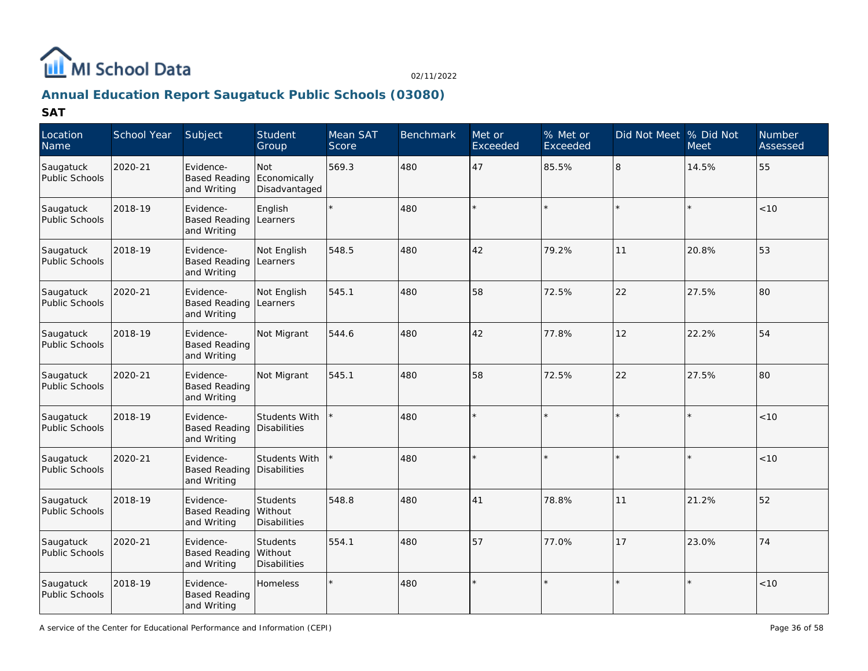

# **Annual Education Report Saugatuck Public Schools (03080)**

| Location<br>Name            | School Year | Subject                                          | Student<br>Group                           | Mean SAT<br>Score | <b>Benchmark</b> | Met or<br>Exceeded | $%$ Met or<br>Exceeded | Did Not Meet % Did Not | <b>Meet</b> | Number<br>Assessed |
|-----------------------------|-------------|--------------------------------------------------|--------------------------------------------|-------------------|------------------|--------------------|------------------------|------------------------|-------------|--------------------|
| Saugatuck<br>Public Schools | 2020-21     | Evidence-<br><b>Based Reading</b><br>and Writing | Not<br>Economically<br>Disadvantaged       | 569.3             | 480              | 47                 | 85.5%                  | $\overline{8}$         | 14.5%       | 55                 |
| Saugatuck<br>Public Schools | 2018-19     | Evidence-<br><b>Based Reading</b><br>and Writing | English<br>Learners                        | $\star$           | 480              | $\star$            |                        |                        |             | < 10               |
| Saugatuck<br>Public Schools | 2018-19     | Evidence-<br><b>Based Reading</b><br>and Writing | Not English<br>Learners                    | 548.5             | 480              | 42                 | 79.2%                  | 11                     | 20.8%       | 53                 |
| Saugatuck<br>Public Schools | 2020-21     | Evidence-<br><b>Based Reading</b><br>and Writing | Not English<br>Learners                    | 545.1             | 480              | 58                 | 72.5%                  | 22                     | 27.5%       | 80                 |
| Saugatuck<br>Public Schools | 2018-19     | Evidence-<br><b>Based Reading</b><br>and Writing | Not Migrant                                | 544.6             | 480              | 42                 | 77.8%                  | 12                     | 22.2%       | 54                 |
| Saugatuck<br>Public Schools | 2020-21     | Evidence-<br><b>Based Reading</b><br>and Writing | Not Migrant                                | 545.1             | 480              | 58                 | 72.5%                  | 22                     | 27.5%       | 80                 |
| Saugatuck<br>Public Schools | 2018-19     | Evidence-<br><b>Based Reading</b><br>and Writing | Students With<br>Disabilities              |                   | 480              |                    |                        |                        |             | < 10               |
| Saugatuck<br>Public Schools | 2020-21     | Evidence-<br><b>Based Reading</b><br>and Writing | Students With<br>Disabilities              |                   | 480              |                    |                        |                        |             | < 10               |
| Saugatuck<br>Public Schools | 2018-19     | Evidence-<br><b>Based Reading</b><br>and Writing | <b>Students</b><br>Without<br>Disabilities | 548.8             | 480              | 41                 | 78.8%                  | 11                     | 21.2%       | 52                 |
| Saugatuck<br>Public Schools | 2020-21     | Evidence-<br><b>Based Reading</b><br>and Writing | <b>Students</b><br>Without<br>Disabilities | 554.1             | 480              | 57                 | 77.0%                  | 17                     | 23.0%       | 74                 |
| Saugatuck<br>Public Schools | 2018-19     | Evidence-<br><b>Based Reading</b><br>and Writing | Homeless                                   |                   | 480              |                    |                        |                        |             | < 10               |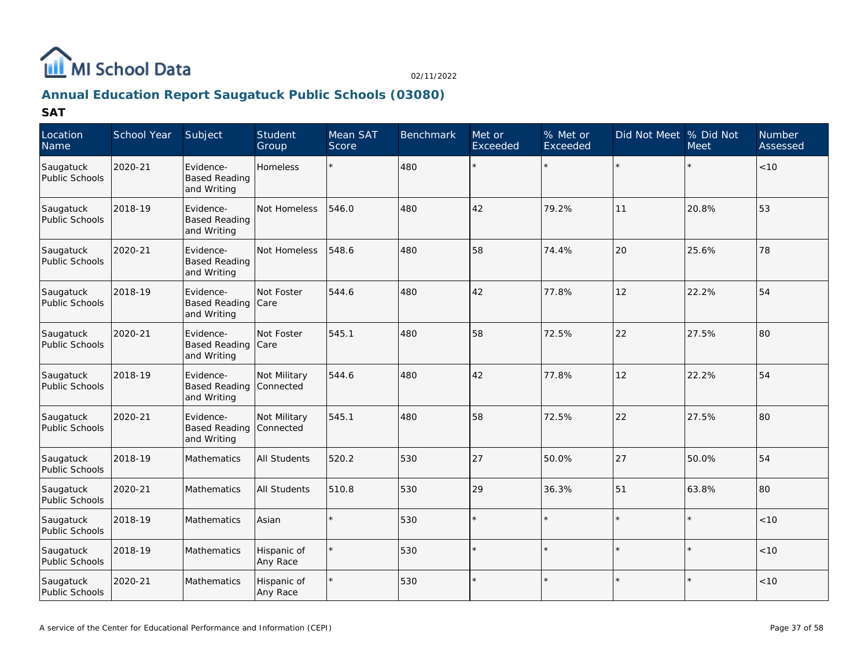

# **Annual Education Report Saugatuck Public Schools (03080)**

| Location<br>Name            | School Year | Subject                                          | Student<br>Group          | Mean SAT<br>Score | <b>Benchmark</b> | Met or<br><b>Exceeded</b> | % Met or<br>Exceeded | Did Not Meet % Did Not | <b>Meet</b> | <b>Number</b><br>Assessed |
|-----------------------------|-------------|--------------------------------------------------|---------------------------|-------------------|------------------|---------------------------|----------------------|------------------------|-------------|---------------------------|
| Saugatuck<br>Public Schools | 2020-21     | Evidence-<br><b>Based Reading</b><br>and Writing | <b>Homeless</b>           |                   | 480              | $\star$                   |                      |                        |             | $<10$                     |
| Saugatuck<br>Public Schools | 2018-19     | Evidence-<br><b>Based Reading</b><br>and Writing | Not Homeless              | 546.0             | 480              | 42                        | 79.2%                | 11                     | 20.8%       | 53                        |
| Saugatuck<br>Public Schools | 2020-21     | Evidence-<br><b>Based Reading</b><br>and Writing | Not Homeless              | 548.6             | 480              | 58                        | 74.4%                | 20                     | 25.6%       | 78                        |
| Saugatuck<br>Public Schools | 2018-19     | Evidence-<br><b>Based Reading</b><br>and Writing | Not Foster<br>Care        | 544.6             | 480              | 42                        | 77.8%                | 12                     | 22.2%       | 54                        |
| Saugatuck<br>Public Schools | 2020-21     | Evidence-<br><b>Based Reading</b><br>and Writing | Not Foster<br>Care        | 545.1             | 480              | 58                        | 72.5%                | 22                     | 27.5%       | 80                        |
| Saugatuck<br>Public Schools | 2018-19     | Evidence-<br><b>Based Reading</b><br>and Writing | Not Military<br>Connected | 544.6             | 480              | 42                        | 77.8%                | 12                     | 22.2%       | 54                        |
| Saugatuck<br>Public Schools | 2020-21     | Evidence-<br><b>Based Reading</b><br>and Writing | Not Military<br>Connected | 545.1             | 480              | 58                        | 72.5%                | 22                     | 27.5%       | 80                        |
| Saugatuck<br>Public Schools | 2018-19     | Mathematics                                      | All Students              | 520.2             | 530              | 27                        | 50.0%                | 27                     | 50.0%       | 54                        |
| Saugatuck<br>Public Schools | 2020-21     | <b>Mathematics</b>                               | <b>All Students</b>       | 510.8             | 530              | 29                        | 36.3%                | 51                     | 63.8%       | 80                        |
| Saugatuck<br>Public Schools | 2018-19     | Mathematics                                      | Asian                     |                   | 530              | $\star$                   |                      |                        |             | < 10                      |
| Saugatuck<br>Public Schools | 2018-19     | Mathematics                                      | Hispanic of<br>Any Race   |                   | 530              | $\star$                   |                      |                        |             | < 10                      |
| Saugatuck<br>Public Schools | 2020-21     | Mathematics                                      | Hispanic of<br>Any Race   |                   | 530              |                           |                      |                        |             | < 10                      |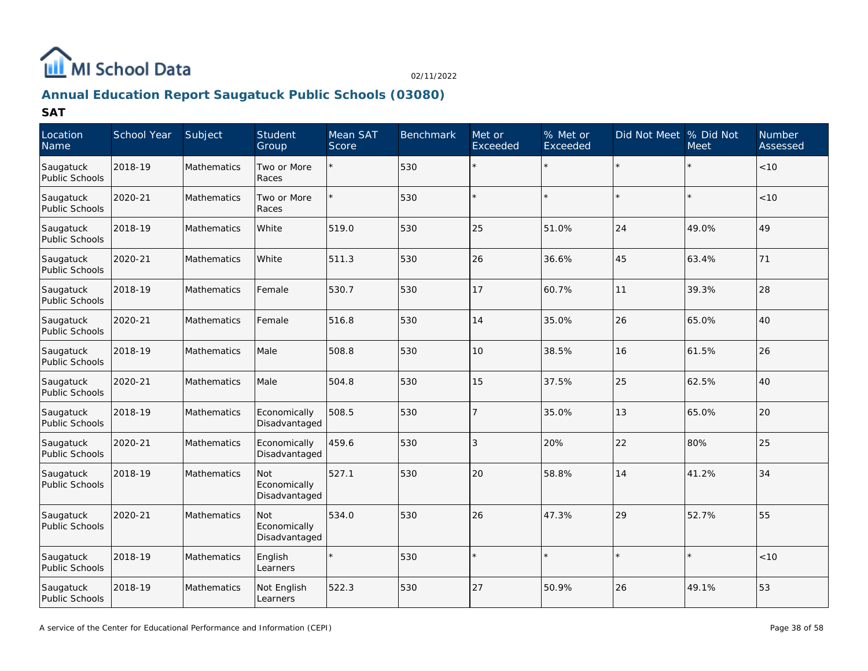

# **Annual Education Report Saugatuck Public Schools (03080)**

| Location<br>Name            | School Year | Subject            | Student<br>Group                     | Mean SAT<br>Score | <b>Benchmark</b> | Met or<br>Exceeded | % Met or<br>Exceeded | Did Not Meet | % Did Not<br><b>Meet</b> | <b>Number</b><br>Assessed |
|-----------------------------|-------------|--------------------|--------------------------------------|-------------------|------------------|--------------------|----------------------|--------------|--------------------------|---------------------------|
| Saugatuck<br>Public Schools | 2018-19     | <b>Mathematics</b> | Two or More<br>Races                 |                   | 530              | $\star$            |                      |              |                          | $<10$                     |
| Saugatuck<br>Public Schools | 2020-21     | Mathematics        | Two or More<br>Races                 |                   | 530              |                    |                      |              |                          | < 10                      |
| Saugatuck<br>Public Schools | 2018-19     | Mathematics        | White                                | 519.0             | 530              | 25                 | 51.0%                | 24           | 49.0%                    | 49                        |
| Saugatuck<br>Public Schools | 2020-21     | Mathematics        | White                                | 511.3             | 530              | 26                 | 36.6%                | 45           | 63.4%                    | 71                        |
| Saugatuck<br>Public Schools | 2018-19     | <b>Mathematics</b> | Female                               | 530.7             | 530              | 17                 | 60.7%                | 11           | 39.3%                    | 28                        |
| Saugatuck<br>Public Schools | 2020-21     | Mathematics        | Female                               | 516.8             | 530              | 14                 | 35.0%                | 26           | 65.0%                    | 40                        |
| Saugatuck<br>Public Schools | 2018-19     | Mathematics        | Male                                 | 508.8             | 530              | 10                 | 38.5%                | 16           | 61.5%                    | 26                        |
| Saugatuck<br>Public Schools | 2020-21     | <b>Mathematics</b> | Male                                 | 504.8             | 530              | 15                 | 37.5%                | 25           | 62.5%                    | 40                        |
| Saugatuck<br>Public Schools | 2018-19     | Mathematics        | Economically<br>Disadvantaged        | 508.5             | 530              | 7                  | 35.0%                | 13           | 65.0%                    | 20                        |
| Saugatuck<br>Public Schools | 2020-21     | <b>Mathematics</b> | Economically<br>Disadvantaged        | 459.6             | 530              | 3                  | 20%                  | 22           | 80%                      | 25                        |
| Saugatuck<br>Public Schools | 2018-19     | Mathematics        | Not<br>Economically<br>Disadvantaged | 527.1             | 530              | 20                 | 58.8%                | 14           | 41.2%                    | 34                        |
| Saugatuck<br>Public Schools | 2020-21     | <b>Mathematics</b> | Not<br>Economically<br>Disadvantaged | 534.0             | 530              | 26                 | 47.3%                | 29           | 52.7%                    | 55                        |
| Saugatuck<br>Public Schools | 2018-19     | Mathematics        | English<br>Learners                  |                   | 530              |                    |                      |              |                          | < 10                      |
| Saugatuck<br>Public Schools | 2018-19     | Mathematics        | Not English<br>Learners              | 522.3             | 530              | 27                 | 50.9%                | 26           | 49.1%                    | 53                        |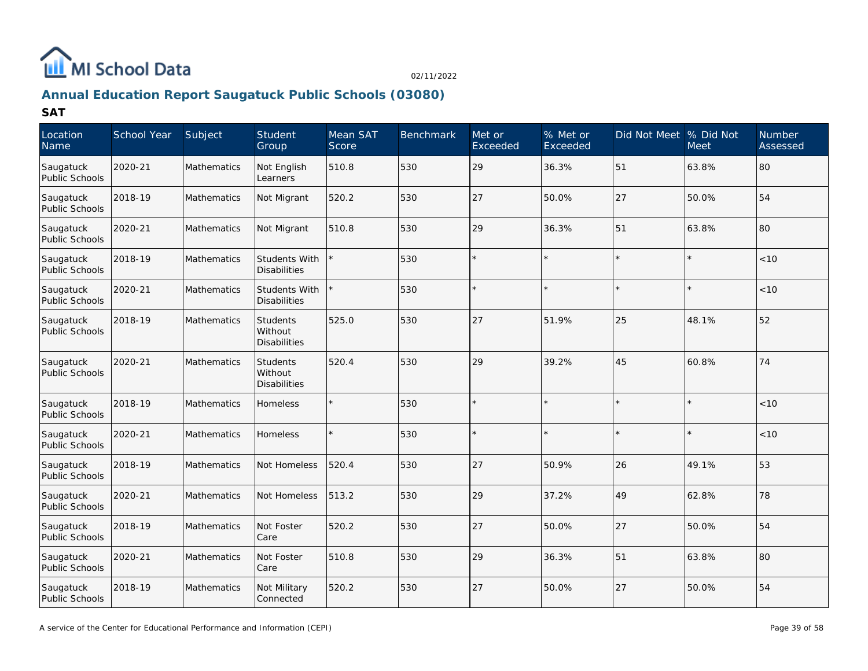

# **Annual Education Report Saugatuck Public Schools (03080)**

| Location<br>Name            | School Year | Subject            | Student<br>Group                                  | Mean SAT<br>Score | <b>Benchmark</b> | Met or<br>Exceeded | % Met or<br>Exceeded | Did Not Meet | % Did Not<br>Meet | <b>Number</b><br>Assessed |
|-----------------------------|-------------|--------------------|---------------------------------------------------|-------------------|------------------|--------------------|----------------------|--------------|-------------------|---------------------------|
| Saugatuck<br>Public Schools | 2020-21     | <b>Mathematics</b> | Not English<br>Learners                           | 510.8             | 530              | 29                 | 36.3%                | 51           | 63.8%             | 80                        |
| Saugatuck<br>Public Schools | 2018-19     | Mathematics        | Not Migrant                                       | 520.2             | 530              | 27                 | 50.0%                | 27           | 50.0%             | 54                        |
| Saugatuck<br>Public Schools | 2020-21     | <b>Mathematics</b> | Not Migrant                                       | 510.8             | 530              | 29                 | 36.3%                | 51           | 63.8%             | 80                        |
| Saugatuck<br>Public Schools | 2018-19     | <b>Mathematics</b> | Students With<br>Disabilities                     |                   | 530              |                    |                      |              |                   | < 10                      |
| Saugatuck<br>Public Schools | 2020-21     | Mathematics        | <b>Students With</b><br>Disabilities              |                   | 530              |                    |                      |              |                   | < 10                      |
| Saugatuck<br>Public Schools | 2018-19     | Mathematics        | <b>Students</b><br>Without<br>Disabilities        | 525.0             | 530              | 27                 | 51.9%                | 25           | 48.1%             | 52                        |
| Saugatuck<br>Public Schools | 2020-21     | <b>Mathematics</b> | <b>Students</b><br>Without<br><b>Disabilities</b> | 520.4             | 530              | 29                 | 39.2%                | 45           | 60.8%             | 74                        |
| Saugatuck<br>Public Schools | 2018-19     | Mathematics        | Homeless                                          |                   | 530              |                    |                      |              |                   | < 10                      |
| Saugatuck<br>Public Schools | 2020-21     | <b>Mathematics</b> | Homeless                                          |                   | 530              |                    |                      |              |                   | < 10                      |
| Saugatuck<br>Public Schools | 2018-19     | <b>Mathematics</b> | Not Homeless                                      | 520.4             | 530              | 27                 | 50.9%                | 26           | 49.1%             | 53                        |
| Saugatuck<br>Public Schools | 2020-21     | <b>Mathematics</b> | Not Homeless                                      | 513.2             | 530              | 29                 | 37.2%                | 49           | 62.8%             | 78                        |
| Saugatuck<br>Public Schools | 2018-19     | Mathematics        | Not Foster<br>Care                                | 520.2             | 530              | 27                 | 50.0%                | 27           | 50.0%             | 54                        |
| Saugatuck<br>Public Schools | 2020-21     | <b>Mathematics</b> | Not Foster<br>Care                                | 510.8             | 530              | 29                 | 36.3%                | 51           | 63.8%             | 80                        |
| Saugatuck<br>Public Schools | 2018-19     | Mathematics        | Not Military<br>Connected                         | 520.2             | 530              | 27                 | 50.0%                | 27           | 50.0%             | 54                        |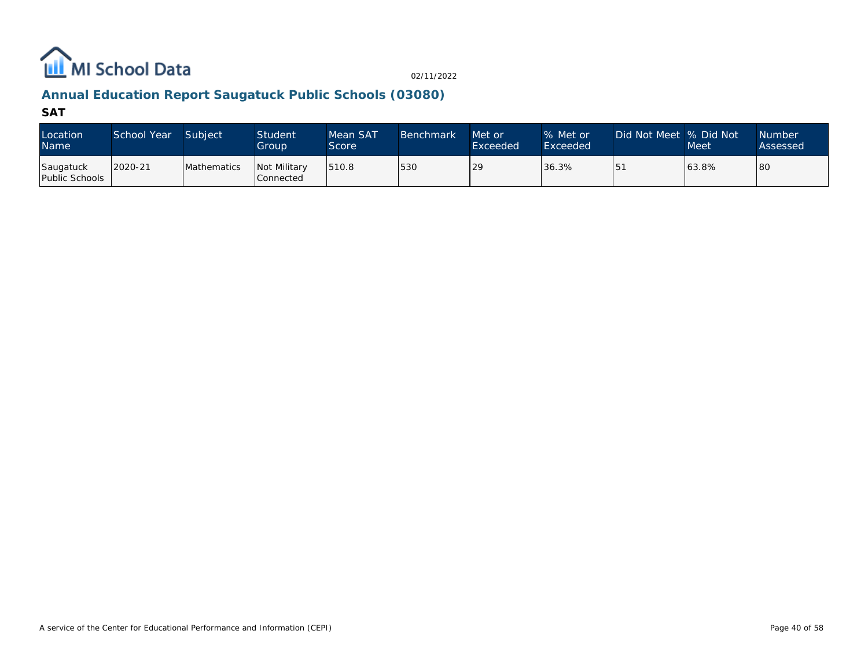

# **Annual Education Report Saugatuck Public Schools (03080)**

| Location<br><b>Name</b>     | School Year | Subject     | <b>Student</b><br>Group          | Mean SAT<br>Score | <b>Benchmark</b> | Met or<br>Exceeded | % Met or<br>Exceeded | Did Not Meet  % Did Not | <b>Meet</b> | <b>Number</b><br>Assessed |
|-----------------------------|-------------|-------------|----------------------------------|-------------------|------------------|--------------------|----------------------|-------------------------|-------------|---------------------------|
| Saugatuck<br>Public Schools | 2020-21     | Mathematics | <b>Not Military</b><br>Connected | 1510.8            | 530              | 29                 | 36.3%                | I 5                     | 63.8%       | 80                        |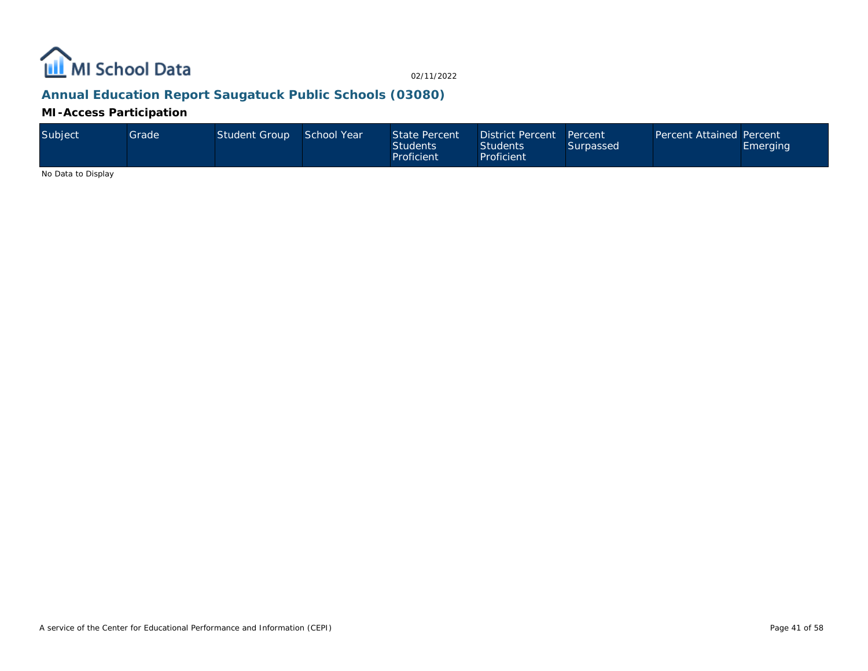

## **Annual Education Report Saugatuck Public Schools (03080)**

**MI-Access Participation**

| Subject | Grade <sup>1</sup> | <b>Student Group</b> | School Year | State Percent<br><b>Students</b><br>Proficient | District Percent Percent<br><b>Students</b><br>Proficient | Surpassed <sup>.</sup> | <b>Percent Attained Percent</b> | Emerging |
|---------|--------------------|----------------------|-------------|------------------------------------------------|-----------------------------------------------------------|------------------------|---------------------------------|----------|
|---------|--------------------|----------------------|-------------|------------------------------------------------|-----------------------------------------------------------|------------------------|---------------------------------|----------|

No Data to Display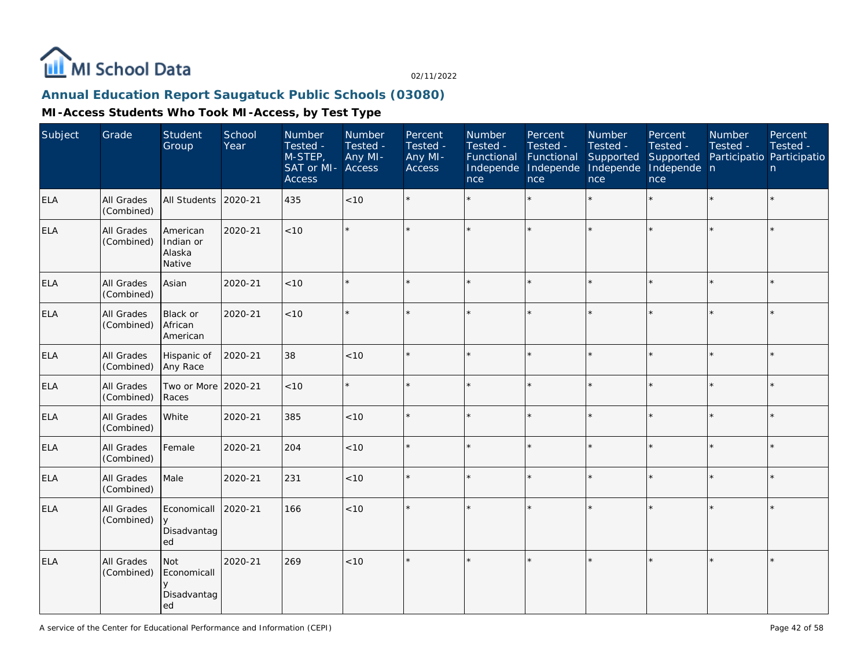

## **Annual Education Report Saugatuck Public Schools (03080)**

| Subject    | Grade                    | Student<br>Group                                 | School<br>Year | Number<br>Tested -<br>M-STEP,<br>SAT or MI- Access<br><b>Access</b> | Number<br>Tested -<br>Any MI- | Percent<br>Tested -<br>Any MI-<br><b>Access</b> | Number<br>Tested -<br>Functional<br>Independe<br>nce | Percent<br>Tested -<br>Functional<br>Independe<br>nce | Number<br>Tested -<br>Supported<br>Independe<br>nce | Percent<br>Tested -<br>Supported<br>Independe n<br>nce | Number<br>Tested -<br>Participatio Participatio | Percent<br>Tested -<br>n. |
|------------|--------------------------|--------------------------------------------------|----------------|---------------------------------------------------------------------|-------------------------------|-------------------------------------------------|------------------------------------------------------|-------------------------------------------------------|-----------------------------------------------------|--------------------------------------------------------|-------------------------------------------------|---------------------------|
| ELA        | All Grades<br>(Combined) | All Students                                     | 2020-21        | 435                                                                 | < 10                          |                                                 |                                                      | $\star$                                               | ÷                                                   | $\star$                                                | $\star$                                         | $\star$                   |
| <b>ELA</b> | All Grades<br>(Combined) | American<br>Indian or<br>Alaska<br>Native        | 2020-21        | < 10                                                                |                               |                                                 |                                                      |                                                       |                                                     | $\star$                                                |                                                 | $\star$                   |
| <b>ELA</b> | All Grades<br>(Combined) | Asian                                            | 2020-21        | < 10                                                                |                               |                                                 |                                                      | $\star$                                               |                                                     |                                                        |                                                 | $\star$                   |
| <b>ELA</b> | All Grades<br>(Combined) | Black or<br>African<br>American                  | 2020-21        | < 10                                                                |                               |                                                 |                                                      | ÷                                                     | à.                                                  | $\star$                                                | ÷                                               | ÷.                        |
| <b>ELA</b> | All Grades<br>(Combined) | Hispanic of<br>Any Race                          | 2020-21        | 38                                                                  | < 10                          |                                                 |                                                      |                                                       |                                                     |                                                        |                                                 | $\star$                   |
| <b>ELA</b> | All Grades<br>(Combined) | Two or More<br>Races                             | 2020-21        | < 10                                                                |                               |                                                 |                                                      |                                                       |                                                     | ×.                                                     |                                                 | $\star$                   |
| <b>ELA</b> | All Grades<br>(Combined) | White                                            | 2020-21        | 385                                                                 | < 10                          |                                                 |                                                      |                                                       |                                                     | $\star$                                                |                                                 | $\star$                   |
| ELA        | All Grades<br>(Combined) | Female                                           | 2020-21        | 204                                                                 | < 10                          |                                                 |                                                      | ÷                                                     | ų.                                                  |                                                        |                                                 | $\star$                   |
| <b>ELA</b> | All Grades<br>(Combined) | Male                                             | 2020-21        | 231                                                                 | < 10                          |                                                 |                                                      |                                                       |                                                     |                                                        |                                                 | $\star$                   |
| <b>ELA</b> | All Grades<br>(Combined) | Economicall<br>$\mathsf{V}$<br>Disadvantag<br>ed | 2020-21        | 166                                                                 | < 10                          |                                                 |                                                      |                                                       | ÷                                                   | $\star$                                                |                                                 | $\star$                   |
| <b>ELA</b> | All Grades<br>(Combined) | Not<br>Economicall<br>y<br>Disadvantag<br>ed     | 2020-21        | 269                                                                 | $<10$                         |                                                 |                                                      |                                                       |                                                     |                                                        |                                                 | $\star$                   |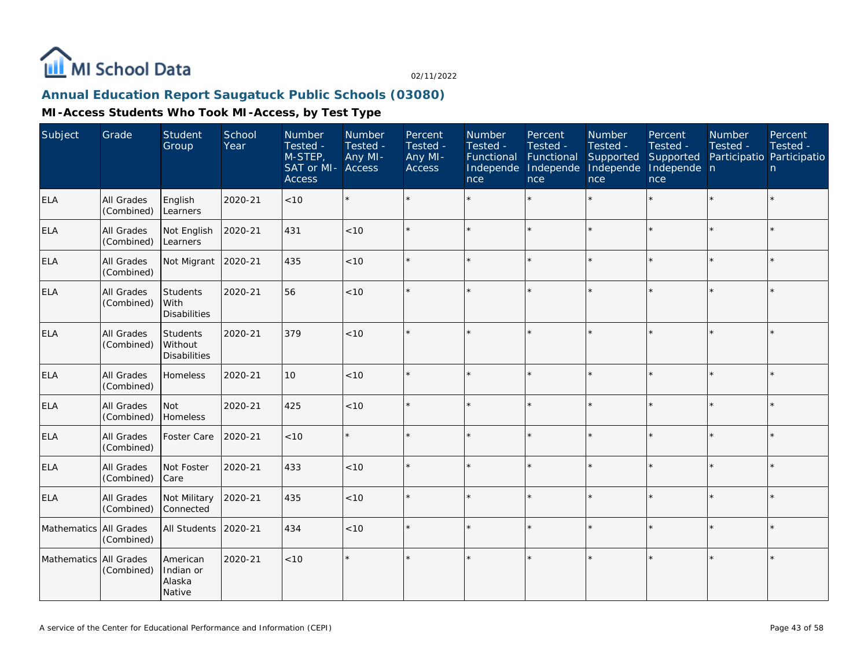

### **Annual Education Report Saugatuck Public Schools (03080)**

| Subject                | Grade                           | Student<br>Group                               | School<br>Year | Number<br>Tested -<br>$M-STEP$<br>SAT or MI-<br><b>Access</b> | Number<br>Tested -<br>Any MI-<br>Access | Percent<br>Tested -<br>Any MI-<br>Access | Number<br>Tested -<br>Functional<br>Independe<br>nce | Percent<br>Tested -<br>Functional<br>Independe<br>nce | Number<br>Tested -<br>Supported<br>Independe<br>nce | Percent<br>Tested -<br>Supported<br>Independe n<br>nce | <b>Number</b><br>Tested -<br>Participatio Participatio | Percent<br>Tested -<br>n. |
|------------------------|---------------------------------|------------------------------------------------|----------------|---------------------------------------------------------------|-----------------------------------------|------------------------------------------|------------------------------------------------------|-------------------------------------------------------|-----------------------------------------------------|--------------------------------------------------------|--------------------------------------------------------|---------------------------|
| <b>ELA</b>             | All Grades<br>(Combined)        | English<br>Learners                            | 2020-21        | $<10$                                                         |                                         |                                          |                                                      | $\star$                                               | $\star$                                             |                                                        |                                                        | $\star$                   |
| <b>ELA</b>             | All Grades<br>(Combined)        | Not English<br>Learners                        | 2020-21        | 431                                                           | < 10                                    | $\star$                                  |                                                      | $\star$                                               | $\star$                                             | $\star$                                                |                                                        | $\star$                   |
| <b>ELA</b>             | All Grades<br>(Combined)        | Not Migrant                                    | 2020-21        | 435                                                           | < 10                                    | $\star$                                  |                                                      | $\star$                                               | ÷                                                   |                                                        |                                                        | $\star$                   |
| <b>ELA</b>             | All Grades<br>(Combined)        | <b>Students</b><br>With<br><b>Disabilities</b> | 2020-21        | 56                                                            | < 10                                    | $\star$                                  |                                                      | $\star$                                               |                                                     |                                                        |                                                        | $\star$                   |
| <b>ELA</b>             | All Grades<br>(Combined)        | Students<br>Without<br><b>Disabilities</b>     | 2020-21        | 379                                                           | < 10                                    | $\star$                                  |                                                      | $\star$                                               | $\star$                                             | $\star$                                                | $\star$                                                | $\star$                   |
| <b>ELA</b>             | All Grades<br>(Combined)        | Homeless                                       | 2020-21        | 10                                                            | < 10                                    |                                          |                                                      | $\star$                                               | ÷                                                   |                                                        |                                                        | $\star$                   |
| <b>ELA</b>             | All Grades<br>(Combined)        | Not<br>Homeless                                | 2020-21        | 425                                                           | < 10                                    | $\star$                                  |                                                      | $\star$                                               |                                                     |                                                        |                                                        | $\star$                   |
| <b>ELA</b>             | All Grades<br>(Combined)        | Foster Care                                    | 2020-21        | < 10                                                          |                                         |                                          |                                                      | $\star$                                               |                                                     |                                                        |                                                        | $\star$                   |
| <b>ELA</b>             | All Grades<br>(Combined)        | Not Foster<br>Care                             | 2020-21        | 433                                                           | < 10                                    | $\star$                                  |                                                      | $\star$                                               | $\star$                                             | ×                                                      |                                                        | $\star$                   |
| <b>ELA</b>             | <b>All Grades</b><br>(Combined) | Not Military<br>Connected                      | 2020-21        | 435                                                           | < 10                                    | $\star$                                  |                                                      |                                                       |                                                     |                                                        |                                                        | $\star$                   |
| Mathematics All Grades | (Combined)                      | All Students                                   | 2020-21        | 434                                                           | < 10                                    | $\star$                                  |                                                      | $\star$                                               | $\star$                                             |                                                        |                                                        | $\star$                   |
| Mathematics All Grades | (Combined)                      | American<br>Indian or<br>Alaska<br>Native      | 2020-21        | $<10$                                                         |                                         |                                          |                                                      | $\star$                                               |                                                     |                                                        |                                                        | $\star$                   |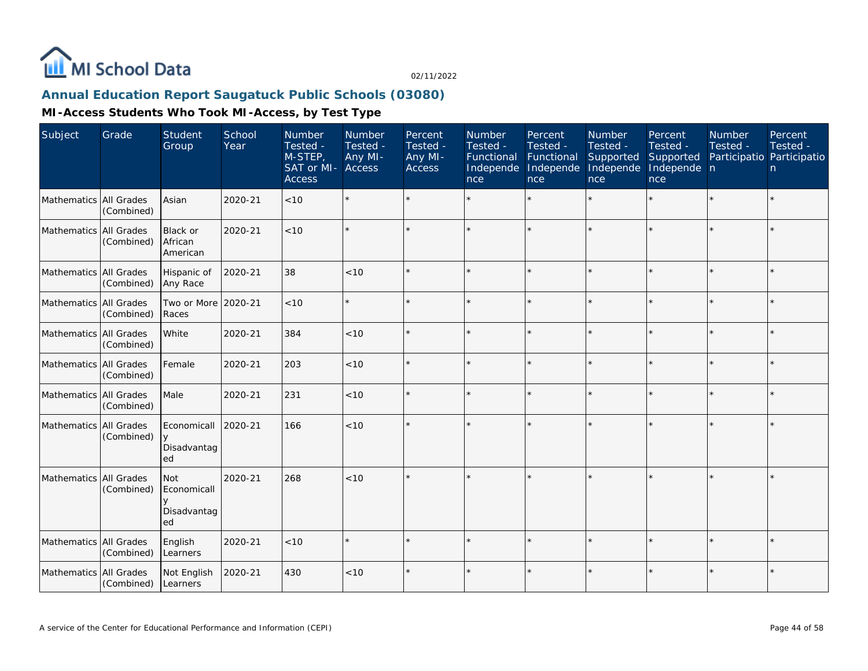

# **Annual Education Report Saugatuck Public Schools (03080)**

| Subject                | Grade      | <b>Student</b><br>Group                 | School<br>Year | Number<br>Tested -<br>M-STEP,<br>SAT or MI-<br><b>Access</b> | Number<br>Tested -<br>Any MI-<br>Access | Percent<br>Tested -<br>Any MI-<br>Access | <b>Number</b><br>Tested -<br>Functional<br>Independe<br>nce | Percent<br>Tested -<br>Functional<br>Independe<br>nce | Number<br>Tested -<br>Supported<br>Independe<br>nce | Percent<br>Tested -<br>Supported<br>Independe n<br>nce | <b>Number</b><br>Tested -<br>Participatio Participatio | Percent<br>Tested -<br>n. |
|------------------------|------------|-----------------------------------------|----------------|--------------------------------------------------------------|-----------------------------------------|------------------------------------------|-------------------------------------------------------------|-------------------------------------------------------|-----------------------------------------------------|--------------------------------------------------------|--------------------------------------------------------|---------------------------|
| Mathematics All Grades | (Combined) | Asian                                   | 2020-21        | < 10                                                         |                                         |                                          |                                                             |                                                       |                                                     |                                                        |                                                        | $\star$                   |
| Mathematics All Grades | (Combined) | Black or<br>African<br>American         | 2020-21        | < 10                                                         |                                         |                                          |                                                             |                                                       |                                                     |                                                        |                                                        | $\star$                   |
| Mathematics All Grades | (Combined) | Hispanic of<br>Any Race                 | 2020-21        | 38                                                           | $<10$                                   |                                          |                                                             |                                                       |                                                     |                                                        |                                                        | $\star$                   |
| Mathematics All Grades | (Combined) | Two or More<br>Races                    | 2020-21        | < 10                                                         |                                         |                                          |                                                             |                                                       |                                                     |                                                        |                                                        | $\star$                   |
| Mathematics All Grades | (Combined) | White                                   | 2020-21        | 384                                                          | < 10                                    |                                          |                                                             |                                                       | ÷                                                   |                                                        |                                                        | $\star$                   |
| Mathematics All Grades | (Combined) | Female                                  | 2020-21        | 203                                                          | $<10$                                   |                                          |                                                             |                                                       |                                                     |                                                        |                                                        | $\star$                   |
| Mathematics All Grades | (Combined) | Male                                    | 2020-21        | 231                                                          | < 10                                    |                                          |                                                             |                                                       |                                                     |                                                        |                                                        | $\star$                   |
| Mathematics All Grades | (Combined) | Economicall<br>Disadvantag<br>ed        | 2020-21        | 166                                                          | < 10                                    |                                          |                                                             |                                                       |                                                     |                                                        |                                                        | $\star$                   |
| Mathematics All Grades | (Combined) | Not<br>Economicall<br>Disadvantag<br>ed | 2020-21        | 268                                                          | < 10                                    |                                          |                                                             |                                                       |                                                     |                                                        |                                                        | $\star$                   |
| Mathematics All Grades | (Combined) | English<br>Learners                     | 2020-21        | < 10                                                         |                                         |                                          |                                                             |                                                       |                                                     |                                                        |                                                        | ÷.                        |
| Mathematics All Grades | (Combined) | Not English<br>Learners                 | 2020-21        | 430                                                          | < 10                                    |                                          |                                                             |                                                       |                                                     |                                                        |                                                        | $\star$                   |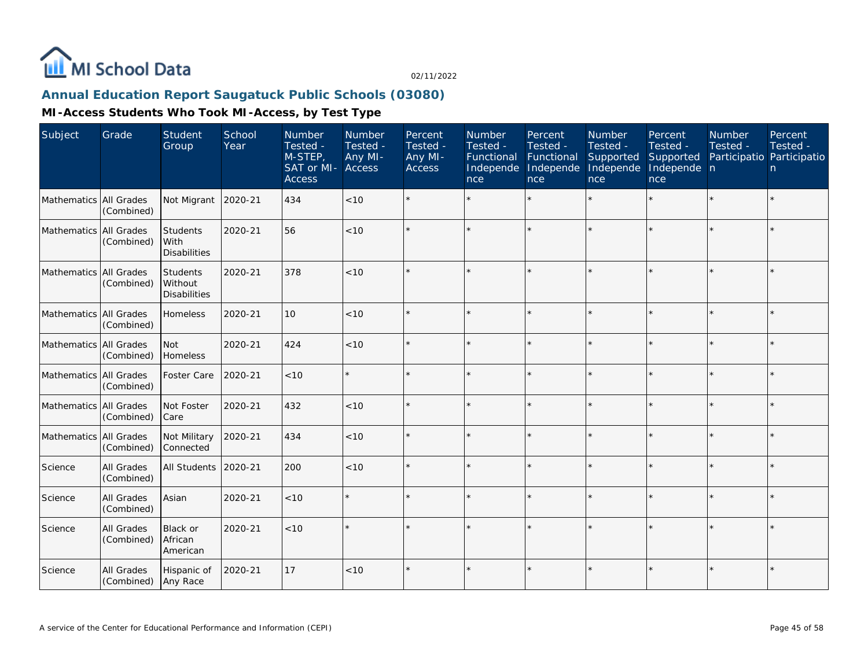

### **Annual Education Report Saugatuck Public Schools (03080)**

| Subject                | Grade                           | Student<br>Group                                  | School<br>Year | <b>Number</b><br>Tested -<br>M-STEP,<br>SAT or MI-<br><b>Access</b> | Number<br>Tested -<br>Any MI-<br>Access | Percent<br>Tested -<br>Any MI-<br>Access | <b>Number</b><br>Tested -<br>Functional<br>Independe<br>nce | Percent<br>Tested -<br>Functional<br>Independe<br>nce | <b>Number</b><br>Tested -<br>Supported<br>Independe<br>nce | Percent<br>Tested -<br>Supported<br>Independe n<br>nce | Number<br>Tested - | Percent<br>Tested -<br>Participatio Participatio<br>n. |
|------------------------|---------------------------------|---------------------------------------------------|----------------|---------------------------------------------------------------------|-----------------------------------------|------------------------------------------|-------------------------------------------------------------|-------------------------------------------------------|------------------------------------------------------------|--------------------------------------------------------|--------------------|--------------------------------------------------------|
| Mathematics All Grades | (Combined)                      | Not Migrant                                       | 2020-21        | 434                                                                 | < 10                                    |                                          |                                                             | $\star$                                               |                                                            |                                                        | $\star$            | $\star$                                                |
| Mathematics All Grades | (Combined)                      | Students<br>With<br><b>Disabilities</b>           | 2020-21        | 56                                                                  | $<10$                                   |                                          |                                                             | $\star$                                               | ×                                                          |                                                        | $\star$            | $\star$                                                |
| Mathematics All Grades | (Combined)                      | <b>Students</b><br>Without<br><b>Disabilities</b> | 2020-21        | 378                                                                 | $<10$                                   |                                          |                                                             |                                                       |                                                            |                                                        |                    |                                                        |
| Mathematics All Grades | (Combined)                      | Homeless                                          | 2020-21        | 10                                                                  | < 10                                    | $\star$                                  |                                                             | $\star$                                               | $\star$                                                    | $\star$                                                | $\star$            | $\star$                                                |
| Mathematics All Grades | (Combined)                      | Not<br>Homeless                                   | 2020-21        | 424                                                                 | < 10                                    |                                          |                                                             | $\star$                                               |                                                            | $\star$                                                | $\star$            | ×.                                                     |
| Mathematics All Grades | (Combined)                      | Foster Care                                       | 2020-21        | < 10                                                                |                                         | $\star$                                  |                                                             | $\star$                                               |                                                            | ×.                                                     | $\star$            | $\star$                                                |
| Mathematics All Grades | (Combined)                      | Not Foster<br>Care                                | 2020-21        | 432                                                                 | $<10$                                   |                                          |                                                             | $\star$                                               |                                                            |                                                        |                    | $\star$                                                |
| Mathematics All Grades | (Combined)                      | Not Military<br>Connected                         | 2020-21        | 434                                                                 | < 10                                    |                                          |                                                             | $\star$                                               |                                                            |                                                        |                    | $\star$                                                |
| Science                | <b>All Grades</b><br>(Combined) | All Students                                      | 2020-21        | 200                                                                 | < 10                                    |                                          |                                                             | $\star$                                               |                                                            | ×                                                      | $\star$            | $\star$                                                |
| Science                | All Grades<br>(Combined)        | Asian                                             | 2020-21        | < 10                                                                |                                         |                                          |                                                             | $\star$                                               |                                                            | $\star$                                                | $\star$            | $\star$                                                |
| Science                | All Grades<br>(Combined)        | Black or<br>African<br>American                   | 2020-21        | < 10                                                                |                                         |                                          |                                                             | $\star$                                               | $\star$                                                    |                                                        | $\star$            | $\star$                                                |
| Science                | All Grades<br>(Combined)        | Hispanic of<br>Any Race                           | 2020-21        | 17                                                                  | $<10$                                   |                                          |                                                             | $\star$                                               |                                                            |                                                        |                    | $\star$                                                |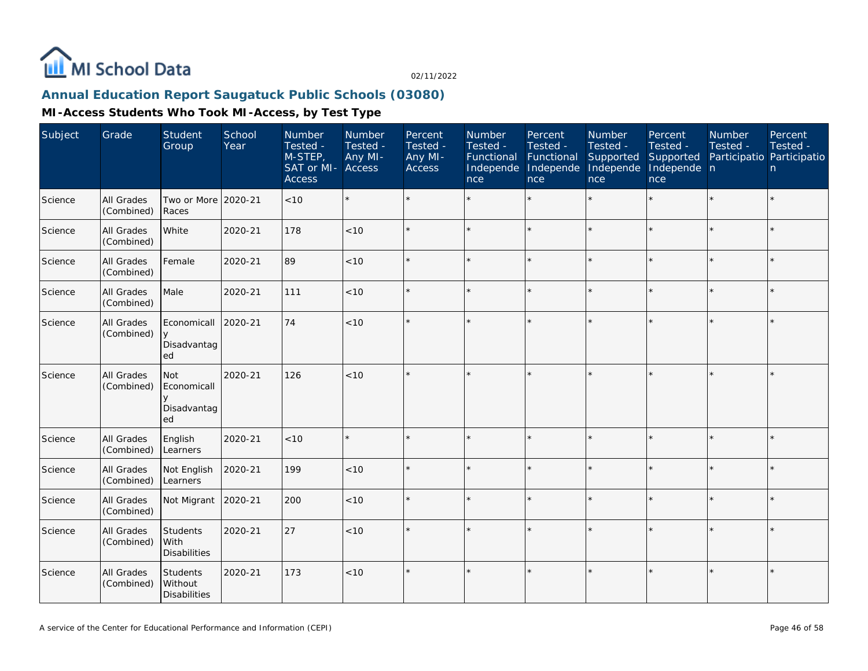

## **Annual Education Report Saugatuck Public Schools (03080)**

| Subject | Grade                    | Student<br>Group                               | School<br>Year | Number<br>Tested -<br>M-STEP,<br>SAT or MI-<br><b>Access</b> | Number<br>Tested -<br>Any MI-<br>Access | Percent<br>Tested -<br>Any MI-<br>Access | Number<br>Tested -<br>Functional<br>Independe<br>nce | Percent<br>Tested -<br>Functional<br>Independe<br>nce | Number<br>Tested -<br>Supported<br>Independe<br>nce | Percent<br>Tested -<br>Supported<br>Independe n<br>nce | Number<br>Tested - | Percent<br>Tested -<br>Participatio Participatio<br>n |
|---------|--------------------------|------------------------------------------------|----------------|--------------------------------------------------------------|-----------------------------------------|------------------------------------------|------------------------------------------------------|-------------------------------------------------------|-----------------------------------------------------|--------------------------------------------------------|--------------------|-------------------------------------------------------|
| Science | All Grades<br>(Combined) | Two or More 2020-21<br>Races                   |                | < 10                                                         | $\star$                                 | ÷.                                       |                                                      | $\star$                                               | $\star$                                             |                                                        |                    | $\star$                                               |
| Science | All Grades<br>(Combined) | White                                          | 2020-21        | 178                                                          | < 10                                    |                                          |                                                      | $\star$                                               |                                                     | $\star$                                                |                    | $\star$                                               |
| Science | All Grades<br>(Combined) | Female                                         | 2020-21        | 89                                                           | $<10$                                   |                                          |                                                      |                                                       |                                                     | $\star$                                                |                    | $\star$                                               |
| Science | All Grades<br>(Combined) | Male                                           | 2020-21        | 111                                                          | < 10                                    |                                          |                                                      | $\star$                                               |                                                     |                                                        |                    | $\star$                                               |
| Science | All Grades<br>(Combined) | Economicall<br>Disadvantag<br>ed               | 2020-21        | 74                                                           | < 10                                    |                                          |                                                      | ÷                                                     | ÷                                                   | $\star$                                                | $\star$            | ÷.                                                    |
| Science | All Grades<br>(Combined) | <b>Not</b><br>Economicall<br>Disadvantag<br>ed | 2020-21        | 126                                                          | < 10                                    |                                          |                                                      |                                                       |                                                     |                                                        |                    | $\star$                                               |
| Science | All Grades<br>(Combined) | English<br>Learners                            | 2020-21        | < 10                                                         | $\star$                                 |                                          |                                                      | $\star$                                               |                                                     |                                                        |                    | $\star$                                               |
| Science | All Grades<br>(Combined) | Not English<br>Learners                        | 2020-21        | 199                                                          | < 10                                    |                                          |                                                      | $\star$                                               |                                                     | ×.                                                     |                    | $\star$                                               |
| Science | All Grades<br>(Combined) | Not Migrant                                    | 2020-21        | 200                                                          | < 10                                    |                                          |                                                      | $\star$                                               |                                                     | ×.                                                     |                    | $\star$                                               |
| Science | All Grades<br>(Combined) | Students<br>With<br><b>Disabilities</b>        | 2020-21        | 27                                                           | < 10                                    |                                          |                                                      |                                                       |                                                     |                                                        |                    | $\star$                                               |
| Science | All Grades<br>(Combined) | Students<br>Without<br><b>Disabilities</b>     | 2020-21        | 173                                                          | < 10                                    |                                          |                                                      | $\star$                                               |                                                     | $\star$                                                |                    | $\star$                                               |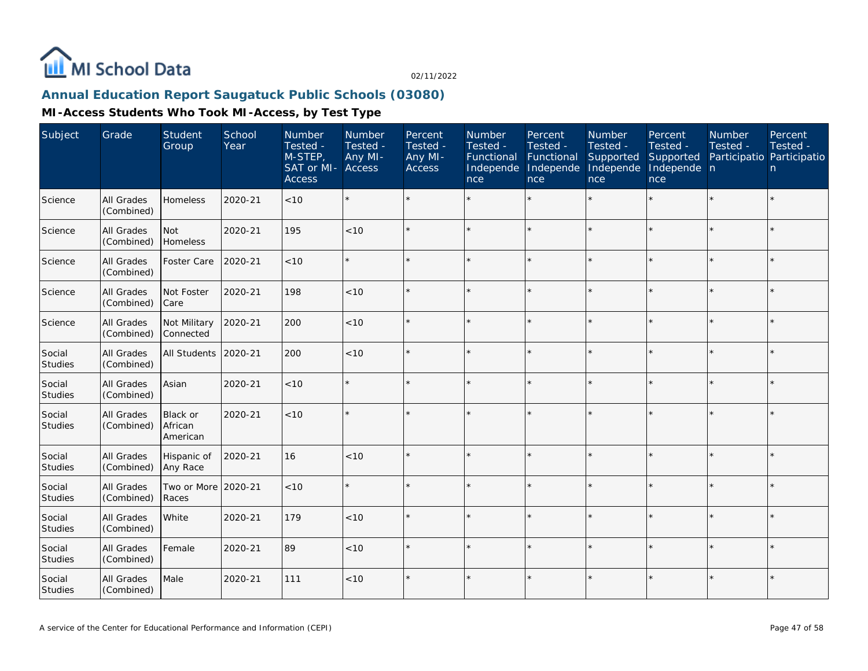

## **Annual Education Report Saugatuck Public Schools (03080)**

| Subject                  | Grade                           | Student<br>Group                              | School<br>Year | Number<br>Tested -<br>M-STEP,<br>SAT or MI-<br><b>Access</b> | Number<br>Tested -<br>Any MI-<br>Access | Percent<br>Tested -<br>Any MI-<br><b>Access</b> | Number<br>Tested -<br>Functional<br>Independe<br>nce | Percent<br>Tested -<br>Functional<br>Independe<br>nce | <b>Number</b><br>Tested -<br>Supported<br>Independe<br>nce | Percent<br>Tested -<br>Supported<br>Independe n<br>nce | <b>Number</b><br>Tested - | Percent<br>Tested -<br>Participatio Participatio<br>n |
|--------------------------|---------------------------------|-----------------------------------------------|----------------|--------------------------------------------------------------|-----------------------------------------|-------------------------------------------------|------------------------------------------------------|-------------------------------------------------------|------------------------------------------------------------|--------------------------------------------------------|---------------------------|-------------------------------------------------------|
| Science                  | All Grades<br>(Combined)        | Homeless                                      | 2020-21        | $<10$                                                        | $\star$                                 |                                                 |                                                      |                                                       |                                                            | $\star$                                                |                           | $\star$                                               |
| Science                  | All Grades<br>(Combined)        | <b>Not</b><br>Homeless                        | 2020-21        | 195                                                          | < 10                                    |                                                 |                                                      |                                                       |                                                            |                                                        |                           | $\star$                                               |
| Science                  | All Grades<br>(Combined)        | Foster Care                                   | 2020-21        | < 10                                                         | $\star$                                 |                                                 |                                                      | $\star$                                               |                                                            | ×.                                                     |                           | $\star$                                               |
| Science                  | All Grades<br>(Combined)        | Not Foster<br>Care                            | 2020-21        | 198                                                          | < 10                                    |                                                 |                                                      | $\star$                                               |                                                            | $\star$                                                | $\star$                   | $\star$                                               |
| Science                  | All Grades<br>(Combined)        | Not Military<br>Connected                     | 2020-21        | 200                                                          | < 10                                    |                                                 |                                                      | $\star$                                               |                                                            | $\star$                                                |                           | $\star$                                               |
| Social<br>Studies        | <b>All Grades</b><br>(Combined) | <b>All Students</b>                           | 2020-21        | 200                                                          | < 10                                    |                                                 |                                                      | $\star$                                               |                                                            | ×.                                                     |                           | $\star$                                               |
| Social<br>Studies        | All Grades<br>(Combined)        | Asian                                         | 2020-21        | < 10                                                         | $\star$                                 |                                                 |                                                      | $\star$                                               |                                                            | ×.                                                     |                           | $\star$                                               |
| Social<br><b>Studies</b> | All Grades<br>(Combined)        | <b>Black or</b><br><b>African</b><br>American | 2020-21        | < 10                                                         | $\star$                                 |                                                 |                                                      | $\star$                                               | $\star$                                                    | $\star$                                                |                           | $\star$                                               |
| Social<br><b>Studies</b> | All Grades<br>(Combined)        | Hispanic of<br>Any Race                       | 2020-21        | 16                                                           | < 10                                    |                                                 |                                                      | ÷                                                     |                                                            | $\star$                                                | $\star$                   | $\star$                                               |
| Social<br><b>Studies</b> | All Grades<br>(Combined)        | Two or More 2020-21<br>Races                  |                | $<10$                                                        | $\star$                                 |                                                 |                                                      | $\star$                                               |                                                            | $\star$                                                |                           | $\star$                                               |
| Social<br><b>Studies</b> | All Grades<br>(Combined)        | White                                         | 2020-21        | 179                                                          | < 10                                    |                                                 |                                                      | $\star$                                               |                                                            | $\star$                                                |                           | $\star$                                               |
| Social<br>Studies        | <b>All Grades</b><br>(Combined) | Female                                        | 2020-21        | 89                                                           | < 10                                    |                                                 |                                                      |                                                       |                                                            |                                                        |                           | $\star$                                               |
| Social<br>Studies        | <b>All Grades</b><br>(Combined) | Male                                          | 2020-21        | 111                                                          | < 10                                    |                                                 |                                                      | $\star$                                               | ÷                                                          | $\star$                                                | $\star$                   | $\star$                                               |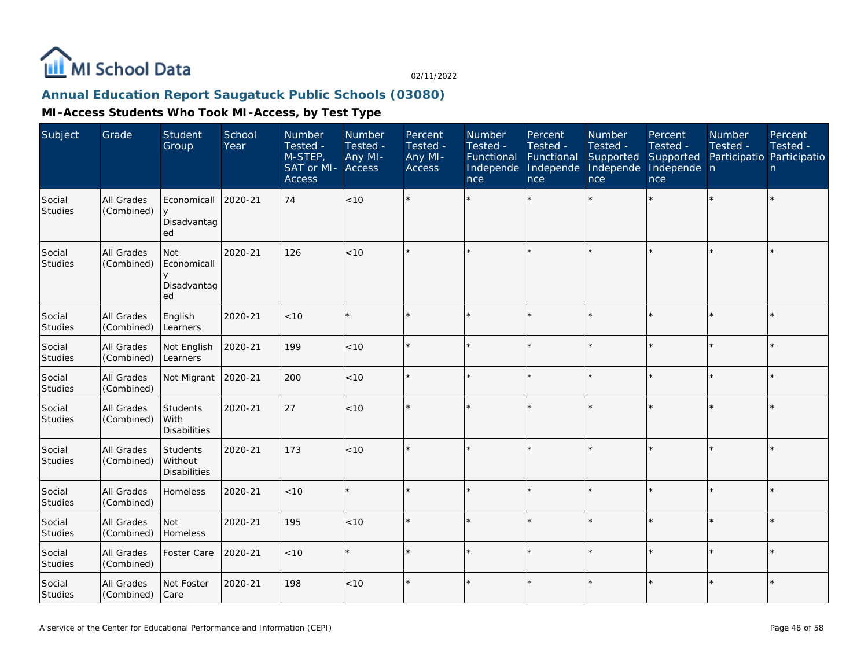

### **Annual Education Report Saugatuck Public Schools (03080)**

| Subject                  | Grade                    | Student<br>Group                           | School<br>Year | Number<br>Tested -<br>M-STEP,<br>SAT or MI-<br><b>Access</b> | Number<br>Tested -<br>Any MI-<br>Access | Percent<br>Tested -<br>Any MI-<br><b>Access</b> | Number<br>Tested -<br>Functional<br>Independe<br>nce | Percent<br>Tested -<br>Functional<br>Independe<br>nce | Number<br>Tested -<br>Supported<br>Independe<br>nce | Percent<br>Tested -<br>Supported<br>Independe n<br>nce | Number<br>Tested -<br>Participatio Participatio | Percent<br>Tested -<br>n. |
|--------------------------|--------------------------|--------------------------------------------|----------------|--------------------------------------------------------------|-----------------------------------------|-------------------------------------------------|------------------------------------------------------|-------------------------------------------------------|-----------------------------------------------------|--------------------------------------------------------|-------------------------------------------------|---------------------------|
| Social<br>Studies        | All Grades<br>(Combined) | Economicall<br>$\vee$<br>Disadvantag<br>ed | 2020-21        | 74                                                           | < 10                                    |                                                 |                                                      |                                                       |                                                     |                                                        |                                                 | $\star$                   |
| Social<br>Studies        | All Grades<br>(Combined) | Not<br>Economicall<br>Disadvantag<br>ed    | 2020-21        | 126                                                          | < 10                                    |                                                 |                                                      |                                                       |                                                     | $\star$                                                | $\star$                                         | $\star$                   |
| Social<br>Studies        | All Grades<br>(Combined) | English<br>Learners                        | 2020-21        | < 10                                                         |                                         |                                                 |                                                      |                                                       |                                                     | $\star$                                                | $\star$                                         | $\star$                   |
| Social<br><b>Studies</b> | All Grades<br>(Combined) | Not English<br>Learners                    | 2020-21        | 199                                                          | < 10                                    |                                                 |                                                      |                                                       |                                                     |                                                        |                                                 | $\star$                   |
| Social<br><b>Studies</b> | All Grades<br>(Combined) | Not Migrant                                | 2020-21        | 200                                                          | <10                                     |                                                 |                                                      | ÷                                                     |                                                     | $\star$                                                |                                                 | $\star$                   |
| Social<br><b>Studies</b> | All Grades<br>(Combined) | Students<br>With<br><b>Disabilities</b>    | 2020-21        | 27                                                           | < 10                                    |                                                 |                                                      | $\star$                                               |                                                     | $\star$                                                |                                                 | $\star$                   |
| Social<br>Studies        | All Grades<br>(Combined) | Students<br>Without<br><b>Disabilities</b> | 2020-21        | 173                                                          | < 10                                    |                                                 |                                                      |                                                       |                                                     | $\star$                                                | $\star$                                         | $\star$                   |
| Social<br><b>Studies</b> | All Grades<br>(Combined) | Homeless                                   | 2020-21        | < 10                                                         |                                         |                                                 |                                                      |                                                       |                                                     | $\star$                                                |                                                 | $\star$                   |
| Social<br>Studies        | All Grades<br>(Combined) | Not<br>Homeless                            | 2020-21        | 195                                                          | < 10                                    |                                                 |                                                      |                                                       |                                                     |                                                        |                                                 | $\star$                   |
| Social<br><b>Studies</b> | All Grades<br>(Combined) | Foster Care                                | 2020-21        | < 10                                                         |                                         |                                                 |                                                      |                                                       |                                                     | $\star$                                                | $\star$                                         | $\star$                   |
| Social<br>Studies        | All Grades<br>(Combined) | Not Foster<br>Care                         | 2020-21        | 198                                                          | < 10                                    |                                                 |                                                      |                                                       |                                                     |                                                        |                                                 | $\star$                   |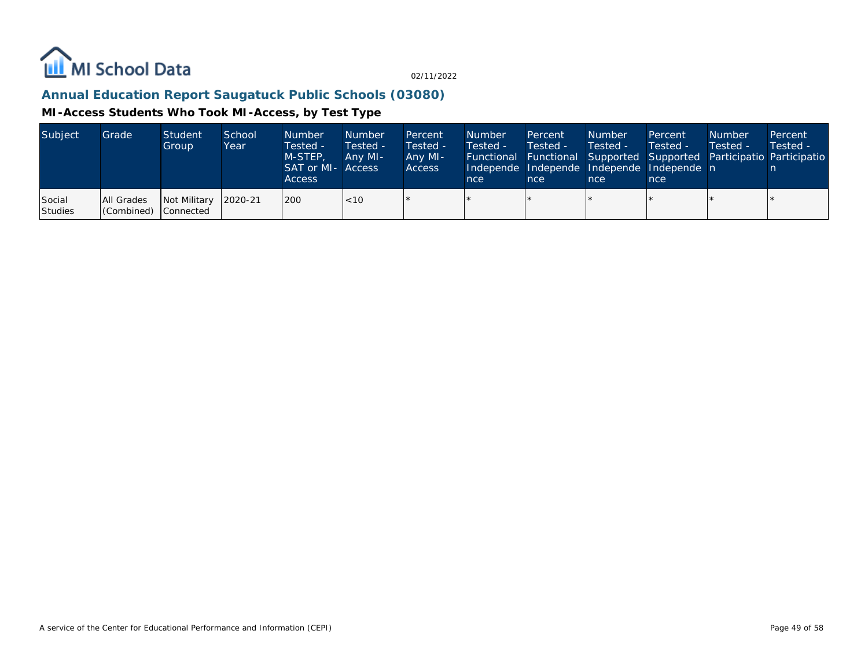

## **Annual Education Report Saugatuck Public Schools (03080)**

| Subject           | Grade <sup>1</sup>                        | Student<br>Group     | School<br>Year | <b>Number</b><br>Tested -<br>M-STEP.<br><b>SAT or MI- Access</b><br>Access | <b>Number</b><br>Tested -<br>Any MI- | Percent<br>Tested -<br>Any MI-<br>Access | <b>Number</b><br>Tested -<br>nce | Percent<br>Tested -<br>nce | <b>Number</b><br>Tested -<br>nce | Percent<br>Tested -<br>Independe Independe Independe Independe n<br>nce | <b>Number</b><br>Tested - | Percent<br>Tested -<br><b>Functional Functional Supported Supported Participatio Participatio</b> |
|-------------------|-------------------------------------------|----------------------|----------------|----------------------------------------------------------------------------|--------------------------------------|------------------------------------------|----------------------------------|----------------------------|----------------------------------|-------------------------------------------------------------------------|---------------------------|---------------------------------------------------------------------------------------------------|
| Social<br>Studies | <b>All Grades</b><br>(Combined) Connected | Not Military 2020-21 |                | 200                                                                        | < 10                                 |                                          |                                  |                            |                                  |                                                                         |                           |                                                                                                   |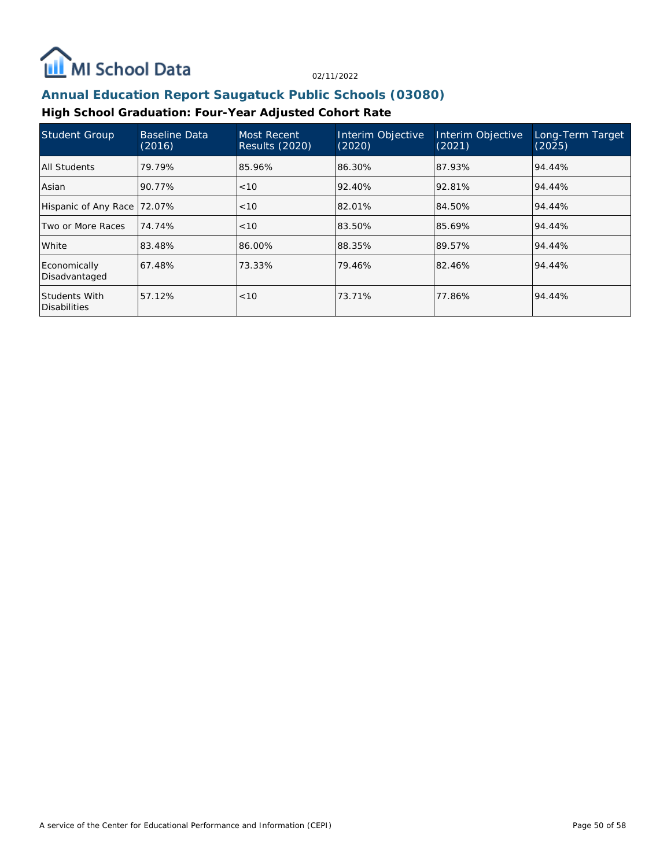

## **Annual Education Report Saugatuck Public Schools (03080)**

### **High School Graduation: Four-Year Adjusted Cohort Rate**

| <b>Student Group</b>                 | <b>Baseline Data</b><br>(2016) | Most Recent<br><b>Results (2020)</b> | Interim Objective<br>(2020) | Interim Objective<br>(2021) | Long-Term Target<br>(2025) |
|--------------------------------------|--------------------------------|--------------------------------------|-----------------------------|-----------------------------|----------------------------|
| All Students                         | 79.79%                         | 85.96%                               | 86.30%                      | 87.93%                      | 94.44%                     |
| Asian                                | 90.77%                         | < 10                                 | 92.40%                      | 92.81%                      | 94.44%                     |
| Hispanic of Any Race                 | 72.07%                         | < 10                                 | 82.01%                      | 84.50%                      | 94.44%                     |
| Two or More Races                    | 74.74%                         | < 10                                 | 83.50%                      | 85.69%                      | 94.44%                     |
| White                                | 83.48%                         | 86.00%                               | 88.35%                      | 89.57%                      | 94.44%                     |
| Economically<br>Disadvantaged        | 67.48%                         | 73.33%                               | 79.46%                      | 82.46%                      | 94.44%                     |
| Students With<br><b>Disabilities</b> | 57.12%                         | < 10                                 | 73.71%                      | 77.86%                      | 94.44%                     |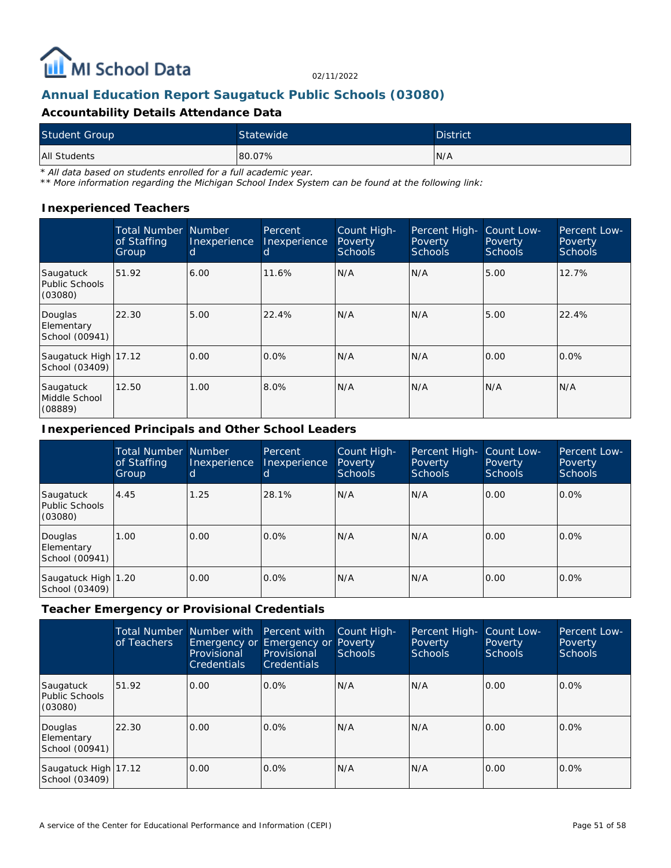

### **Annual Education Report Saugatuck Public Schools (03080)**

#### **Accountability Details Attendance Data**

| <b>Student Group</b> | Statewide | <b>District</b> |
|----------------------|-----------|-----------------|
| All Students         | 80.07%    | N/A             |

*\* All data based on students enrolled for a full academic year.*

*\*\* More information regarding the Michigan School Index System can be found at the following link:*

#### **Inexperienced Teachers**

|                                         | <b>Total Number Number</b><br>of Staffing<br>Group | Inexperience<br>d | Percent<br>Inexperience<br>d | Count High-<br>Poverty<br><b>Schools</b> | Percent High-<br>Poverty<br><b>Schools</b> | Count Low-<br>Poverty<br><b>Schools</b> | Percent Low-<br>Poverty<br>Schools |
|-----------------------------------------|----------------------------------------------------|-------------------|------------------------------|------------------------------------------|--------------------------------------------|-----------------------------------------|------------------------------------|
| Saugatuck<br>Public Schools<br>(03080)  | 51.92                                              | 6.00              | 11.6%                        | N/A                                      | N/A                                        | 5.00                                    | 12.7%                              |
| Douglas<br>Elementary<br>School (00941) | 22.30                                              | 5.00              | 22.4%                        | N/A                                      | N/A                                        | 5.00                                    | 22.4%                              |
| Saugatuck High 17.12<br>School (03409)  |                                                    | 0.00              | $0.0\%$                      | N/A                                      | N/A                                        | 0.00                                    | $0.0\%$                            |
| Saugatuck<br>Middle School<br>(08889)   | 12.50                                              | 1.00              | 8.0%                         | N/A                                      | N/A                                        | N/A                                     | IN/A                               |

#### **Inexperienced Principals and Other School Leaders**

|                                         | <b>Total Number Number</b><br>of Staffing<br>Group | Inexperience<br>d. | Percent<br>Inexperience | Count High-<br>Poverty<br><b>Schools</b> | Percent High-<br>Poverty<br>Schools | Count Low-<br>Poverty<br><b>Schools</b> | Percent Low-<br>Poverty<br><b>Schools</b> |
|-----------------------------------------|----------------------------------------------------|--------------------|-------------------------|------------------------------------------|-------------------------------------|-----------------------------------------|-------------------------------------------|
| Saugatuck<br>Public Schools<br>(03080)  | 4.45                                               | 1.25               | 28.1%                   | N/A                                      | N/A                                 | 0.00                                    | 0.0%                                      |
| Douglas<br>Elementary<br>School (00941) | 1.00                                               | 0.00               | $0.0\%$                 | N/A                                      | N/A                                 | 0.00                                    | 0.0%                                      |
| Saugatuck High 1.20<br>School (03409)   |                                                    | 0.00               | $0.0\%$                 | N/A                                      | N/A                                 | 0.00                                    | 0.0%                                      |

#### **Teacher Emergency or Provisional Credentials**

|                                          | of Teachers | Total Number Number with Percent with<br>Provisional<br><b>Credentials</b> | Emergency or Emergency or Poverty<br>Provisional<br><b>Credentials</b> | Count High-<br>Schools | Percent High-<br>Poverty<br><b>Schools</b> | Count Low-<br>Poverty<br><b>Schools</b> | Percent Low-<br>Poverty<br>Schools |
|------------------------------------------|-------------|----------------------------------------------------------------------------|------------------------------------------------------------------------|------------------------|--------------------------------------------|-----------------------------------------|------------------------------------|
| Saugatuck<br>Public Schools<br>(03080)   | 51.92       | 0.00                                                                       | $0.0\%$                                                                | N/A                    | IN/A                                       | 0.00                                    | $0.0\%$                            |
| Douglas<br>Elementary<br> School (00941) | 22.30       | 0.00                                                                       | $0.0\%$                                                                | N/A                    | IN/A                                       | 0.00                                    | $0.0\%$                            |
| Saugatuck High 17.12<br>School (03409)   |             | 0.00                                                                       | $0.0\%$                                                                | N/A                    | N/A                                        | 0.00                                    | $0.0\%$                            |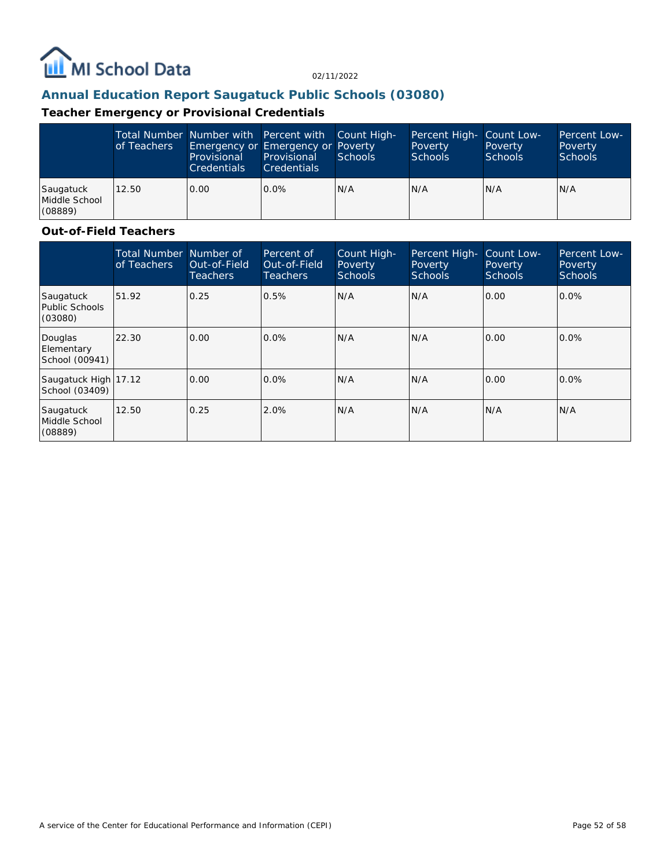

## **Annual Education Report Saugatuck Public Schools (03080)**

## **Teacher Emergency or Provisional Credentials**

|                                       | of Teachers | Provisional<br><b>Credentials</b> | Total Number Number with Percent with Count High-<br>Emergency or Emergency or Poverty<br>Provisional<br><b>Credentials</b> | Schools | Percent High- Count Low-<br>Poverty<br><b>Schools</b> | Poverty<br><b>Schools</b> | Percent Low-<br>Poverty<br><b>Schools</b> |
|---------------------------------------|-------------|-----------------------------------|-----------------------------------------------------------------------------------------------------------------------------|---------|-------------------------------------------------------|---------------------------|-------------------------------------------|
| Saugatuck<br>Middle School<br>(08889) | 12.50       | 0.00                              | $0.0\%$                                                                                                                     | N/A     | N/A                                                   | N/A                       | N/A                                       |

## **Out-of-Field Teachers**

|                                         | <b>Total Number</b><br>of Teachers | Number of<br>Out-of-Field<br><b>Teachers</b> | Percent of<br>Out-of-Field<br><b>Teachers</b> | Count High-<br><b>Poverty</b><br><b>Schools</b> | Percent High-<br>Poverty<br><b>Schools</b> | Count Low-<br>Poverty<br>Schools | Percent Low-<br>Poverty<br><b>Schools</b> |
|-----------------------------------------|------------------------------------|----------------------------------------------|-----------------------------------------------|-------------------------------------------------|--------------------------------------------|----------------------------------|-------------------------------------------|
| Saugatuck<br>Public Schools<br>(03080)  | 51.92                              | 0.25                                         | 0.5%                                          | N/A                                             | N/A                                        | 0.00                             | 0.0%                                      |
| Douglas<br>Elementary<br>School (00941) | 22.30                              | 0.00                                         | $0.0\%$                                       | N/A                                             | N/A                                        | 0.00                             | $0.0\%$                                   |
| Saugatuck High 17.12<br>School (03409)  |                                    | 0.00                                         | $0.0\%$                                       | N/A                                             | N/A                                        | 0.00                             | $0.0\%$                                   |
| Saugatuck<br>Middle School<br>(08889)   | 12.50                              | 0.25                                         | 2.0%                                          | N/A                                             | N/A                                        | N/A                              | N/A                                       |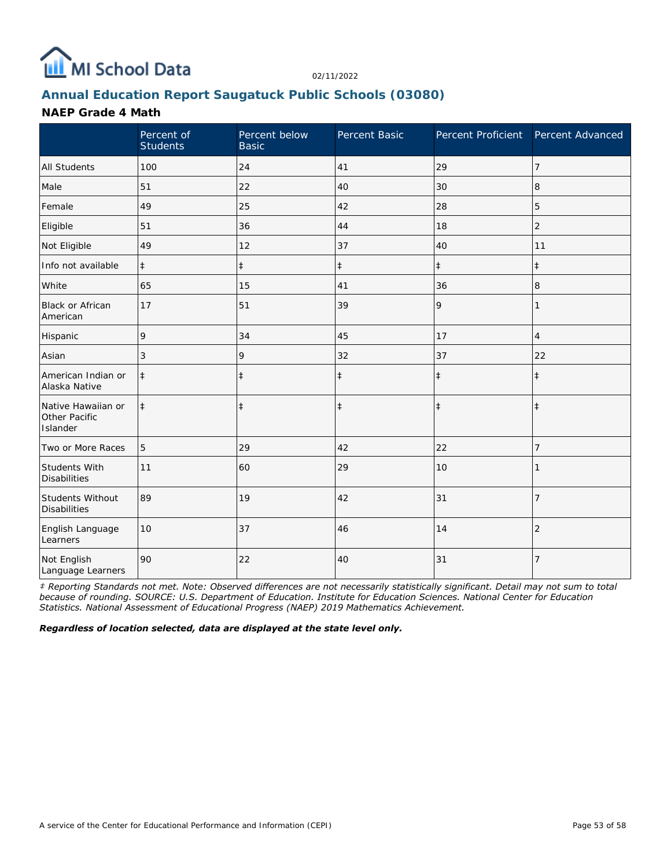

## **Annual Education Report Saugatuck Public Schools (03080)**

### **NAEP Grade 4 Math**

|                                                 | Percent of<br><b>Students</b> | Percent below<br><b>Basic</b> | Percent Basic | Percent Proficient Percent Advanced |                |
|-------------------------------------------------|-------------------------------|-------------------------------|---------------|-------------------------------------|----------------|
| <b>All Students</b>                             | 100                           | 24                            | 41            | 29                                  | 7              |
| Male                                            | 51                            | 22                            | 40            | 30                                  | 8              |
| Female                                          | 49                            | 25                            | 42            | 28                                  | 5              |
| Eligible                                        | 51                            | 36                            | 44            | 18                                  | $\overline{2}$ |
| Not Eligible                                    | 49                            | 12                            | 37            | 40                                  | 11             |
| Info not available                              | $\ddagger$                    | $\ddagger$                    | $\ddagger$    | $\ddagger$                          | $\ddagger$     |
| White                                           | 65                            | 15                            | 41            | 36                                  | 8              |
| Black or African<br>American                    | 17                            | 51                            | 39            | 9                                   |                |
| Hispanic                                        | 9                             | 34                            | 45            | 17                                  | $\overline{4}$ |
| Asian                                           | 3                             | 9                             | 32            | 37                                  | 22             |
| American Indian or<br>Alaska Native             | $\ddagger$                    | $\ddagger$                    | $\ddagger$    | $\ddagger$                          | $\ddagger$     |
| Native Hawaiian or<br>Other Pacific<br>Islander | $\ddagger$                    | $\ddagger$                    | $\ddagger$    | $\ddagger$                          | $\ddagger$     |
| Two or More Races                               | 5                             | 29                            | 42            | 22                                  | 7              |
| Students With<br><b>Disabilities</b>            | 11                            | 60                            | 29            | 10                                  |                |
| Students Without<br><b>Disabilities</b>         | 89                            | 19                            | 42            | 31                                  | $\overline{7}$ |
| English Language<br>Learners                    | 10                            | 37                            | 46            | 14                                  | $\overline{2}$ |
| Not English<br>Language Learners                | 90                            | 22                            | 40            | 31                                  | 7              |

*‡ Reporting Standards not met. Note: Observed differences are not necessarily statistically significant. Detail may not sum to total because of rounding. SOURCE: U.S. Department of Education. Institute for Education Sciences. National Center for Education Statistics. National Assessment of Educational Progress (NAEP) 2019 Mathematics Achievement.*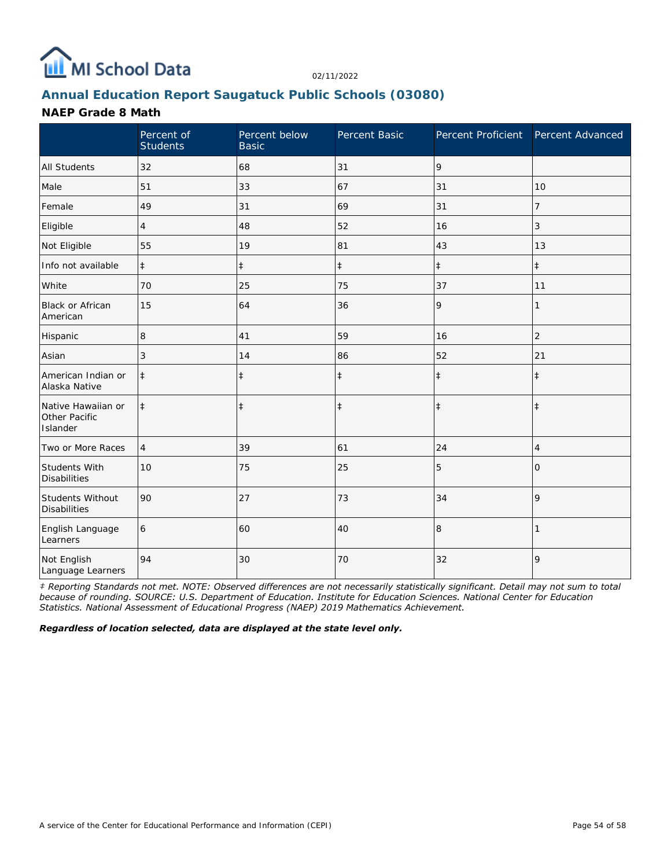

## **Annual Education Report Saugatuck Public Schools (03080)**

### **NAEP Grade 8 Math**

|                                                 | Percent of<br><b>Students</b> | Percent below<br><b>Basic</b> | Percent Basic |            | Percent Proficient Percent Advanced |
|-------------------------------------------------|-------------------------------|-------------------------------|---------------|------------|-------------------------------------|
| <b>All Students</b>                             | 32                            | 68                            | 31            | 9          |                                     |
| Male                                            | 51                            | 33                            | 67            | 31         | 10                                  |
| Female                                          | 49                            | 31                            | 69            | 31         | 7                                   |
| Eligible                                        | 4                             | 48                            | 52            | 16         | 3                                   |
| Not Eligible                                    | 55                            | 19                            | 81            | 43         | 13                                  |
| Info not available                              | $\ddagger$                    | $\ddagger$                    | $\ddagger$    | $\ddagger$ | $\ddagger$                          |
| White                                           | 70                            | 25                            | 75            | 37         | 11                                  |
| Black or African<br>American                    | 15                            | 64                            | 36            | 9          |                                     |
| Hispanic                                        | 8                             | 41                            | 59            | 16         | $\overline{2}$                      |
| Asian                                           | 3                             | 14                            | 86            | 52         | 21                                  |
| American Indian or<br>Alaska Native             | $\ddagger$                    | $\ddagger$                    | $\ddagger$    | $\ddagger$ | $\ddagger$                          |
| Native Hawaiian or<br>Other Pacific<br>Islander | $\ddagger$                    | $\ddagger$                    | $\ddagger$    | $\ddagger$ | $\ddagger$                          |
| Two or More Races                               | $\overline{4}$                | 39                            | 61            | 24         | 4                                   |
| Students With<br><b>Disabilities</b>            | 10                            | 75                            | 25            | 5          | 0                                   |
| Students Without<br><b>Disabilities</b>         | 90                            | 27                            | 73            | 34         | 9                                   |
| English Language<br>Learners                    | 6                             | 60                            | 40            | 8          |                                     |
| Not English<br>Language Learners                | 94                            | 30                            | 70            | 32         | 9                                   |

*‡ Reporting Standards not met. NOTE: Observed differences are not necessarily statistically significant. Detail may not sum to total because of rounding. SOURCE: U.S. Department of Education. Institute for Education Sciences. National Center for Education Statistics. National Assessment of Educational Progress (NAEP) 2019 Mathematics Achievement.*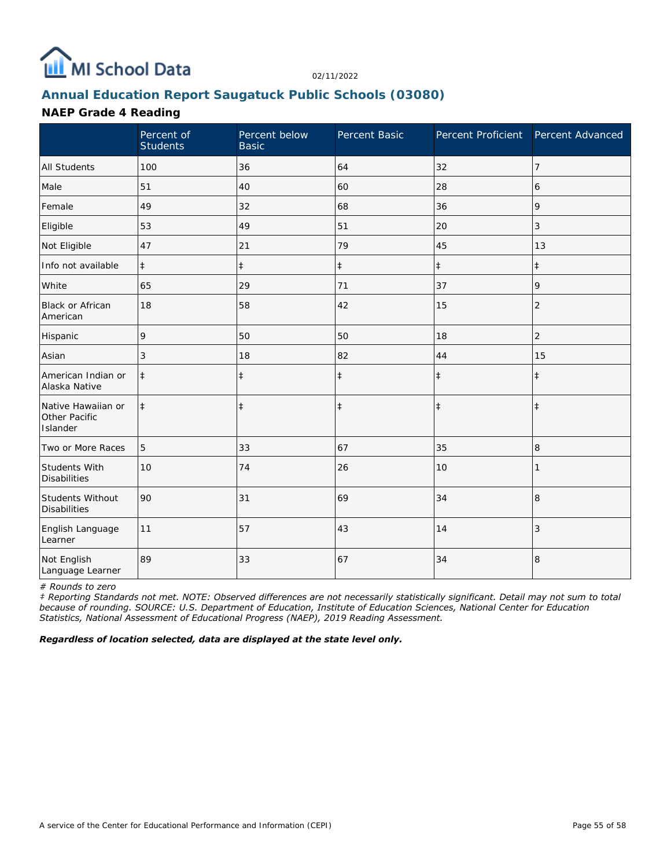

## **Annual Education Report Saugatuck Public Schools (03080)**

### **NAEP Grade 4 Reading**

|                                                 | Percent of<br><b>Students</b> | Percent below<br><b>Basic</b> | Percent Basic | Percent Proficient Percent Advanced |                |
|-------------------------------------------------|-------------------------------|-------------------------------|---------------|-------------------------------------|----------------|
| <b>All Students</b>                             | 100                           | 36                            | 64            | 32                                  | $\overline{7}$ |
| Male                                            | 51                            | 40                            | 60            | 28                                  | 6              |
| Female                                          | 49                            | 32                            | 68            | 36                                  | 9              |
| Eligible                                        | 53                            | 49                            | 51            | 20                                  | 3              |
| Not Eligible                                    | 47                            | 21                            | 79            | 45                                  | 13             |
| Info not available                              | $\ddagger$                    | $\ddagger$                    | $\ddagger$    | $\ddagger$                          | $\ddagger$     |
| White                                           | 65                            | 29                            | 71            | 37                                  | 9              |
| Black or African<br>American                    | 18                            | 58                            | 42            | 15                                  | $\overline{2}$ |
| Hispanic                                        | 9                             | 50                            | 50            | 18                                  | 2              |
| Asian                                           | 3                             | 18                            | 82            | 44                                  | 15             |
| American Indian or<br>Alaska Native             | $\ddagger$                    | $\ddagger$                    | $\ddagger$    | $\ddagger$                          | $\ddagger$     |
| Native Hawaiian or<br>Other Pacific<br>Islander | $\ddagger$                    | $\ddagger$                    | $\ddagger$    | $\ddagger$                          | $\ddagger$     |
| Two or More Races                               | 5                             | 33                            | 67            | 35                                  | 8              |
| Students With<br><b>Disabilities</b>            | 10                            | 74                            | 26            | 10                                  |                |
| Students Without<br><b>Disabilities</b>         | 90                            | 31                            | 69            | 34                                  | 8              |
| English Language<br>Learner                     | 11                            | 57                            | 43            | 14                                  | 3              |
| Not English<br>Language Learner                 | 89                            | 33                            | 67            | 34                                  | 8              |

*# Rounds to zero*

*‡ Reporting Standards not met. NOTE: Observed differences are not necessarily statistically significant. Detail may not sum to total because of rounding. SOURCE: U.S. Department of Education, Institute of Education Sciences, National Center for Education Statistics, National Assessment of Educational Progress (NAEP), 2019 Reading Assessment.*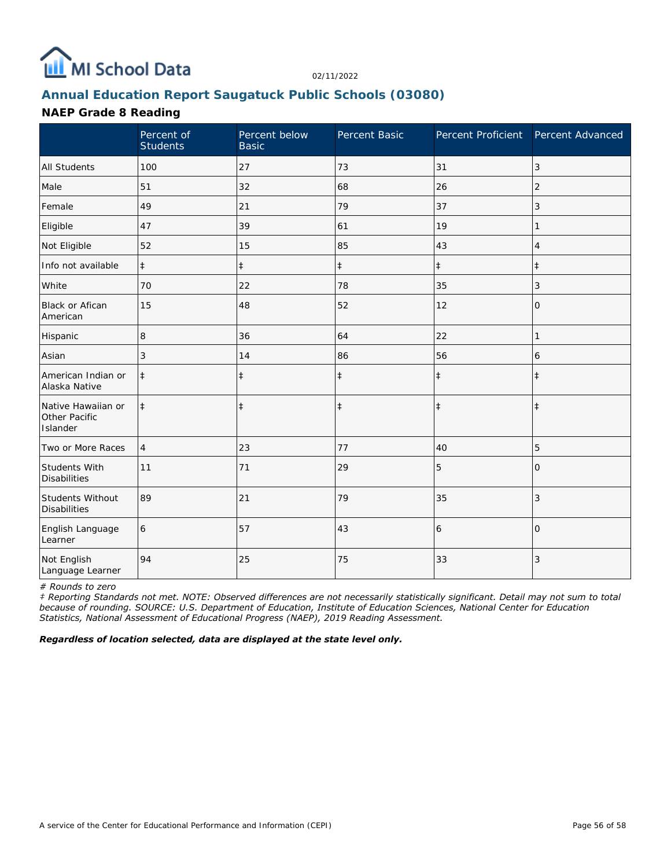

## **Annual Education Report Saugatuck Public Schools (03080)**

### **NAEP Grade 8 Reading**

|                                                 | Percent of<br><b>Students</b> | Percent below<br><b>Basic</b> | Percent Basic | Percent Proficient Percent Advanced |                |
|-------------------------------------------------|-------------------------------|-------------------------------|---------------|-------------------------------------|----------------|
| <b>All Students</b>                             | 100                           | 27                            | 73            | 31                                  | 3              |
| Male                                            | 51                            | 32                            | 68            | 26                                  | $\overline{2}$ |
| Female                                          | 49                            | 21                            | 79            | 37                                  | 3              |
| Eligible                                        | 47                            | 39                            | 61            | 19                                  |                |
| Not Eligible                                    | 52                            | 15                            | 85            | 43                                  | 4              |
| Info not available                              | $\ddagger$                    | $\ddagger$                    | $\ddagger$    | $\ddagger$                          | $\pm$          |
| White                                           | 70                            | 22                            | 78            | 35                                  | 3              |
| <b>Black or Afican</b><br>American              | 15                            | 48                            | 52            | 12                                  | 0              |
| Hispanic                                        | 8                             | 36                            | 64            | 22                                  | 1              |
| Asian                                           | 3                             | 14                            | 86            | 56                                  | 6              |
| American Indian or<br>Alaska Native             | $\ddagger$                    | $\ddagger$                    | $\ddagger$    | $\ddagger$                          | $\ddagger$     |
| Native Hawaiian or<br>Other Pacific<br>Islander | $\ddagger$                    | $\ddagger$                    | $\ddagger$    | $\ddagger$                          | $\ddagger$     |
| Two or More Races                               | 4                             | 23                            | 77            | 40                                  | 5              |
| Students With<br><b>Disabilities</b>            | 11                            | 71                            | 29            | 5                                   | $\Omega$       |
| Students Without<br><b>Disabilities</b>         | 89                            | 21                            | 79            | 35                                  | 3              |
| English Language<br>Learner                     | 6                             | 57                            | 43            | 6                                   | $\Omega$       |
| Not English<br>Language Learner                 | 94                            | 25                            | 75            | 33                                  | 3              |

*# Rounds to zero*

*‡ Reporting Standards not met. NOTE: Observed differences are not necessarily statistically significant. Detail may not sum to total because of rounding. SOURCE: U.S. Department of Education, Institute of Education Sciences, National Center for Education Statistics, National Assessment of Educational Progress (NAEP), 2019 Reading Assessment.*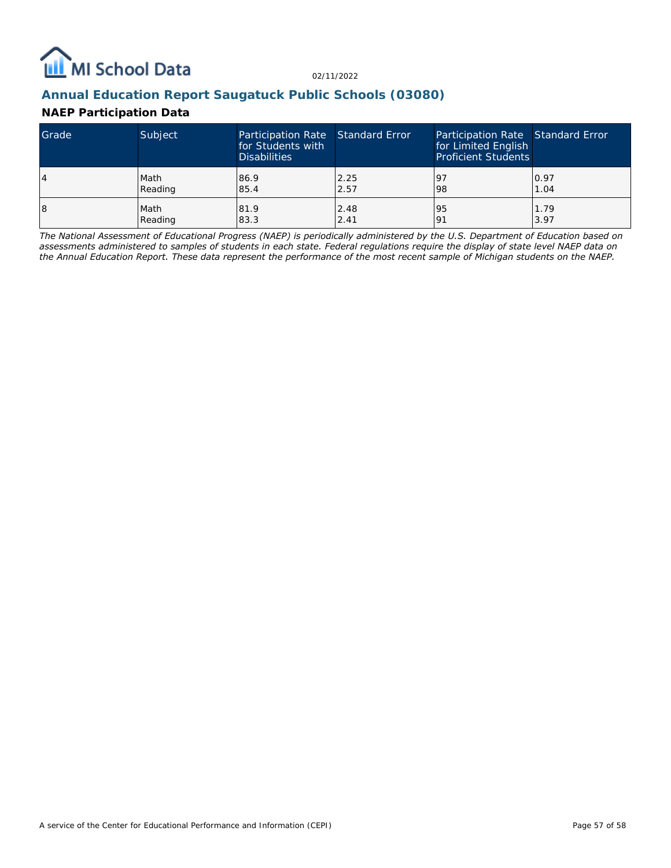

## **Annual Education Report Saugatuck Public Schools (03080)**

### **NAEP Participation Data**

| Grade | Subject | Participation Rate Standard Error<br>for Students with<br><b>Disabilities</b> |      | Participation Rate Standard Error<br>for Limited English<br><b>Proficient Students</b> |      |
|-------|---------|-------------------------------------------------------------------------------|------|----------------------------------------------------------------------------------------|------|
| 4     | Math    | 86.9                                                                          | 2.25 | <u>l</u> 9                                                                             | 0.97 |
|       | Reading | 85.4                                                                          | 2.57 | 98                                                                                     | 1.04 |
| 18    | Math    | 81.9                                                                          | 2.48 | 95                                                                                     | 1.79 |
|       | Reading | 83.3                                                                          | 2.41 | 191                                                                                    | 3.97 |

*The National Assessment of Educational Progress (NAEP) is periodically administered by the U.S. Department of Education based on assessments administered to samples of students in each state. Federal regulations require the display of state level NAEP data on the Annual Education Report. These data represent the performance of the most recent sample of Michigan students on the NAEP.*